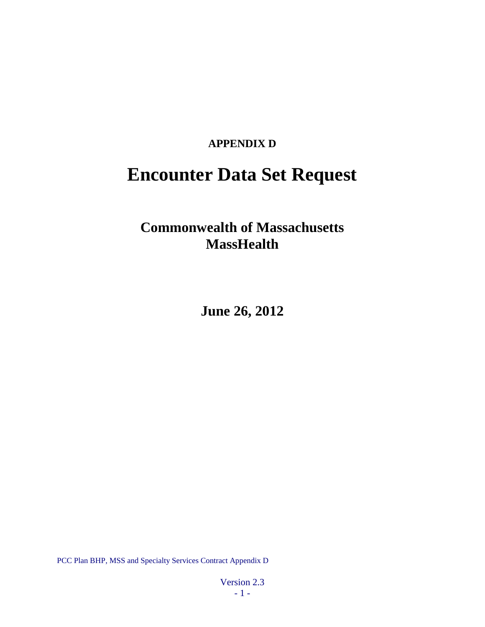### **APPENDIX D**

# **Encounter Data Set Request**

## **Commonwealth of Massachusetts MassHealth**

**June 26, 2012**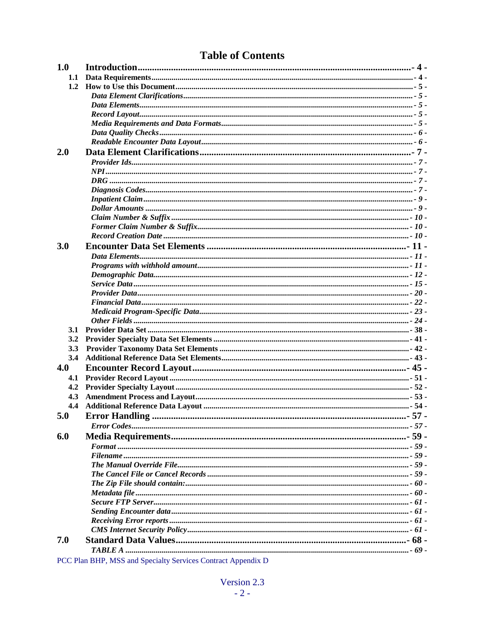### **Table of Contents**

| 1.0        |                                                                                                                                         |  |
|------------|-----------------------------------------------------------------------------------------------------------------------------------------|--|
| 1.1        |                                                                                                                                         |  |
| 1.2        |                                                                                                                                         |  |
|            |                                                                                                                                         |  |
|            |                                                                                                                                         |  |
|            |                                                                                                                                         |  |
|            |                                                                                                                                         |  |
|            |                                                                                                                                         |  |
|            |                                                                                                                                         |  |
| 2.0        |                                                                                                                                         |  |
|            |                                                                                                                                         |  |
|            |                                                                                                                                         |  |
|            |                                                                                                                                         |  |
|            |                                                                                                                                         |  |
|            |                                                                                                                                         |  |
|            |                                                                                                                                         |  |
|            |                                                                                                                                         |  |
|            |                                                                                                                                         |  |
|            |                                                                                                                                         |  |
| 3.0        |                                                                                                                                         |  |
|            |                                                                                                                                         |  |
|            |                                                                                                                                         |  |
|            |                                                                                                                                         |  |
|            |                                                                                                                                         |  |
|            |                                                                                                                                         |  |
|            |                                                                                                                                         |  |
|            |                                                                                                                                         |  |
|            |                                                                                                                                         |  |
| <b>3.1</b> |                                                                                                                                         |  |
| 3.2        |                                                                                                                                         |  |
| 3.3        |                                                                                                                                         |  |
| 3.4        |                                                                                                                                         |  |
| 4.0        |                                                                                                                                         |  |
| 4.1        |                                                                                                                                         |  |
| 4.2        |                                                                                                                                         |  |
| 4.3        |                                                                                                                                         |  |
| 4.4        |                                                                                                                                         |  |
|            | 5.0 Error Handling                                                                                                                      |  |
|            |                                                                                                                                         |  |
|            |                                                                                                                                         |  |
| 6.0        |                                                                                                                                         |  |
|            |                                                                                                                                         |  |
|            |                                                                                                                                         |  |
|            |                                                                                                                                         |  |
|            |                                                                                                                                         |  |
|            |                                                                                                                                         |  |
|            |                                                                                                                                         |  |
|            |                                                                                                                                         |  |
|            |                                                                                                                                         |  |
|            |                                                                                                                                         |  |
|            |                                                                                                                                         |  |
| 7.0        |                                                                                                                                         |  |
|            |                                                                                                                                         |  |
| $DCA$ $D1$ | $\mathbf{C} \mathbf{M}$ and $\mathbf{C} \mathbf{M}$ and $\mathbf{C} \mathbf{M}$ and $\mathbf{C} \mathbf{M}$ and $\mathbf{C} \mathbf{M}$ |  |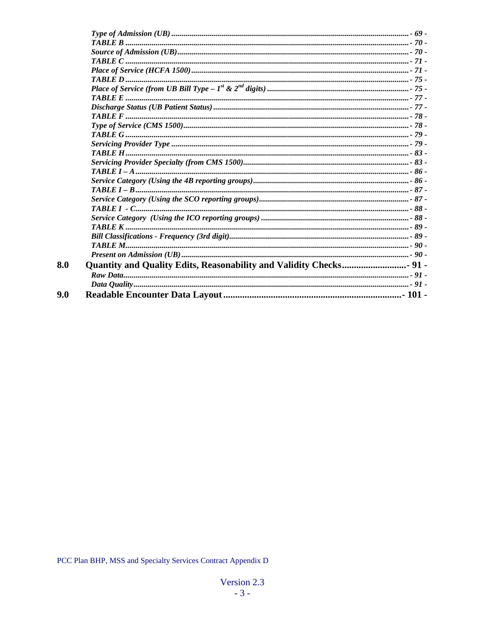$8.0$ 

 $9.0$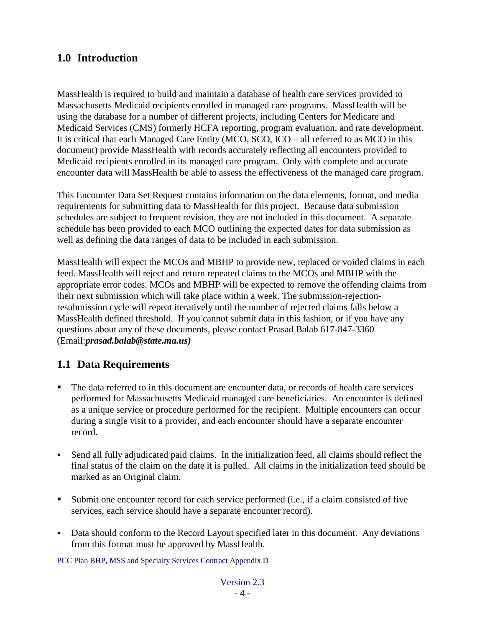### <span id="page-3-0"></span>**1.0 Introduction**

MassHealth is required to build and maintain a database of health care services provided to Massachusetts Medicaid recipients enrolled in managed care programs. MassHealth will be using the database for a number of different projects, including Centers for Medicare and Medicaid Services (CMS) formerly HCFA reporting, program evaluation, and rate development. It is critical that each Managed Care Entity (MCO, SCO, ICO – all referred to as MCO in this document) provide MassHealth with records accurately reflecting all encounters provided to Medicaid recipients enrolled in its managed care program. Only with complete and accurate encounter data will MassHealth be able to assess the effectiveness of the managed care program.

This Encounter Data Set Request contains information on the data elements, format, and media requirements for submitting data to MassHealth for this project. Because data submission schedules are subject to frequent revision, they are not included in this document. A separate schedule has been provided to each MCO outlining the expected dates for data submission as well as defining the data ranges of data to be included in each submission.

MassHealth will expect the MCOs and MBHP to provide new, replaced or voided claims in each feed. MassHealth will reject and return repeated claims to the MCOs and MBHP with the appropriate error codes. MCOs and MBHP will be expected to remove the offending claims from their next submission which will take place within a week. The submission-rejectionresubmission cycle will repeat iteratively until the number of rejected claims falls below a MassHealth defined threshold. If you cannot submit data in this fashion, or if you have any questions about any of these documents, please contact Prasad Balab 617-847-3360 (Email:*prasad.balab@state.ma.us)*

### <span id="page-3-1"></span>**1.1 Data Requirements**

- The data referred to in this document are encounter data, or records of health care services performed for Massachusetts Medicaid managed care beneficiaries. An encounter is defined as a unique service or procedure performed for the recipient. Multiple encounters can occur during a single visit to a provider, and each encounter should have a separate encounter record.
- Send all fully adjudicated paid claims. In the initialization feed, all claims should reflect the final status of the claim on the date it is pulled. All claims in the initialization feed should be marked as an Original claim.
- Submit one encounter record for each service performed (i.e., if a claim consisted of five services, each service should have a separate encounter record).
- Data should conform to the Record Layout specified later in this document. Any deviations from this format must be approved by MassHealth.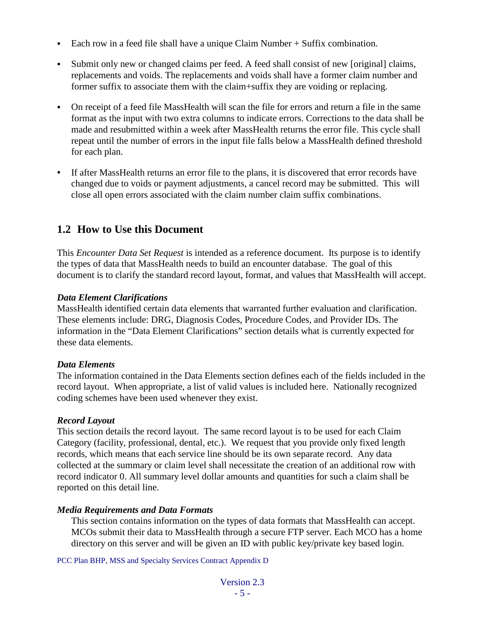- Each row in a feed file shall have a unique Claim Number + Suffix combination.
- Submit only new or changed claims per feed. A feed shall consist of new [original] claims, replacements and voids. The replacements and voids shall have a former claim number and former suffix to associate them with the claim+suffix they are voiding or replacing.
- On receipt of a feed file MassHealth will scan the file for errors and return a file in the same format as the input with two extra columns to indicate errors. Corrections to the data shall be made and resubmitted within a week after MassHealth returns the error file. This cycle shall repeat until the number of errors in the input file falls below a MassHealth defined threshold for each plan.
- If after MassHealth returns an error file to the plans, it is discovered that error records have changed due to voids or payment adjustments, a cancel record may be submitted. This will close all open errors associated with the claim number claim suffix combinations.

### <span id="page-4-0"></span>**1.2 How to Use this Document**

This *Encounter Data Set Request* is intended as a reference document. Its purpose is to identify the types of data that MassHealth needs to build an encounter database. The goal of this document is to clarify the standard record layout, format, and values that MassHealth will accept.

#### <span id="page-4-1"></span>*Data Element Clarifications*

MassHealth identified certain data elements that warranted further evaluation and clarification. These elements include: DRG, Diagnosis Codes, Procedure Codes, and Provider IDs. The information in the "Data Element Clarifications" section details what is currently expected for these data elements.

#### <span id="page-4-2"></span>*Data Elements*

The information contained in the Data Elements section defines each of the fields included in the record layout. When appropriate, a list of valid values is included here. Nationally recognized coding schemes have been used whenever they exist.

#### <span id="page-4-3"></span>*Record Layout*

This section details the record layout. The same record layout is to be used for each Claim Category (facility, professional, dental, etc.). We request that you provide only fixed length records, which means that each service line should be its own separate record. Any data collected at the summary or claim level shall necessitate the creation of an additional row with record indicator 0. All summary level dollar amounts and quantities for such a claim shall be reported on this detail line.

#### <span id="page-4-4"></span>*Media Requirements and Data Formats*

This section contains information on the types of data formats that MassHealth can accept. MCOs submit their data to MassHealth through a secure FTP server. Each MCO has a home directory on this server and will be given an ID with public key/private key based login.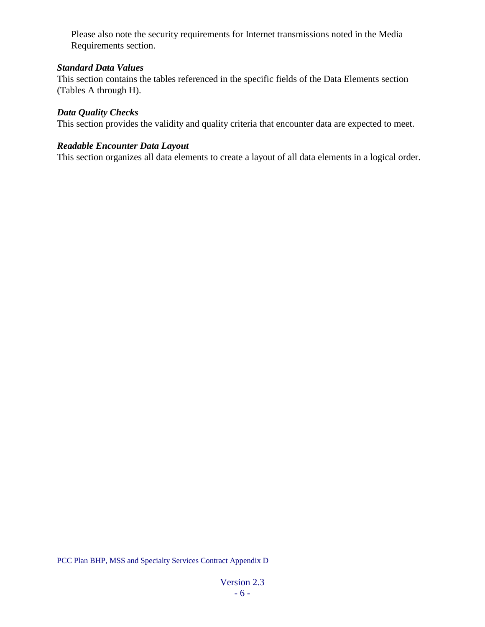Please also note the security requirements for Internet transmissions noted in the Media Requirements section.

#### *Standard Data Values*

This section contains the tables referenced in the specific fields of the Data Elements section (Tables A through H).

#### <span id="page-5-0"></span>*Data Quality Checks*

This section provides the validity and quality criteria that encounter data are expected to meet.

#### <span id="page-5-1"></span>*Readable Encounter Data Layout*

This section organizes all data elements to create a layout of all data elements in a logical order.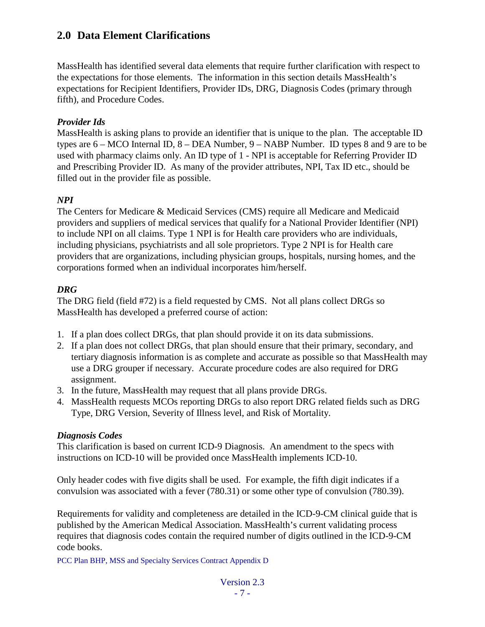### <span id="page-6-0"></span>**2.0 Data Element Clarifications**

MassHealth has identified several data elements that require further clarification with respect to the expectations for those elements. The information in this section details MassHealth's expectations for Recipient Identifiers, Provider IDs, DRG, Diagnosis Codes (primary through fifth), and Procedure Codes.

### <span id="page-6-1"></span>*Provider Ids*

MassHealth is asking plans to provide an identifier that is unique to the plan. The acceptable ID types are  $6 - MCO$  Internal ID,  $8 - DEA$  Number,  $9 - NABP$  Number. ID types 8 and 9 are to be used with pharmacy claims only. An ID type of 1 - NPI is acceptable for Referring Provider ID and Prescribing Provider ID. As many of the provider attributes, NPI, Tax ID etc., should be filled out in the provider file as possible.

### <span id="page-6-2"></span>*NPI*

The Centers for Medicare & Medicaid Services (CMS) require all Medicare and Medicaid providers and suppliers of medical services that qualify for a National Provider Identifier (NPI) to include NPI on all claims. Type 1 NPI is for Health care providers who are individuals, including physicians, psychiatrists and all sole proprietors. Type 2 NPI is for Health care providers that are organizations, including physician groups, hospitals, nursing homes, and the corporations formed when an individual incorporates him/herself.

#### <span id="page-6-3"></span>*DRG*

The DRG field (field #72) is a field requested by CMS. Not all plans collect DRGs so MassHealth has developed a preferred course of action:

- 1. If a plan does collect DRGs, that plan should provide it on its data submissions.
- 2. If a plan does not collect DRGs, that plan should ensure that their primary, secondary, and tertiary diagnosis information is as complete and accurate as possible so that MassHealth may use a DRG grouper if necessary. Accurate procedure codes are also required for DRG assignment.
- 3. In the future, MassHealth may request that all plans provide DRGs.
- 4. MassHealth requests MCOs reporting DRGs to also report DRG related fields such as DRG Type, DRG Version, Severity of Illness level, and Risk of Mortality.

#### <span id="page-6-4"></span>*Diagnosis Codes*

This clarification is based on current ICD-9 Diagnosis. An amendment to the specs with instructions on ICD-10 will be provided once MassHealth implements ICD-10.

Only header codes with five digits shall be used. For example, the fifth digit indicates if a convulsion was associated with a fever (780.31) or some other type of convulsion (780.39).

Requirements for validity and completeness are detailed in the ICD-9-CM clinical guide that is published by the American Medical Association. MassHealth's current validating process requires that diagnosis codes contain the required number of digits outlined in the ICD-9-CM code books.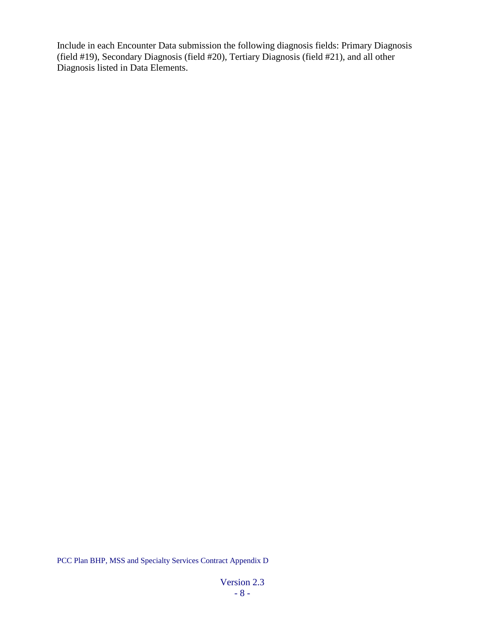Include in each Encounter Data submission the following diagnosis fields: Primary Diagnosis (field #19), Secondary Diagnosis (field #20), Tertiary Diagnosis (field #21), and all other Diagnosis listed in Data Elements.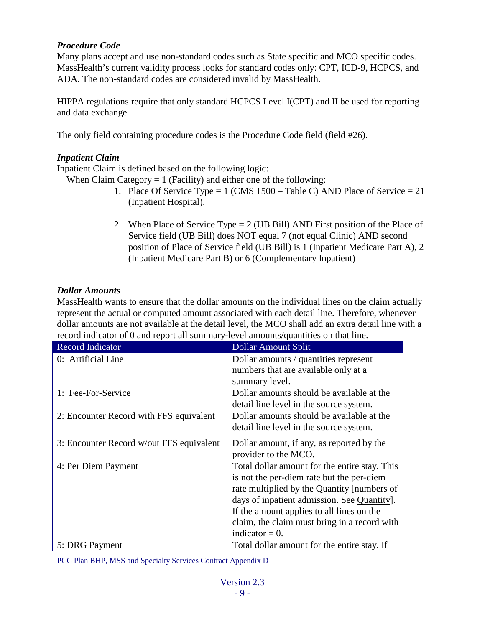#### *Procedure Code*

Many plans accept and use non-standard codes such as State specific and MCO specific codes. MassHealth's current validity process looks for standard codes only: CPT, ICD-9, HCPCS, and ADA. The non-standard codes are considered invalid by MassHealth.

HIPPA regulations require that only standard HCPCS Level I(CPT) and II be used for reporting and data exchange

The only field containing procedure codes is the Procedure Code field (field #26).

#### <span id="page-8-0"></span>*Inpatient Claim*

Inpatient Claim is defined based on the following logic:

When Claim Category  $= 1$  (Facility) and either one of the following:

- 1. Place Of Service Type = 1 (CMS 1500 Table C) AND Place of Service = 21 (Inpatient Hospital).
- 2. When Place of Service Type = 2 (UB Bill) AND First position of the Place of Service field (UB Bill) does NOT equal 7 (not equal Clinic) AND second position of Place of Service field (UB Bill) is 1 (Inpatient Medicare Part A), 2 (Inpatient Medicare Part B) or 6 (Complementary Inpatient)

#### <span id="page-8-1"></span>*Dollar Amounts*

MassHealth wants to ensure that the dollar amounts on the individual lines on the claim actually represent the actual or computed amount associated with each detail line. Therefore, whenever dollar amounts are not available at the detail level, the MCO shall add an extra detail line with a record indicator of 0 and report all summary-level amounts/quantities on that line.

| <b>Record Indicator</b>                  | <b>Dollar Amount Split</b>                    |
|------------------------------------------|-----------------------------------------------|
| 0: Artificial Line                       | Dollar amounts / quantities represent         |
|                                          | numbers that are available only at a          |
|                                          | summary level.                                |
| 1: Fee-For-Service                       | Dollar amounts should be available at the     |
|                                          | detail line level in the source system.       |
| 2: Encounter Record with FFS equivalent  | Dollar amounts should be available at the     |
|                                          | detail line level in the source system.       |
| 3: Encounter Record w/out FFS equivalent | Dollar amount, if any, as reported by the     |
|                                          | provider to the MCO.                          |
| 4: Per Diem Payment                      | Total dollar amount for the entire stay. This |
|                                          | is not the per-diem rate but the per-diem     |
|                                          | rate multiplied by the Quantity [numbers of   |
|                                          | days of inpatient admission. See Quantity.    |
|                                          | If the amount applies to all lines on the     |
|                                          | claim, the claim must bring in a record with  |
|                                          | indicator $= 0$ .                             |
| 5: DRG Payment                           | Total dollar amount for the entire stay. If   |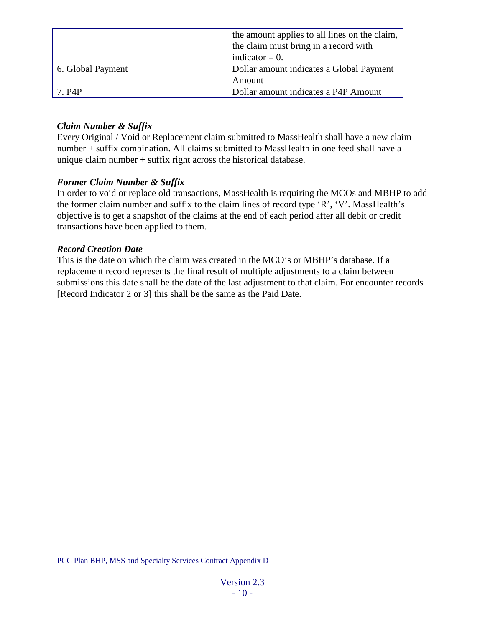|                   | the amount applies to all lines on the claim,<br>the claim must bring in a record with |
|-------------------|----------------------------------------------------------------------------------------|
|                   | indicator $= 0$ .                                                                      |
| 6. Global Payment | Dollar amount indicates a Global Payment                                               |
|                   | Amount                                                                                 |
| 7. P4P            | Dollar amount indicates a P4P Amount                                                   |

### <span id="page-9-0"></span>*Claim Number & Suffix*

Every Original / Void or Replacement claim submitted to MassHealth shall have a new claim number + suffix combination. All claims submitted to MassHealth in one feed shall have a unique claim number + suffix right across the historical database.

#### <span id="page-9-1"></span>*Former Claim Number & Suffix*

In order to void or replace old transactions, MassHealth is requiring the MCOs and MBHP to add the former claim number and suffix to the claim lines of record type 'R', 'V'. MassHealth's objective is to get a snapshot of the claims at the end of each period after all debit or credit transactions have been applied to them.

#### <span id="page-9-2"></span>*Record Creation Date*

This is the date on which the claim was created in the MCO's or MBHP's database. If a replacement record represents the final result of multiple adjustments to a claim between submissions this date shall be the date of the last adjustment to that claim. For encounter records [Record Indicator 2 or 3] this shall be the same as the [Paid Date.](#page-18-0)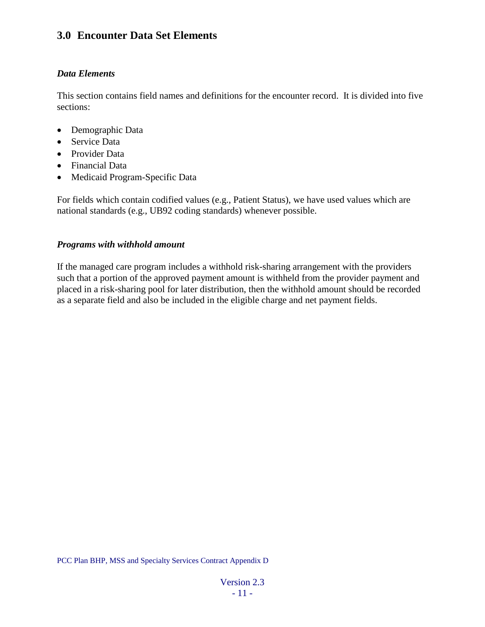### <span id="page-10-0"></span>**3.0 Encounter Data Set Elements**

#### <span id="page-10-1"></span>*Data Elements*

This section contains field names and definitions for the encounter record. It is divided into five sections:

- Demographic Data
- Service Data
- Provider Data
- Financial Data
- Medicaid Program-Specific Data

For fields which contain codified values (e.g., Patient Status), we have used values which are national standards (e.g., UB92 coding standards) whenever possible.

#### <span id="page-10-2"></span>*Programs with withhold amount*

If the managed care program includes a withhold risk-sharing arrangement with the providers such that a portion of the approved payment amount is withheld from the provider payment and placed in a risk-sharing pool for later distribution, then the withhold amount should be recorded as a separate field and also be included in the eligible charge and net payment fields.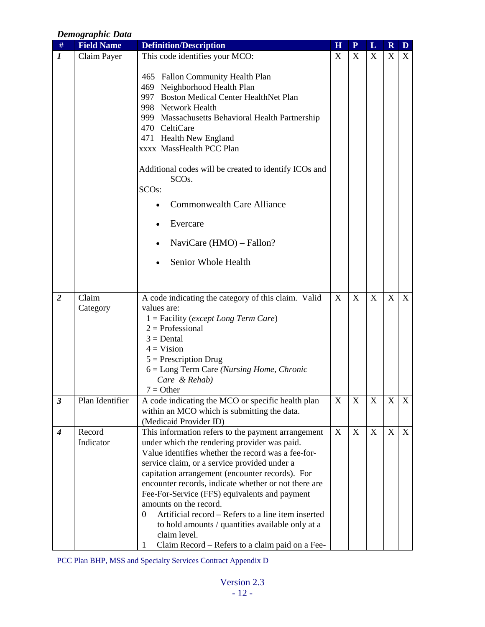#### <span id="page-11-0"></span>*Demographic Data* # **Field Name Definition/Description H P L R D** *1* | Claim Payer | This code identifies your MCO: 465 Fallon Community Health Plan 469 Neighborhood Health Plan 997 Boston Medical Center HealthNet Plan 998 Network Health 999 Massachusetts Behavioral Health Partnership 470 CeltiCare 471 Health New England xxxx MassHealth PCC Plan Additional codes will be created to identify ICOs and SCOs. SCOs: • Commonwealth Care Alliance • Evercare • NaviCare (HMO) – Fallon? Senior Whole Health  $X$   $X$   $X$   $X$ *2* Claim Category A code indicating the category of this claim. Valid values are: 1 = Facility (*except Long Term Care*)  $2 =$ Professional  $3 = \text{Dental}$  $4 = Vision$  $5$  = Prescription Drug 6 = Long Term Care *(Nursing Home, Chronic Care & Rehab)*  $7 = Other$  $X$  X X X X **3** Plan Identifier A code indicating the MCO or specific health plan within an MCO which is submitting the data. (Medicaid Provider ID)  $X$   $\mid$   $X$   $\mid$   $X$   $\mid$   $X$   $\mid$   $X$ *4* Record Indicator This information refers to the payment arrangement under which the rendering provider was paid. Value identifies whether the record was a fee-forservice claim, or a service provided under a capitation arrangement (encounter records). For encounter records, indicate whether or not there are Fee-For-Service (FFS) equivalents and payment amounts on the record. 0 Artificial record – Refers to a line item inserted to hold amounts / quantities available only at a claim level. 1 Claim Record – Refers to a claim paid on a Fee- $X$   $X$   $X$   $X$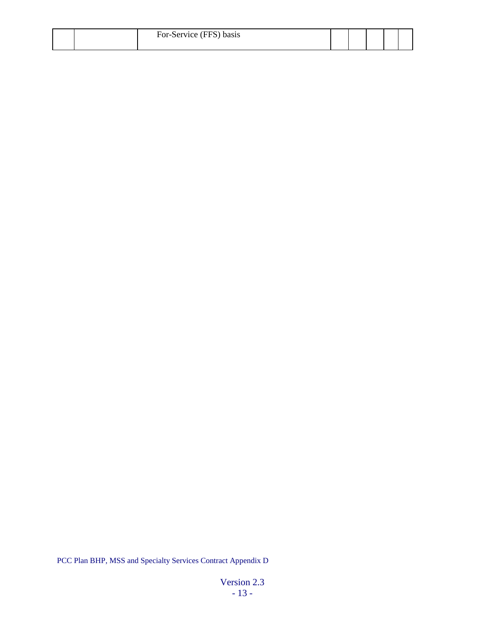|  | For-Service (FFS) basis |  |  |  |
|--|-------------------------|--|--|--|
|  |                         |  |  |  |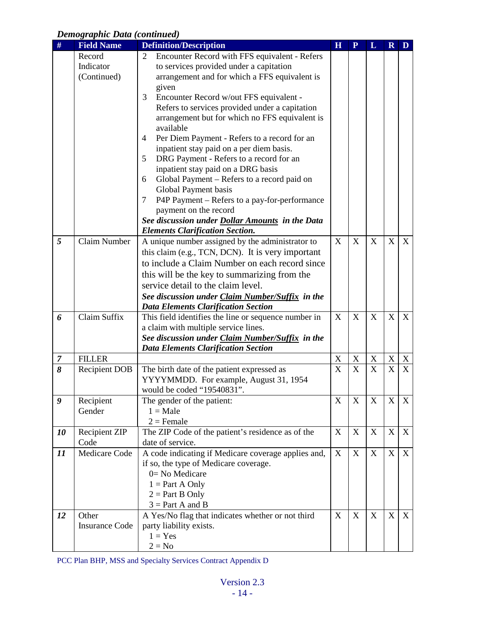### *Demographic Data (continued)*

| #              | <b>Field Name</b>     | <b>Definition/Description</b>                          | H           | $\overline{\mathbf{P}}$ | L           | $\mathbf R$               | D              |
|----------------|-----------------------|--------------------------------------------------------|-------------|-------------------------|-------------|---------------------------|----------------|
|                | Record                | Encounter Record with FFS equivalent - Refers<br>2     |             |                         |             |                           |                |
|                | Indicator             | to services provided under a capitation                |             |                         |             |                           |                |
|                | (Continued)           | arrangement and for which a FFS equivalent is          |             |                         |             |                           |                |
|                |                       | given                                                  |             |                         |             |                           |                |
|                |                       | 3<br>Encounter Record w/out FFS equivalent -           |             |                         |             |                           |                |
|                |                       | Refers to services provided under a capitation         |             |                         |             |                           |                |
|                |                       | arrangement but for which no FFS equivalent is         |             |                         |             |                           |                |
|                |                       | available                                              |             |                         |             |                           |                |
|                |                       | Per Diem Payment - Refers to a record for an<br>4      |             |                         |             |                           |                |
|                |                       | inpatient stay paid on a per diem basis.               |             |                         |             |                           |                |
|                |                       | DRG Payment - Refers to a record for an<br>5           |             |                         |             |                           |                |
|                |                       | inpatient stay paid on a DRG basis                     |             |                         |             |                           |                |
|                |                       | Global Payment - Refers to a record paid on<br>6       |             |                         |             |                           |                |
|                |                       | Global Payment basis                                   |             |                         |             |                           |                |
|                |                       | P4P Payment - Refers to a pay-for-performance<br>7     |             |                         |             |                           |                |
|                |                       | payment on the record                                  |             |                         |             |                           |                |
|                |                       | See discussion under <b>Dollar Amounts</b> in the Data |             |                         |             |                           |                |
|                |                       | <b>Elements Clarification Section.</b>                 |             |                         |             |                           |                |
| 5              | Claim Number          | A unique number assigned by the administrator to       | X           | X                       | X           | X                         | X              |
|                |                       | this claim (e.g., TCN, DCN). It is very important      |             |                         |             |                           |                |
|                |                       | to include a Claim Number on each record since         |             |                         |             |                           |                |
|                |                       | this will be the key to summarizing from the           |             |                         |             |                           |                |
|                |                       | service detail to the claim level.                     |             |                         |             |                           |                |
|                |                       | See discussion under Claim Number/Suffix in the        |             |                         |             |                           |                |
|                |                       | <b>Data Elements Clarification Section</b>             |             |                         |             |                           |                |
| 6              | Claim Suffix          | This field identifies the line or sequence number in   | X           | X                       | X           | $\boldsymbol{\mathrm{X}}$ | X              |
|                |                       | a claim with multiple service lines.                   |             |                         |             |                           |                |
|                |                       | See discussion under Claim Number/Suffix in the        |             |                         |             |                           |                |
|                |                       | <b>Data Elements Clarification Section</b>             |             |                         |             |                           |                |
| $\overline{7}$ | <b>FILLER</b>         |                                                        | $\mathbf X$ | $\mathbf X$             | $\mathbf X$ | $\mathbf X$               | X              |
| 8              | <b>Recipient DOB</b>  | The birth date of the patient expressed as             | X           | $\mathbf X$             | $\mathbf X$ | X                         | $\overline{X}$ |
|                |                       | YYYYMMDD. For example, August 31, 1954                 |             |                         |             |                           |                |
|                |                       | would be coded "19540831".                             |             |                         |             |                           |                |
| 9              | Recipient             | The gender of the patient:                             | X           | X                       | X           | X                         | X              |
|                | Gender                | $1 = Male$                                             |             |                         |             |                           |                |
|                |                       | $2 =$ Female                                           |             |                         |             |                           |                |
| 10             | <b>Recipient ZIP</b>  | The ZIP Code of the patient's residence as of the      | X           | X                       | X           | $\mathbf X$               | X              |
|                | Code                  | date of service.                                       |             |                         |             |                           |                |
| 11             | Medicare Code         | A code indicating if Medicare coverage applies and,    | X           | X                       | X           | X                         | $\mathbf X$    |
|                |                       | if so, the type of Medicare coverage.                  |             |                         |             |                           |                |
|                |                       | $0=$ No Medicare                                       |             |                         |             |                           |                |
|                |                       | $1 = Part A Only$                                      |             |                         |             |                           |                |
|                |                       | $2 = Part B Only$                                      |             |                         |             |                           |                |
|                |                       | $3 = Part A$ and B                                     |             |                         |             |                           |                |
| 12             | Other                 | A Yes/No flag that indicates whether or not third      | X           | $\mathbf X$             | $\mathbf X$ | X                         | X              |
|                | <b>Insurance Code</b> | party liability exists.                                |             |                         |             |                           |                |
|                |                       | $1 = Yes$                                              |             |                         |             |                           |                |
|                |                       | $2 = No$                                               |             |                         |             |                           |                |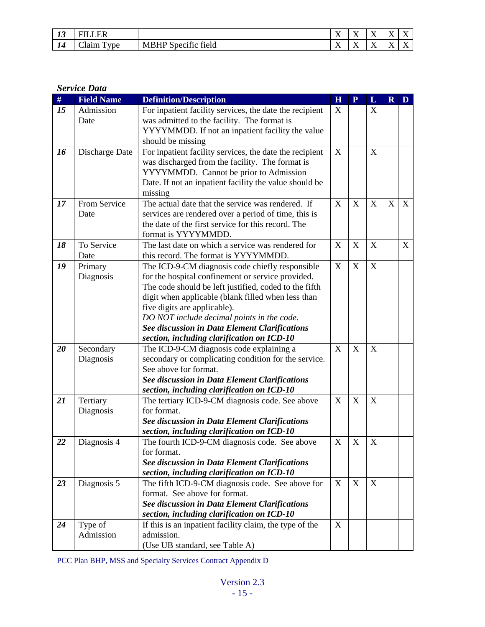| $\mathbf{z}$<br>Ψ   | יד                          |                                                               | $-$<br>. .                       | $\sim$ $\sim$<br>. . | $ -$<br><b>TX</b> | $\mathbf{v}$<br><br>$\overline{\phantom{a}}$<br>$\lambda$                 | . .         |
|---------------------|-----------------------------|---------------------------------------------------------------|----------------------------------|----------------------|-------------------|---------------------------------------------------------------------------|-------------|
| $\mathbf{1}$<br>1 T | $\sim$<br>—<br>vne<br>Aaim. | .<br>$\sim$<br>ЛD<br>MR<br>tield<br>Specific<br><b>INIDIH</b> | $ -$<br>$\overline{\phantom{a}}$ | $ -$<br>. .          | $-$<br><b>TX</b>  | $\mathbf{v}$<br>`<br>$\overline{\phantom{a}}$<br>$\overline{\phantom{a}}$ | $ -$<br>. . |

#### <span id="page-14-0"></span>*Service Data*

| $\#$ | <b>Field Name</b> | <b>Definition/Description</b>                                                                      | H | $\overline{\mathbf{P}}$   | L           | $\mathbf R$ | D |
|------|-------------------|----------------------------------------------------------------------------------------------------|---|---------------------------|-------------|-------------|---|
| 15   | Admission         | For inpatient facility services, the date the recipient                                            | X |                           | X           |             |   |
|      | Date              | was admitted to the facility. The format is                                                        |   |                           |             |             |   |
|      |                   | YYYYMMDD. If not an inpatient facility the value                                                   |   |                           |             |             |   |
|      |                   | should be missing                                                                                  |   |                           |             |             |   |
| 16   | Discharge Date    | For inpatient facility services, the date the recipient                                            | X |                           | X           |             |   |
|      |                   | was discharged from the facility. The format is                                                    |   |                           |             |             |   |
|      |                   | YYYYMMDD. Cannot be prior to Admission                                                             |   |                           |             |             |   |
|      |                   | Date. If not an inpatient facility the value should be                                             |   |                           |             |             |   |
|      |                   | missing                                                                                            |   |                           |             |             |   |
| 17   | From Service      | The actual date that the service was rendered. If                                                  | X | X                         | X           |             | X |
|      | Date              | services are rendered over a period of time, this is                                               |   |                           |             |             |   |
|      |                   | the date of the first service for this record. The                                                 |   |                           |             |             |   |
|      |                   | format is YYYYMMDD.                                                                                |   |                           |             |             |   |
| 18   | To Service        | The last date on which a service was rendered for                                                  | X | X                         | X           | X           | X |
|      | Date              | this record. The format is YYYYMMDD.                                                               |   |                           |             |             |   |
| 19   | Primary           | The ICD-9-CM diagnosis code chiefly responsible                                                    | X | X                         | $\mathbf X$ |             |   |
|      | Diagnosis         | for the hospital confinement or service provided.                                                  |   |                           |             |             |   |
|      |                   | The code should be left justified, coded to the fifth                                              |   |                           |             |             |   |
|      |                   | digit when applicable (blank filled when less than                                                 |   |                           |             |             |   |
|      |                   | five digits are applicable).                                                                       |   |                           |             |             |   |
|      |                   | DO NOT include decimal points in the code.<br><b>See discussion in Data Element Clarifications</b> |   |                           |             |             |   |
|      |                   | section, including clarification on ICD-10                                                         |   |                           |             |             |   |
| 20   | Secondary         | The ICD-9-CM diagnosis code explaining a                                                           | X | $\mathbf X$               | $\mathbf X$ |             |   |
|      | Diagnosis         | secondary or complicating condition for the service.                                               |   |                           |             |             |   |
|      |                   | See above for format.                                                                              |   |                           |             |             |   |
|      |                   | <b>See discussion in Data Element Clarifications</b>                                               |   |                           |             |             |   |
|      |                   | section, including clarification on ICD-10                                                         |   |                           |             |             |   |
| 21   | Tertiary          | The tertiary ICD-9-CM diagnosis code. See above                                                    | X | $\boldsymbol{\mathrm{X}}$ | X           |             |   |
|      | Diagnosis         | for format.                                                                                        |   |                           |             |             |   |
|      |                   | <b>See discussion in Data Element Clarifications</b>                                               |   |                           |             |             |   |
|      |                   | section, including clarification on ICD-10                                                         |   |                           |             |             |   |
| 22   | Diagnosis 4       | The fourth ICD-9-CM diagnosis code. See above                                                      | X | X                         | $\mathbf X$ |             |   |
|      |                   | for format.                                                                                        |   |                           |             |             |   |
|      |                   | <b>See discussion in Data Element Clarifications</b>                                               |   |                           |             |             |   |
|      |                   | section, including clarification on ICD-10                                                         |   |                           |             |             |   |
| 23   | Diagnosis 5       | The fifth ICD-9-CM diagnosis code. See above for                                                   | X | X                         | X           |             |   |
|      |                   | format. See above for format.                                                                      |   |                           |             |             |   |
|      |                   | <b>See discussion in Data Element Clarifications</b>                                               |   |                           |             |             |   |
|      |                   | section, including clarification on ICD-10                                                         |   |                           |             |             |   |
| 24   | Type of           | If this is an inpatient facility claim, the type of the                                            | X |                           |             |             |   |
|      | Admission         | admission.                                                                                         |   |                           |             |             |   |
|      |                   | (Use UB standard, see Table A)                                                                     |   |                           |             |             |   |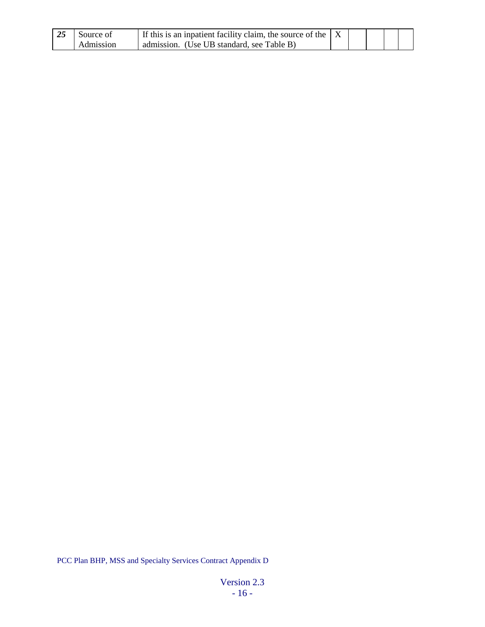| 25 | Source of | If this is an inpatient facility claim, the source of the $ X $ |  |  |  |
|----|-----------|-----------------------------------------------------------------|--|--|--|
|    | Admission | admission. (Use UB standard, see Table B)                       |  |  |  |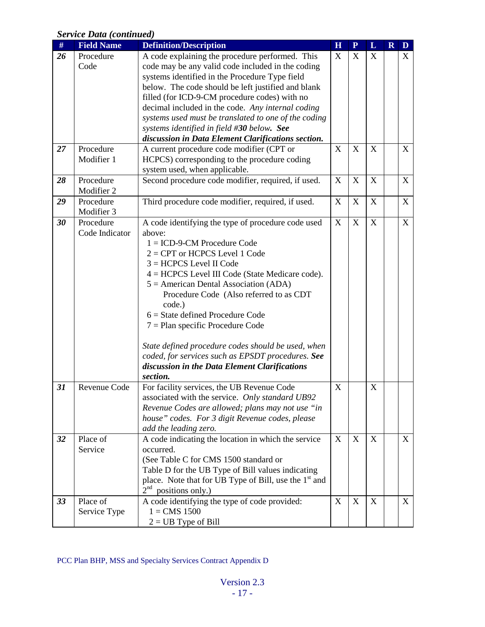### *Service Data (continued)*

| <b>Field Name</b> | <b>Definition/Description</b>                                   | H                                                                                                                                                                                                                                                                                                                                                                                                                                                                                                                                                                                                                                                                                                                                                                                                                                                                                                                                                                                                                                                                                                                                                                                                                                                         | ${\bf P}$ | L                         | $\mathbf R$      | D |
|-------------------|-----------------------------------------------------------------|-----------------------------------------------------------------------------------------------------------------------------------------------------------------------------------------------------------------------------------------------------------------------------------------------------------------------------------------------------------------------------------------------------------------------------------------------------------------------------------------------------------------------------------------------------------------------------------------------------------------------------------------------------------------------------------------------------------------------------------------------------------------------------------------------------------------------------------------------------------------------------------------------------------------------------------------------------------------------------------------------------------------------------------------------------------------------------------------------------------------------------------------------------------------------------------------------------------------------------------------------------------|-----------|---------------------------|------------------|---|
| Procedure         | A code explaining the procedure performed. This                 | X                                                                                                                                                                                                                                                                                                                                                                                                                                                                                                                                                                                                                                                                                                                                                                                                                                                                                                                                                                                                                                                                                                                                                                                                                                                         | X         | X                         |                  | X |
| Code              | code may be any valid code included in the coding               |                                                                                                                                                                                                                                                                                                                                                                                                                                                                                                                                                                                                                                                                                                                                                                                                                                                                                                                                                                                                                                                                                                                                                                                                                                                           |           |                           |                  |   |
|                   | systems identified in the Procedure Type field                  |                                                                                                                                                                                                                                                                                                                                                                                                                                                                                                                                                                                                                                                                                                                                                                                                                                                                                                                                                                                                                                                                                                                                                                                                                                                           |           |                           |                  |   |
|                   |                                                                 |                                                                                                                                                                                                                                                                                                                                                                                                                                                                                                                                                                                                                                                                                                                                                                                                                                                                                                                                                                                                                                                                                                                                                                                                                                                           |           |                           |                  |   |
|                   |                                                                 |                                                                                                                                                                                                                                                                                                                                                                                                                                                                                                                                                                                                                                                                                                                                                                                                                                                                                                                                                                                                                                                                                                                                                                                                                                                           |           |                           |                  |   |
|                   | decimal included in the code. Any internal coding               |                                                                                                                                                                                                                                                                                                                                                                                                                                                                                                                                                                                                                                                                                                                                                                                                                                                                                                                                                                                                                                                                                                                                                                                                                                                           |           |                           |                  |   |
|                   | systems used must be translated to one of the coding            |                                                                                                                                                                                                                                                                                                                                                                                                                                                                                                                                                                                                                                                                                                                                                                                                                                                                                                                                                                                                                                                                                                                                                                                                                                                           |           |                           |                  |   |
|                   | systems identified in field #30 below. See                      |                                                                                                                                                                                                                                                                                                                                                                                                                                                                                                                                                                                                                                                                                                                                                                                                                                                                                                                                                                                                                                                                                                                                                                                                                                                           |           |                           |                  |   |
|                   | discussion in Data Element Clarifications section.              |                                                                                                                                                                                                                                                                                                                                                                                                                                                                                                                                                                                                                                                                                                                                                                                                                                                                                                                                                                                                                                                                                                                                                                                                                                                           |           |                           |                  |   |
| Procedure         | A current procedure code modifier (CPT or                       | X                                                                                                                                                                                                                                                                                                                                                                                                                                                                                                                                                                                                                                                                                                                                                                                                                                                                                                                                                                                                                                                                                                                                                                                                                                                         | X         | $\mathbf X$               |                  | X |
| Modifier 1        |                                                                 |                                                                                                                                                                                                                                                                                                                                                                                                                                                                                                                                                                                                                                                                                                                                                                                                                                                                                                                                                                                                                                                                                                                                                                                                                                                           |           |                           |                  |   |
|                   |                                                                 |                                                                                                                                                                                                                                                                                                                                                                                                                                                                                                                                                                                                                                                                                                                                                                                                                                                                                                                                                                                                                                                                                                                                                                                                                                                           |           |                           |                  |   |
| Procedure         |                                                                 | X                                                                                                                                                                                                                                                                                                                                                                                                                                                                                                                                                                                                                                                                                                                                                                                                                                                                                                                                                                                                                                                                                                                                                                                                                                                         | X         | X                         |                  | X |
| Modifier 2        |                                                                 |                                                                                                                                                                                                                                                                                                                                                                                                                                                                                                                                                                                                                                                                                                                                                                                                                                                                                                                                                                                                                                                                                                                                                                                                                                                           |           |                           |                  |   |
|                   |                                                                 | X                                                                                                                                                                                                                                                                                                                                                                                                                                                                                                                                                                                                                                                                                                                                                                                                                                                                                                                                                                                                                                                                                                                                                                                                                                                         | X         | $\boldsymbol{\mathrm{X}}$ |                  | X |
|                   |                                                                 |                                                                                                                                                                                                                                                                                                                                                                                                                                                                                                                                                                                                                                                                                                                                                                                                                                                                                                                                                                                                                                                                                                                                                                                                                                                           |           |                           |                  |   |
|                   |                                                                 |                                                                                                                                                                                                                                                                                                                                                                                                                                                                                                                                                                                                                                                                                                                                                                                                                                                                                                                                                                                                                                                                                                                                                                                                                                                           |           |                           |                  | X |
| Code Indicator    | above:                                                          |                                                                                                                                                                                                                                                                                                                                                                                                                                                                                                                                                                                                                                                                                                                                                                                                                                                                                                                                                                                                                                                                                                                                                                                                                                                           |           |                           |                  |   |
|                   | $1 = ICD-9-CM$ Procedure Code                                   |                                                                                                                                                                                                                                                                                                                                                                                                                                                                                                                                                                                                                                                                                                                                                                                                                                                                                                                                                                                                                                                                                                                                                                                                                                                           |           |                           |                  |   |
|                   | $2 = CPT$ or HCPCS Level 1 Code                                 |                                                                                                                                                                                                                                                                                                                                                                                                                                                                                                                                                                                                                                                                                                                                                                                                                                                                                                                                                                                                                                                                                                                                                                                                                                                           |           |                           |                  |   |
|                   | $3 = HCPCS$ Level II Code                                       |                                                                                                                                                                                                                                                                                                                                                                                                                                                                                                                                                                                                                                                                                                                                                                                                                                                                                                                                                                                                                                                                                                                                                                                                                                                           |           |                           |                  |   |
|                   |                                                                 |                                                                                                                                                                                                                                                                                                                                                                                                                                                                                                                                                                                                                                                                                                                                                                                                                                                                                                                                                                                                                                                                                                                                                                                                                                                           |           |                           |                  |   |
|                   |                                                                 |                                                                                                                                                                                                                                                                                                                                                                                                                                                                                                                                                                                                                                                                                                                                                                                                                                                                                                                                                                                                                                                                                                                                                                                                                                                           |           |                           |                  |   |
|                   |                                                                 |                                                                                                                                                                                                                                                                                                                                                                                                                                                                                                                                                                                                                                                                                                                                                                                                                                                                                                                                                                                                                                                                                                                                                                                                                                                           |           |                           |                  |   |
|                   |                                                                 |                                                                                                                                                                                                                                                                                                                                                                                                                                                                                                                                                                                                                                                                                                                                                                                                                                                                                                                                                                                                                                                                                                                                                                                                                                                           |           |                           |                  |   |
|                   |                                                                 |                                                                                                                                                                                                                                                                                                                                                                                                                                                                                                                                                                                                                                                                                                                                                                                                                                                                                                                                                                                                                                                                                                                                                                                                                                                           |           |                           |                  |   |
|                   |                                                                 |                                                                                                                                                                                                                                                                                                                                                                                                                                                                                                                                                                                                                                                                                                                                                                                                                                                                                                                                                                                                                                                                                                                                                                                                                                                           |           |                           |                  |   |
|                   |                                                                 |                                                                                                                                                                                                                                                                                                                                                                                                                                                                                                                                                                                                                                                                                                                                                                                                                                                                                                                                                                                                                                                                                                                                                                                                                                                           |           |                           |                  |   |
|                   |                                                                 |                                                                                                                                                                                                                                                                                                                                                                                                                                                                                                                                                                                                                                                                                                                                                                                                                                                                                                                                                                                                                                                                                                                                                                                                                                                           |           |                           |                  |   |
|                   |                                                                 |                                                                                                                                                                                                                                                                                                                                                                                                                                                                                                                                                                                                                                                                                                                                                                                                                                                                                                                                                                                                                                                                                                                                                                                                                                                           |           |                           |                  |   |
|                   |                                                                 |                                                                                                                                                                                                                                                                                                                                                                                                                                                                                                                                                                                                                                                                                                                                                                                                                                                                                                                                                                                                                                                                                                                                                                                                                                                           |           |                           |                  |   |
|                   |                                                                 |                                                                                                                                                                                                                                                                                                                                                                                                                                                                                                                                                                                                                                                                                                                                                                                                                                                                                                                                                                                                                                                                                                                                                                                                                                                           |           |                           |                  |   |
|                   |                                                                 |                                                                                                                                                                                                                                                                                                                                                                                                                                                                                                                                                                                                                                                                                                                                                                                                                                                                                                                                                                                                                                                                                                                                                                                                                                                           |           |                           |                  |   |
|                   |                                                                 |                                                                                                                                                                                                                                                                                                                                                                                                                                                                                                                                                                                                                                                                                                                                                                                                                                                                                                                                                                                                                                                                                                                                                                                                                                                           |           |                           |                  |   |
|                   |                                                                 |                                                                                                                                                                                                                                                                                                                                                                                                                                                                                                                                                                                                                                                                                                                                                                                                                                                                                                                                                                                                                                                                                                                                                                                                                                                           |           |                           |                  |   |
|                   |                                                                 |                                                                                                                                                                                                                                                                                                                                                                                                                                                                                                                                                                                                                                                                                                                                                                                                                                                                                                                                                                                                                                                                                                                                                                                                                                                           |           |                           |                  |   |
|                   |                                                                 |                                                                                                                                                                                                                                                                                                                                                                                                                                                                                                                                                                                                                                                                                                                                                                                                                                                                                                                                                                                                                                                                                                                                                                                                                                                           |           |                           |                  |   |
| Place of          |                                                                 | X                                                                                                                                                                                                                                                                                                                                                                                                                                                                                                                                                                                                                                                                                                                                                                                                                                                                                                                                                                                                                                                                                                                                                                                                                                                         | X         | X                         |                  | X |
|                   |                                                                 |                                                                                                                                                                                                                                                                                                                                                                                                                                                                                                                                                                                                                                                                                                                                                                                                                                                                                                                                                                                                                                                                                                                                                                                                                                                           |           |                           |                  |   |
|                   |                                                                 |                                                                                                                                                                                                                                                                                                                                                                                                                                                                                                                                                                                                                                                                                                                                                                                                                                                                                                                                                                                                                                                                                                                                                                                                                                                           |           |                           |                  |   |
|                   |                                                                 |                                                                                                                                                                                                                                                                                                                                                                                                                                                                                                                                                                                                                                                                                                                                                                                                                                                                                                                                                                                                                                                                                                                                                                                                                                                           |           |                           |                  |   |
|                   |                                                                 |                                                                                                                                                                                                                                                                                                                                                                                                                                                                                                                                                                                                                                                                                                                                                                                                                                                                                                                                                                                                                                                                                                                                                                                                                                                           |           |                           |                  |   |
|                   |                                                                 |                                                                                                                                                                                                                                                                                                                                                                                                                                                                                                                                                                                                                                                                                                                                                                                                                                                                                                                                                                                                                                                                                                                                                                                                                                                           |           |                           |                  |   |
|                   |                                                                 |                                                                                                                                                                                                                                                                                                                                                                                                                                                                                                                                                                                                                                                                                                                                                                                                                                                                                                                                                                                                                                                                                                                                                                                                                                                           |           |                           |                  |   |
| Place of          | positions only.)                                                | X                                                                                                                                                                                                                                                                                                                                                                                                                                                                                                                                                                                                                                                                                                                                                                                                                                                                                                                                                                                                                                                                                                                                                                                                                                                         | X         | X                         |                  | X |
| Service Type      | A code identifying the type of code provided:<br>$1 = CMS 1500$ |                                                                                                                                                                                                                                                                                                                                                                                                                                                                                                                                                                                                                                                                                                                                                                                                                                                                                                                                                                                                                                                                                                                                                                                                                                                           |           |                           |                  |   |
|                   | Procedure<br>Modifier 3<br>Procedure<br>Revenue Code<br>Service | below. The code should be left justified and blank<br>filled (for ICD-9-CM procedure codes) with no<br>HCPCS) corresponding to the procedure coding<br>system used, when applicable.<br>Second procedure code modifier, required, if used.<br>Third procedure code modifier, required, if used.<br>A code identifying the type of procedure code used<br>$4 = HCPCS$ Level III Code (State Medicare code).<br>$5 =$ American Dental Association (ADA)<br>Procedure Code (Also referred to as CDT<br>code.)<br>$6 =$ State defined Procedure Code<br>$7 =$ Plan specific Procedure Code<br>State defined procedure codes should be used, when<br>coded, for services such as EPSDT procedures. See<br>discussion in the Data Element Clarifications<br>section.<br>For facility services, the UB Revenue Code<br>associated with the service. Only standard UB92<br>Revenue Codes are allowed; plans may not use "in<br>house" codes. For 3 digit Revenue codes, please<br>add the leading zero.<br>A code indicating the location in which the service<br>occurred.<br>(See Table C for CMS 1500 standard or<br>Table D for the UB Type of Bill values indicating<br>place. Note that for UB Type of Bill, use the 1 <sup>st</sup> and<br>2 <sup>nd</sup> | X<br>X    | $\mathbf X$               | $\mathbf X$<br>X |   |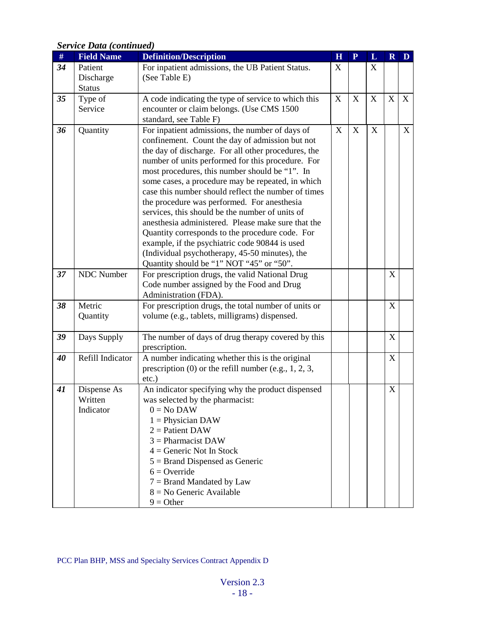<span id="page-17-0"></span>

| $\#$ | <b>Field Name</b> | <b>Definition/Description</b>                                                                     | $\overline{\mathbf{H}}$ | ${\bf P}$   | L           | $\mathbf R$ | D |
|------|-------------------|---------------------------------------------------------------------------------------------------|-------------------------|-------------|-------------|-------------|---|
| 34   | Patient           | For inpatient admissions, the UB Patient Status.                                                  | X                       |             | X           |             |   |
|      | Discharge         | (See Table E)                                                                                     |                         |             |             |             |   |
|      | <b>Status</b>     |                                                                                                   |                         |             |             |             |   |
| 35   | Type of           | A code indicating the type of service to which this                                               | X                       | X           | X           | X           | X |
|      | Service           | encounter or claim belongs. (Use CMS 1500                                                         |                         |             |             |             |   |
|      |                   | standard, see Table F)                                                                            |                         |             |             |             |   |
| 36   | Quantity          | For inpatient admissions, the number of days of                                                   | X                       | $\mathbf X$ | $\mathbf X$ |             | X |
|      |                   | confinement. Count the day of admission but not                                                   |                         |             |             |             |   |
|      |                   | the day of discharge. For all other procedures, the                                               |                         |             |             |             |   |
|      |                   | number of units performed for this procedure. For                                                 |                         |             |             |             |   |
|      |                   | most procedures, this number should be "1". In                                                    |                         |             |             |             |   |
|      |                   | some cases, a procedure may be repeated, in which                                                 |                         |             |             |             |   |
|      |                   | case this number should reflect the number of times                                               |                         |             |             |             |   |
|      |                   | the procedure was performed. For anesthesia                                                       |                         |             |             |             |   |
|      |                   | services, this should be the number of units of                                                   |                         |             |             |             |   |
|      |                   | anesthesia administered. Please make sure that the                                                |                         |             |             |             |   |
|      |                   | Quantity corresponds to the procedure code. For<br>example, if the psychiatric code 90844 is used |                         |             |             |             |   |
|      |                   | (Individual psychotherapy, 45-50 minutes), the                                                    |                         |             |             |             |   |
|      |                   | Quantity should be "1" NOT "45" or "50".                                                          |                         |             |             |             |   |
| 37   | <b>NDC</b> Number | For prescription drugs, the valid National Drug                                                   |                         |             |             | X           |   |
|      |                   | Code number assigned by the Food and Drug                                                         |                         |             |             |             |   |
|      |                   | Administration (FDA).                                                                             |                         |             |             |             |   |
| 38   | Metric            | For prescription drugs, the total number of units or                                              |                         |             |             | X           |   |
|      | Quantity          | volume (e.g., tablets, milligrams) dispensed.                                                     |                         |             |             |             |   |
|      |                   |                                                                                                   |                         |             |             |             |   |
| 39   | Days Supply       | The number of days of drug therapy covered by this                                                |                         |             |             | X           |   |
|      |                   | prescription.                                                                                     |                         |             |             |             |   |
| 40   | Refill Indicator  | A number indicating whether this is the original                                                  |                         |             |             | $\mathbf X$ |   |
|      |                   | prescription $(0)$ or the refill number (e.g., 1, 2, 3,                                           |                         |             |             |             |   |
|      |                   | $etc.$ )                                                                                          |                         |             |             |             |   |
| 41   | Dispense As       | An indicator specifying why the product dispensed                                                 |                         |             |             | X           |   |
|      | Written           | was selected by the pharmacist:                                                                   |                         |             |             |             |   |
|      | Indicator         | $0 = No$ DAW                                                                                      |                         |             |             |             |   |
|      |                   | $1 =$ Physician DAW                                                                               |                         |             |             |             |   |
|      |                   | $2 =$ Patient DAW<br>$3 =$ Pharmacist DAW                                                         |                         |             |             |             |   |
|      |                   | $4 =$ Generic Not In Stock                                                                        |                         |             |             |             |   |
|      |                   |                                                                                                   |                         |             |             |             |   |
|      |                   | $5 =$ Brand Dispensed as Generic<br>$6 =$ Override                                                |                         |             |             |             |   |
|      |                   | $7 =$ Brand Mandated by Law                                                                       |                         |             |             |             |   |
|      |                   | $8 = No$ Generic Available                                                                        |                         |             |             |             |   |
|      |                   | $9 = Other$                                                                                       |                         |             |             |             |   |
|      |                   |                                                                                                   |                         |             |             |             |   |

### *Service Data (continued)*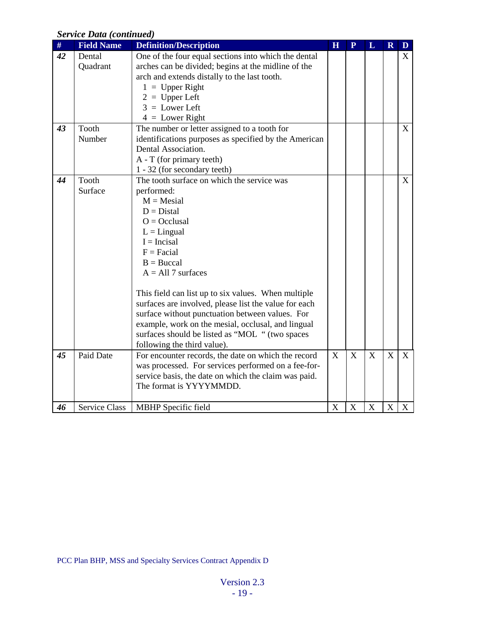### *Service Data (continued)*

<span id="page-18-0"></span>

| $\#$ | <b>Field Name</b>    | <b>Definition/Description</b>                         | $\overline{\mathbf{H}}$ | $\overline{\mathbf{P}}$ | L            | $\mathbf R$               | $\mathbf{D}$ |
|------|----------------------|-------------------------------------------------------|-------------------------|-------------------------|--------------|---------------------------|--------------|
| 42   | Dental               | One of the four equal sections into which the dental  |                         |                         |              |                           | X            |
|      | Quadrant             | arches can be divided; begins at the midline of the   |                         |                         |              |                           |              |
|      |                      | arch and extends distally to the last tooth.          |                         |                         |              |                           |              |
|      |                      | $1 = Upper Right$                                     |                         |                         |              |                           |              |
|      |                      | $2 = Upper Left$                                      |                         |                         |              |                           |              |
|      |                      | $3 =$ Lower Left                                      |                         |                         |              |                           |              |
|      |                      | $4 =$ Lower Right                                     |                         |                         |              |                           |              |
| 43   | Tooth                | The number or letter assigned to a tooth for          |                         |                         |              |                           | X            |
|      | Number               | identifications purposes as specified by the American |                         |                         |              |                           |              |
|      |                      | Dental Association.                                   |                         |                         |              |                           |              |
|      |                      | A - T (for primary teeth)                             |                         |                         |              |                           |              |
|      |                      | 1 - 32 (for secondary teeth)                          |                         |                         |              |                           |              |
| 44   | Tooth                | The tooth surface on which the service was            |                         |                         |              |                           | X            |
|      | Surface              | performed:                                            |                         |                         |              |                           |              |
|      |                      | $M = Mesial$                                          |                         |                         |              |                           |              |
|      |                      | $D = Distal$                                          |                         |                         |              |                           |              |
|      |                      | $O = Occlusal$                                        |                         |                         |              |                           |              |
|      |                      | $L =$ Lingual                                         |                         |                         |              |                           |              |
|      |                      | $I = Incisal$                                         |                         |                         |              |                           |              |
|      |                      | $F = Facial$                                          |                         |                         |              |                           |              |
|      |                      | $B = Buccal$                                          |                         |                         |              |                           |              |
|      |                      | $A = All 7 surfaces$                                  |                         |                         |              |                           |              |
|      |                      | This field can list up to six values. When multiple   |                         |                         |              |                           |              |
|      |                      | surfaces are involved, please list the value for each |                         |                         |              |                           |              |
|      |                      | surface without punctuation between values. For       |                         |                         |              |                           |              |
|      |                      | example, work on the mesial, occlusal, and lingual    |                         |                         |              |                           |              |
|      |                      | surfaces should be listed as "MOL " (two spaces       |                         |                         |              |                           |              |
|      |                      | following the third value).                           |                         |                         |              |                           |              |
| 45   | <b>Paid Date</b>     | For encounter records, the date on which the record   | $\overline{X}$          | $\overline{X}$          | $\mathbf{X}$ | X                         | $\mathbf{X}$ |
|      |                      | was processed. For services performed on a fee-for-   |                         |                         |              |                           |              |
|      |                      | service basis, the date on which the claim was paid.  |                         |                         |              |                           |              |
|      |                      | The format is YYYYMMDD.                               |                         |                         |              |                           |              |
|      |                      |                                                       |                         |                         |              |                           |              |
| 46   | <b>Service Class</b> | <b>MBHP</b> Specific field                            | X                       | $\boldsymbol{X}$        | X            | $\boldsymbol{\mathrm{X}}$ | X            |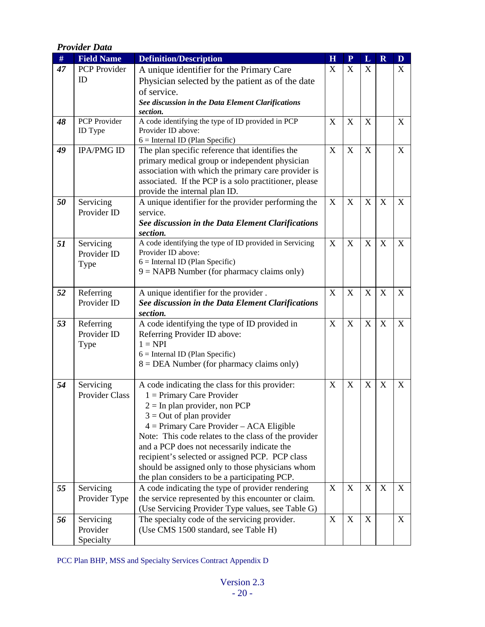<span id="page-19-0"></span>

|    | <b>Provider Data</b>           |                                                                                                         |             |                           |   |                           |             |
|----|--------------------------------|---------------------------------------------------------------------------------------------------------|-------------|---------------------------|---|---------------------------|-------------|
| #  | <b>Field Name</b>              | <b>Definition/Description</b>                                                                           | $\mathbf H$ | ${\bf P}$                 | L | $\mathbf R$               | $\mathbf D$ |
| 47 | <b>PCP</b> Provider            | A unique identifier for the Primary Care                                                                | X           | $\mathbf X$               | X |                           | X           |
|    | ID                             | Physician selected by the patient as of the date                                                        |             |                           |   |                           |             |
|    |                                | of service.                                                                                             |             |                           |   |                           |             |
|    |                                | See discussion in the Data Element Clarifications                                                       |             |                           |   |                           |             |
|    |                                | section.                                                                                                |             |                           |   |                           |             |
| 48 | <b>PCP</b> Provider<br>ID Type | A code identifying the type of ID provided in PCP<br>Provider ID above:                                 | X           | $\mathbf X$               | X |                           | X           |
|    |                                | $6 =$ Internal ID (Plan Specific)                                                                       |             |                           |   |                           |             |
| 49 | <b>IPA/PMG ID</b>              | The plan specific reference that identifies the                                                         | X           | $\mathbf X$               | X |                           | X           |
|    |                                | primary medical group or independent physician                                                          |             |                           |   |                           |             |
|    |                                | association with which the primary care provider is                                                     |             |                           |   |                           |             |
|    |                                | associated. If the PCP is a solo practitioner, please                                                   |             |                           |   |                           |             |
|    |                                | provide the internal plan ID.                                                                           |             |                           |   |                           |             |
| 50 | Servicing                      | A unique identifier for the provider performing the                                                     | X           | $\mathbf X$               | X | X                         | X           |
|    | Provider ID                    | service.                                                                                                |             |                           |   |                           |             |
|    |                                | See discussion in the Data Element Clarifications<br>section.                                           |             |                           |   |                           |             |
| 51 | Servicing                      | A code identifying the type of ID provided in Servicing                                                 | X           | $\mathbf X$               | X | $\mathbf X$               | X           |
|    | Provider ID                    | Provider ID above:                                                                                      |             |                           |   |                           |             |
|    | Type                           | $6 =$ Internal ID (Plan Specific)                                                                       |             |                           |   |                           |             |
|    |                                | $9 = \text{NAPB}$ Number (for pharmacy claims only)                                                     |             |                           |   |                           |             |
| 52 |                                |                                                                                                         | X           | $\mathbf X$               | X | $\boldsymbol{\mathrm{X}}$ | X           |
|    | Referring<br>Provider ID       | A unique identifier for the provider.<br>See discussion in the Data Element Clarifications              |             |                           |   |                           |             |
|    |                                | section.                                                                                                |             |                           |   |                           |             |
| 53 | Referring                      | A code identifying the type of ID provided in                                                           | X           | $\boldsymbol{\mathrm{X}}$ | X | X                         | X           |
|    | Provider ID                    | Referring Provider ID above:                                                                            |             |                           |   |                           |             |
|    | Type                           | $1 = NPI$                                                                                               |             |                           |   |                           |             |
|    |                                | $6 =$ Internal ID (Plan Specific)                                                                       |             |                           |   |                           |             |
|    |                                | $8 = DEA$ Number (for pharmacy claims only)                                                             |             |                           |   |                           |             |
| 54 | Servicing                      | A code indicating the class for this provider:                                                          | X           | X                         | X | X                         | X           |
|    | Provider Class                 | $1 =$ Primary Care Provider                                                                             |             |                           |   |                           |             |
|    |                                | $2 =$ In plan provider, non PCP                                                                         |             |                           |   |                           |             |
|    |                                | $3 = Out of plan provider$                                                                              |             |                           |   |                           |             |
|    |                                | 4 = Primary Care Provider - ACA Eligible                                                                |             |                           |   |                           |             |
|    |                                | Note: This code relates to the class of the provider                                                    |             |                           |   |                           |             |
|    |                                | and a PCP does not necessarily indicate the                                                             |             |                           |   |                           |             |
|    |                                | recipient's selected or assigned PCP. PCP class                                                         |             |                           |   |                           |             |
|    |                                | should be assigned only to those physicians whom                                                        |             |                           |   |                           |             |
|    |                                | the plan considers to be a participating PCP.                                                           |             |                           |   |                           |             |
| 55 | Servicing                      | A code indicating the type of provider rendering<br>the service represented by this encounter or claim. | X           | $\mathbf X$               | X | $\boldsymbol{\mathrm{X}}$ | X           |
|    | Provider Type                  | (Use Servicing Provider Type values, see Table G)                                                       |             |                           |   |                           |             |
| 56 | Servicing                      | The specialty code of the servicing provider.                                                           | X           | $\mathbf X$               | X |                           | X           |
|    | Provider                       | (Use CMS 1500 standard, see Table H)                                                                    |             |                           |   |                           |             |
|    | Specialty                      |                                                                                                         |             |                           |   |                           |             |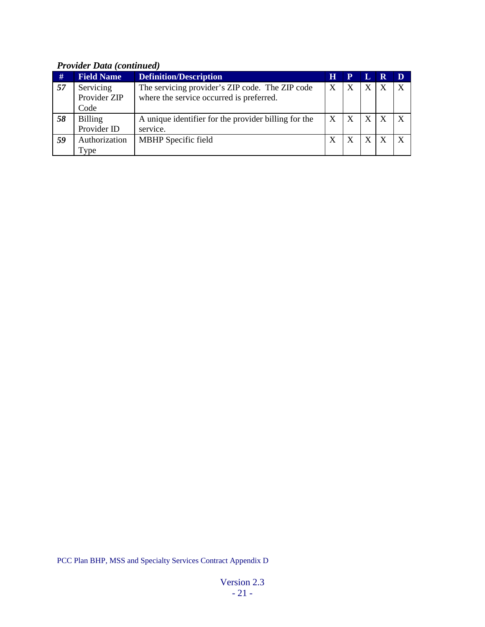### *Provider Data (continued)*

| #  | <b>Field Name</b> | <b>Definition/Description</b>                        | Н | $\mathbf P$      |   | R | D |
|----|-------------------|------------------------------------------------------|---|------------------|---|---|---|
| 57 | Servicing         | The servicing provider's ZIP code. The ZIP code      | X | X                | X |   |   |
|    | Provider ZIP      | where the service occurred is preferred.             |   |                  |   |   |   |
|    | Code              |                                                      |   |                  |   |   |   |
| 58 | <b>Billing</b>    | A unique identifier for the provider billing for the | X | $\boldsymbol{X}$ | X |   |   |
|    | Provider ID       | service.                                             |   |                  |   |   |   |
| 59 | Authorization     | MBHP Specific field                                  | X |                  | X |   |   |
|    | Type              |                                                      |   |                  |   |   |   |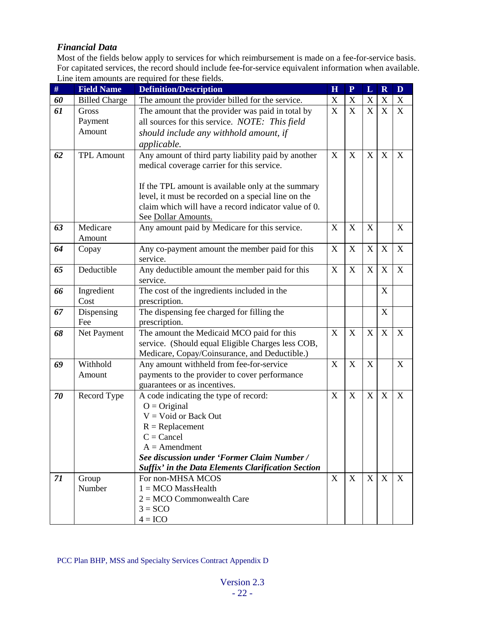#### <span id="page-21-0"></span>*Financial Data*

Most of the fields below apply to services for which reimbursement is made on a fee-for-service basis. For capitated services, the record should include fee-for-service equivalent information when available. Line item amounts are required for these fields.

| $\#$ | <b>Field Name</b>    | <b>Definition/Description</b>                               | $\overline{\mathbf{H}}$ | $\mathbf{P}$ | $\mathbf L$               | $\overline{\mathbf{R}}$   | D           |
|------|----------------------|-------------------------------------------------------------|-------------------------|--------------|---------------------------|---------------------------|-------------|
| 60   | <b>Billed Charge</b> | The amount the provider billed for the service.             | X                       | $\mathbf X$  | $\mathbf X$               | $\mathbf X$               | X           |
| 61   | Gross                | The amount that the provider was paid in total by           | X                       | X            | $\mathbf X$               | $\mathbf X$               | X           |
|      | Payment              | all sources for this service. NOTE: This field              |                         |              |                           |                           |             |
|      | Amount               | should include any withhold amount, if                      |                         |              |                           |                           |             |
|      |                      | applicable.                                                 |                         |              |                           |                           |             |
| 62   | <b>TPL Amount</b>    | Any amount of third party liability paid by another         | X                       | $\mathbf X$  | $\boldsymbol{\mathrm{X}}$ | X                         | X           |
|      |                      | medical coverage carrier for this service.                  |                         |              |                           |                           |             |
|      |                      |                                                             |                         |              |                           |                           |             |
|      |                      | If the TPL amount is available only at the summary          |                         |              |                           |                           |             |
|      |                      | level, it must be recorded on a special line on the         |                         |              |                           |                           |             |
|      |                      | claim which will have a record indicator value of 0.        |                         |              |                           |                           |             |
|      |                      | See Dollar Amounts.                                         |                         |              |                           |                           |             |
| 63   | Medicare             | Any amount paid by Medicare for this service.               | X                       | X            | $\boldsymbol{\mathrm{X}}$ |                           | X           |
|      | Amount               |                                                             |                         |              |                           |                           |             |
| 64   | Copay                | Any co-payment amount the member paid for this              | X                       | $\mathbf X$  | $\mathbf X$               | X                         | X           |
|      |                      | service.                                                    |                         |              |                           |                           |             |
| 65   | Deductible           | Any deductible amount the member paid for this              | X                       | X            | X                         | X                         | X           |
|      |                      | service.                                                    |                         |              |                           |                           |             |
| 66   | Ingredient           | The cost of the ingredients included in the                 |                         |              |                           | $\boldsymbol{\mathrm{X}}$ |             |
|      | Cost                 | prescription.                                               |                         |              |                           | $\mathbf X$               |             |
| 67   | Dispensing<br>Fee    | The dispensing fee charged for filling the<br>prescription. |                         |              |                           |                           |             |
| 68   | Net Payment          | The amount the Medicaid MCO paid for this                   | X                       | $\mathbf X$  | X                         | X                         | X           |
|      |                      | service. (Should equal Eligible Charges less COB,           |                         |              |                           |                           |             |
|      |                      | Medicare, Copay/Coinsurance, and Deductible.)               |                         |              |                           |                           |             |
| 69   | Withhold             | Any amount withheld from fee-for-service                    | $\mathbf X$             | $\mathbf X$  | $\boldsymbol{\mathrm{X}}$ |                           | $\mathbf X$ |
|      | Amount               | payments to the provider to cover performance               |                         |              |                           |                           |             |
|      |                      | guarantees or as incentives.                                |                         |              |                           |                           |             |
| 70   | Record Type          | A code indicating the type of record:                       | X                       | $\mathbf X$  | X                         | X                         | X           |
|      |                      | $O = Original$                                              |                         |              |                           |                           |             |
|      |                      | $V = Void$ or Back Out                                      |                         |              |                           |                           |             |
|      |                      | $R = Replacement$                                           |                         |              |                           |                           |             |
|      |                      | $C = C$ ancel                                               |                         |              |                           |                           |             |
|      |                      | $A =$ Amendment                                             |                         |              |                           |                           |             |
|      |                      | See discussion under 'Former Claim Number /                 |                         |              |                           |                           |             |
|      |                      | Suffix' in the Data Elements Clarification Section          |                         |              |                           |                           |             |
| 71   | Group                | For non-MHSA MCOS                                           | X                       | X            | X                         | $\boldsymbol{\mathrm{X}}$ | X           |
|      | Number               | $1 = MCO$ MassHealth                                        |                         |              |                           |                           |             |
|      |                      | $2 = MCO$ Commonwealth Care                                 |                         |              |                           |                           |             |
|      |                      | $3 = SCO$                                                   |                         |              |                           |                           |             |
|      |                      | $4 = ICO$                                                   |                         |              |                           |                           |             |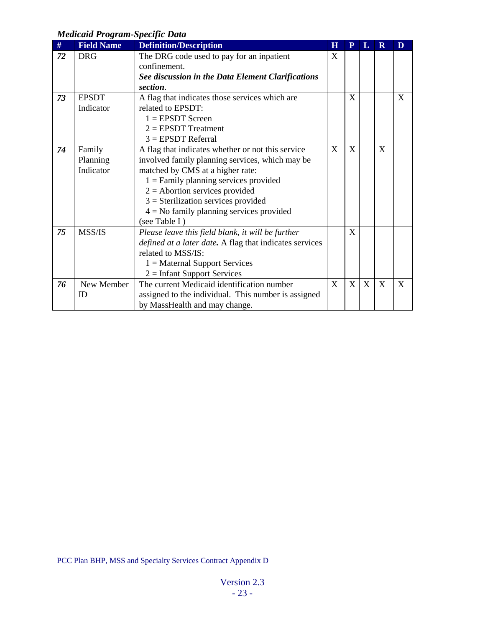### <span id="page-22-0"></span>*Medicaid Program-Specific Data*

| $\#$ | <b>Field Name</b> | <b>Definition/Description</b>                           | H | P | L | $\mathbf R$ | D |
|------|-------------------|---------------------------------------------------------|---|---|---|-------------|---|
| 72   | <b>DRG</b>        | The DRG code used to pay for an inpatient               | X |   |   |             |   |
|      |                   | confinement.                                            |   |   |   |             |   |
|      |                   | See discussion in the Data Element Clarifications       |   |   |   |             |   |
|      |                   | section.                                                |   |   |   |             |   |
| 73   | <b>EPSDT</b>      | A flag that indicates those services which are          |   | X |   |             | X |
|      | Indicator         | related to EPSDT:                                       |   |   |   |             |   |
|      |                   | $1 =$ EPSDT Screen                                      |   |   |   |             |   |
|      |                   | $2 = EPSDT Treatment$                                   |   |   |   |             |   |
|      |                   | $3 = EPSDT$ Referral                                    |   |   |   |             |   |
| 74   | Family            | A flag that indicates whether or not this service       | X | X |   | X           |   |
|      | Planning          | involved family planning services, which may be         |   |   |   |             |   |
|      | Indicator         | matched by CMS at a higher rate:                        |   |   |   |             |   |
|      |                   | $1 =$ Family planning services provided                 |   |   |   |             |   |
|      |                   | $2 =$ Abortion services provided                        |   |   |   |             |   |
|      |                   | $3$ = Sterilization services provided                   |   |   |   |             |   |
|      |                   | $4 =$ No family planning services provided              |   |   |   |             |   |
|      |                   | (see Table I)                                           |   |   |   |             |   |
| 75   | MSS/IS            | Please leave this field blank, it will be further       |   | X |   |             |   |
|      |                   | defined at a later date. A flag that indicates services |   |   |   |             |   |
|      |                   | related to MSS/IS:                                      |   |   |   |             |   |
|      |                   | $1 =$ Maternal Support Services                         |   |   |   |             |   |
|      |                   | $2 =$ Infant Support Services                           |   |   |   |             |   |
| 76   | New Member        | The current Medicaid identification number              | X | X | X | X           | X |
|      | ID                | assigned to the individual. This number is assigned     |   |   |   |             |   |
|      |                   | by MassHealth and may change.                           |   |   |   |             |   |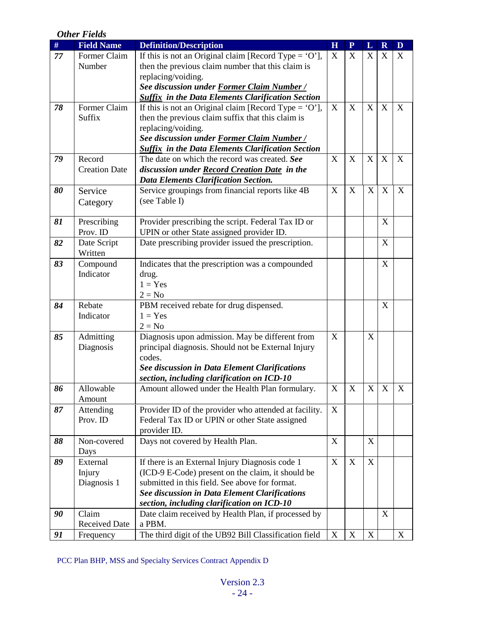### <span id="page-23-0"></span>*Other Fields*

| #  | <b>Field Name</b>             | <b>Definition/Description</b>                                                               | H           | $\overline{P}$ | L                         | $\mathbf R$      | $\mathbf{D}$     |
|----|-------------------------------|---------------------------------------------------------------------------------------------|-------------|----------------|---------------------------|------------------|------------------|
| 77 | Former Claim                  | If this is not an Original claim [Record Type = $'O'$ ],                                    | X           | X              | $\mathbf X$               | X                | X                |
|    | Number                        | then the previous claim number that this claim is                                           |             |                |                           |                  |                  |
|    |                               | replacing/voiding.                                                                          |             |                |                           |                  |                  |
|    |                               | See discussion under Former Claim Number /                                                  |             |                |                           |                  |                  |
|    |                               | <b>Suffix in the Data Elements Clarification Section</b>                                    |             |                |                           |                  |                  |
| 78 | Former Claim                  | If this is not an Original claim [Record Type = $'O'$ ],                                    | $\mathbf X$ | $\mathbf X$    | X                         | $\mathbf X$      | X                |
|    | Suffix                        | then the previous claim suffix that this claim is                                           |             |                |                           |                  |                  |
|    |                               | replacing/voiding.                                                                          |             |                |                           |                  |                  |
|    |                               | See discussion under Former Claim Number /                                                  |             |                |                           |                  |                  |
|    |                               | <b>Suffix in the Data Elements Clarification Section</b>                                    |             |                |                           |                  |                  |
| 79 | Record                        | The date on which the record was created. See                                               | X           | $\mathbf X$    | X                         | X                | $\boldsymbol{X}$ |
|    | <b>Creation Date</b>          | discussion under Record Creation Date in the<br><b>Data Elements Clarification Section.</b> |             |                |                           |                  |                  |
| 80 | Service                       | Service groupings from financial reports like 4B                                            | X           | $\mathbf X$    | X                         | X                | $\boldsymbol{X}$ |
|    | Category                      | (see Table I)                                                                               |             |                |                           |                  |                  |
|    |                               |                                                                                             |             |                |                           |                  |                  |
| 81 | Prescribing                   | Provider prescribing the script. Federal Tax ID or                                          |             |                |                           | $\mathbf X$      |                  |
|    | Prov. ID                      | UPIN or other State assigned provider ID.                                                   |             |                |                           |                  |                  |
| 82 | Date Script                   | Date prescribing provider issued the prescription.                                          |             |                |                           | X                |                  |
|    | Written                       |                                                                                             |             |                |                           |                  |                  |
| 83 | Compound                      | Indicates that the prescription was a compounded                                            |             |                |                           | X                |                  |
|    | Indicator                     | drug.                                                                                       |             |                |                           |                  |                  |
|    |                               | $1 = Yes$                                                                                   |             |                |                           |                  |                  |
|    |                               | $2 = No$                                                                                    |             |                |                           |                  |                  |
| 84 | Rebate                        | PBM received rebate for drug dispensed.                                                     |             |                |                           | X                |                  |
|    | Indicator                     | $1 = Yes$                                                                                   |             |                |                           |                  |                  |
|    |                               | $2 = No$                                                                                    |             |                |                           |                  |                  |
| 85 | Admitting                     | Diagnosis upon admission. May be different from                                             | X           |                | $\boldsymbol{\mathrm{X}}$ |                  |                  |
|    | Diagnosis                     | principal diagnosis. Should not be External Injury<br>codes.                                |             |                |                           |                  |                  |
|    |                               | See discussion in Data Element Clarifications                                               |             |                |                           |                  |                  |
|    |                               | section, including clarification on ICD-10                                                  |             |                |                           |                  |                  |
| 86 | Allowable                     | Amount allowed under the Health Plan formulary.                                             | X           | X              | $\mathbf X$               | $\boldsymbol{X}$ | X                |
|    | Amount                        |                                                                                             |             |                |                           |                  |                  |
| 87 | Attending                     | Provider ID of the provider who attended at facility.                                       | X           |                |                           |                  |                  |
|    | Prov. ID                      | Federal Tax ID or UPIN or other State assigned                                              |             |                |                           |                  |                  |
|    |                               | provider ID.                                                                                |             |                |                           |                  |                  |
| 88 | Non-covered                   | Days not covered by Health Plan.                                                            | X           |                | X                         |                  |                  |
|    | Days                          |                                                                                             |             |                |                           |                  |                  |
| 89 | External                      | If there is an External Injury Diagnosis code 1                                             | X           | X              | X                         |                  |                  |
|    | Injury                        | (ICD-9 E-Code) present on the claim, it should be                                           |             |                |                           |                  |                  |
|    | Diagnosis 1                   | submitted in this field. See above for format.                                              |             |                |                           |                  |                  |
|    |                               | See discussion in Data Element Clarifications                                               |             |                |                           |                  |                  |
|    |                               | section, including clarification on ICD-10                                                  |             |                |                           | X                |                  |
| 90 | Claim<br><b>Received Date</b> | Date claim received by Health Plan, if processed by<br>a PBM.                               |             |                |                           |                  |                  |
| 91 |                               | The third digit of the UB92 Bill Classification field                                       | $\mathbf X$ | $\mathbf X$    | $\mathbf X$               |                  | X                |
|    | Frequency                     |                                                                                             |             |                |                           |                  |                  |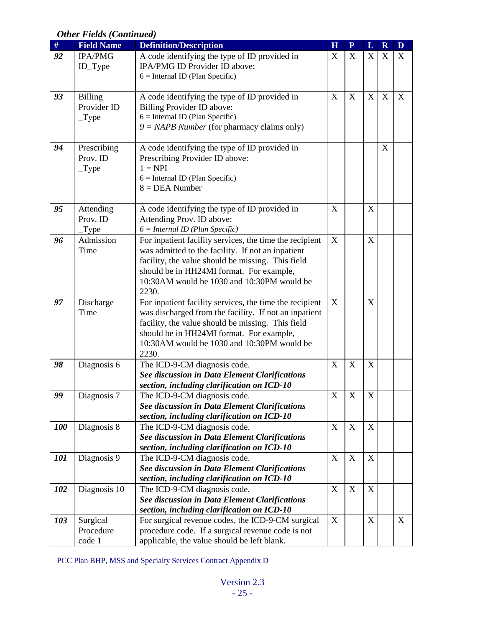| $\#$ | <b>Field Name</b> | <b>Definition/Description</b>                                                          | H              | $\mathbf{P}$ | $\mathbf L$      | $\overline{\mathbf{R}}$   | D |
|------|-------------------|----------------------------------------------------------------------------------------|----------------|--------------|------------------|---------------------------|---|
| 92   | IPA/PMG           | A code identifying the type of ID provided in                                          | X              | $\mathbf X$  | $\mathbf X$      | X                         | X |
|      | ID_Type           | IPA/PMG ID Provider ID above:                                                          |                |              |                  |                           |   |
|      |                   | $6 =$ Internal ID (Plan Specific)                                                      |                |              |                  |                           |   |
|      |                   |                                                                                        |                |              |                  |                           |   |
| 93   | <b>Billing</b>    | A code identifying the type of ID provided in                                          | X              | $\mathbf X$  | X                | X                         | X |
|      | Provider ID       | Billing Provider ID above:                                                             |                |              |                  |                           |   |
|      | $_T$ ype          | $6 =$ Internal ID (Plan Specific)                                                      |                |              |                  |                           |   |
|      |                   | $9 = NAPB$ Number (for pharmacy claims only)                                           |                |              |                  |                           |   |
| 94   | Prescribing       | A code identifying the type of ID provided in                                          |                |              |                  | $\boldsymbol{\mathrm{X}}$ |   |
|      | Prov. ID          | Prescribing Provider ID above:                                                         |                |              |                  |                           |   |
|      | $_T$ ype          | $1 = NPI$                                                                              |                |              |                  |                           |   |
|      |                   | $6 =$ Internal ID (Plan Specific)                                                      |                |              |                  |                           |   |
|      |                   | $8 = DEA$ Number                                                                       |                |              |                  |                           |   |
|      |                   |                                                                                        |                |              |                  |                           |   |
| 95   | Attending         | A code identifying the type of ID provided in                                          | X              |              | X                |                           |   |
|      | Prov. ID          | Attending Prov. ID above:                                                              |                |              |                  |                           |   |
|      | Type              | $6 = Internal ID (Plan Specific)$                                                      |                |              |                  |                           |   |
| 96   | Admission         | For inpatient facility services, the time the recipient                                | X              |              | X                |                           |   |
|      | Time              | was admitted to the facility. If not an inpatient                                      |                |              |                  |                           |   |
|      |                   | facility, the value should be missing. This field                                      |                |              |                  |                           |   |
|      |                   | should be in HH24MI format. For example,<br>10:30AM would be 1030 and 10:30PM would be |                |              |                  |                           |   |
|      |                   | 2230.                                                                                  |                |              |                  |                           |   |
| 97   | Discharge         | For inpatient facility services, the time the recipient                                | X              |              | X                |                           |   |
|      | Time              | was discharged from the facility. If not an inpatient                                  |                |              |                  |                           |   |
|      |                   | facility, the value should be missing. This field                                      |                |              |                  |                           |   |
|      |                   | should be in HH24MI format. For example,                                               |                |              |                  |                           |   |
|      |                   | 10:30AM would be 1030 and 10:30PM would be                                             |                |              |                  |                           |   |
|      |                   | 2230.                                                                                  |                |              |                  |                           |   |
| 98   | Diagnosis 6       | The ICD-9-CM diagnosis code.                                                           | X              | $\mathbf X$  | X                |                           |   |
|      |                   | See discussion in Data Element Clarifications                                          |                |              |                  |                           |   |
|      |                   | section, including clarification on ICD-10                                             |                |              |                  |                           |   |
| 99   | Diagnosis 7       | The ICD-9-CM diagnosis code.                                                           | $\overline{X}$ | X            | $\overline{X}$   |                           |   |
|      |                   | See discussion in Data Element Clarifications                                          |                |              |                  |                           |   |
| 100  | Diagnosis 8       | section, including clarification on ICD-10                                             | $\mathbf X$    | $\mathbf X$  | $\boldsymbol{X}$ |                           |   |
|      |                   | The ICD-9-CM diagnosis code.<br>See discussion in Data Element Clarifications          |                |              |                  |                           |   |
|      |                   | section, including clarification on ICD-10                                             |                |              |                  |                           |   |
| 101  | Diagnosis 9       | The ICD-9-CM diagnosis code.                                                           | $\mathbf X$    | X            | $\mathbf X$      |                           |   |
|      |                   | See discussion in Data Element Clarifications                                          |                |              |                  |                           |   |
|      |                   | section, including clarification on ICD-10                                             |                |              |                  |                           |   |
| 102  | Diagnosis 10      | The ICD-9-CM diagnosis code.                                                           | X              | X            | X                |                           |   |
|      |                   | See discussion in Data Element Clarifications                                          |                |              |                  |                           |   |
|      |                   | section, including clarification on ICD-10                                             |                |              |                  |                           |   |
| 103  | Surgical          | For surgical revenue codes, the ICD-9-CM surgical                                      | X              |              | X                |                           | X |
|      | Procedure         | procedure code. If a surgical revenue code is not                                      |                |              |                  |                           |   |
|      | code 1            | applicable, the value should be left blank.                                            |                |              |                  |                           |   |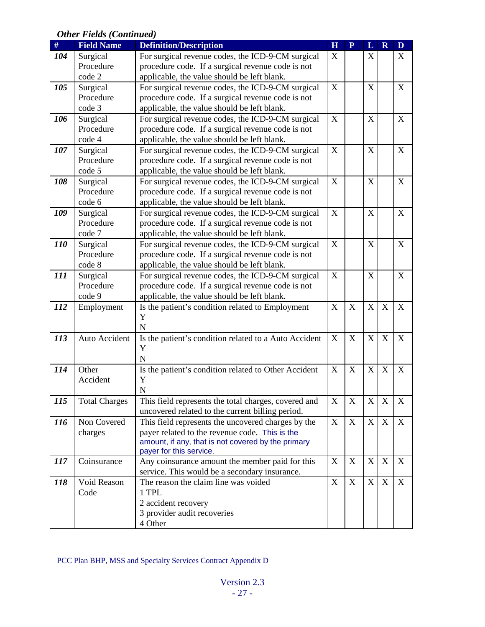| $\#$       | <b>Field Name</b>    | <b>Definition/Description</b>                         | H           | $\overline{\mathbf{P}}$ | L                         | $\mathbf R$      | D |
|------------|----------------------|-------------------------------------------------------|-------------|-------------------------|---------------------------|------------------|---|
| 104        | Surgical             | For surgical revenue codes, the ICD-9-CM surgical     | X           |                         | X                         |                  | X |
|            | Procedure            | procedure code. If a surgical revenue code is not     |             |                         |                           |                  |   |
|            | code 2               | applicable, the value should be left blank.           |             |                         |                           |                  |   |
| 105        | Surgical             | For surgical revenue codes, the ICD-9-CM surgical     | X           |                         | $\mathbf X$               |                  | X |
|            | Procedure            | procedure code. If a surgical revenue code is not     |             |                         |                           |                  |   |
|            | code 3               | applicable, the value should be left blank.           |             |                         |                           |                  |   |
| 106        | Surgical             | For surgical revenue codes, the ICD-9-CM surgical     | X           |                         | X                         |                  | X |
|            | Procedure            | procedure code. If a surgical revenue code is not     |             |                         |                           |                  |   |
|            | code 4               | applicable, the value should be left blank.           |             |                         |                           |                  |   |
| 107        | Surgical             | For surgical revenue codes, the ICD-9-CM surgical     | X           |                         | $\mathbf X$               |                  | X |
|            | Procedure            | procedure code. If a surgical revenue code is not     |             |                         |                           |                  |   |
|            | code 5               | applicable, the value should be left blank.           |             |                         |                           |                  |   |
| 108        | Surgical             | For surgical revenue codes, the ICD-9-CM surgical     | X           |                         | $\mathbf X$               |                  | X |
|            | Procedure            | procedure code. If a surgical revenue code is not     |             |                         |                           |                  |   |
|            | code 6               | applicable, the value should be left blank.           |             |                         |                           |                  |   |
| 109        | Surgical             | For surgical revenue codes, the ICD-9-CM surgical     | X           |                         | X                         |                  | X |
|            | Procedure            | procedure code. If a surgical revenue code is not     |             |                         |                           |                  |   |
|            | code 7               | applicable, the value should be left blank.           |             |                         |                           |                  |   |
| <i>110</i> | Surgical             | For surgical revenue codes, the ICD-9-CM surgical     | X           |                         | $\boldsymbol{\mathrm{X}}$ |                  | X |
|            | Procedure            | procedure code. If a surgical revenue code is not     |             |                         |                           |                  |   |
|            | code 8               | applicable, the value should be left blank.           |             |                         |                           |                  |   |
| 111        | Surgical             | For surgical revenue codes, the ICD-9-CM surgical     | $\mathbf X$ |                         | X                         |                  | X |
|            | Procedure            | procedure code. If a surgical revenue code is not     |             |                         |                           |                  |   |
|            | code 9               | applicable, the value should be left blank.           |             |                         |                           |                  |   |
| 112        | Employment           | Is the patient's condition related to Employment      | $\mathbf X$ | X                       | $\mathbf X$               | X                | X |
|            |                      | Y                                                     |             |                         |                           |                  |   |
|            |                      | $\overline{N}$                                        |             |                         |                           |                  |   |
| 113        | Auto Accident        | Is the patient's condition related to a Auto Accident | X           | X                       | $\boldsymbol{\mathrm{X}}$ | X                | X |
|            |                      | Y                                                     |             |                         |                           |                  |   |
|            |                      | N                                                     |             |                         |                           |                  |   |
| 114        | Other                | Is the patient's condition related to Other Accident  | X           | $\mathbf X$             | $\mathbf X$               | X                | X |
|            | Accident             | Y                                                     |             |                         |                           |                  |   |
|            |                      | $\mathbf N$                                           |             |                         |                           |                  |   |
| 115        | <b>Total Charges</b> | This field represents the total charges, covered and  | X           | X                       | X                         | X                | X |
|            |                      | uncovered related to the current billing period.      |             |                         |                           |                  |   |
| 116        | Non Covered          | This field represents the uncovered charges by the    | X           | X                       | $\mathbf X$               | X                | X |
|            | charges              | payer related to the revenue code. This is the        |             |                         |                           |                  |   |
|            |                      | amount, if any, that is not covered by the primary    |             |                         |                           |                  |   |
|            |                      | payer for this service.                               |             |                         |                           |                  |   |
| 117        | Coinsurance          | Any coinsurance amount the member paid for this       | X           | $\mathbf X$             | $\mathbf X$               | $\boldsymbol{X}$ | X |
|            |                      | service. This would be a secondary insurance.         |             |                         |                           |                  |   |
| 118        | Void Reason          | The reason the claim line was voided                  | X           | X                       | X                         | X                | X |
|            | Code                 | 1 TPL                                                 |             |                         |                           |                  |   |
|            |                      | 2 accident recovery                                   |             |                         |                           |                  |   |
|            |                      | 3 provider audit recoveries                           |             |                         |                           |                  |   |
|            |                      | 4 Other                                               |             |                         |                           |                  |   |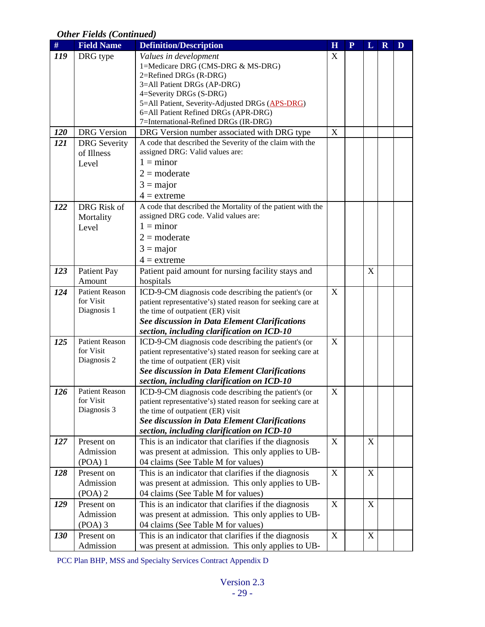| $\#$       | <b>Field Name</b>     | <b>Definition/Description</b>                                                                      | $\overline{\mathbf{H}}$   | ${\bf P}$ | L | $\mathbf R$ | D |
|------------|-----------------------|----------------------------------------------------------------------------------------------------|---------------------------|-----------|---|-------------|---|
| 119        | DRG type              | Values in development                                                                              | X                         |           |   |             |   |
|            |                       | 1=Medicare DRG (CMS-DRG & MS-DRG)                                                                  |                           |           |   |             |   |
|            |                       | 2=Refined DRGs (R-DRG)                                                                             |                           |           |   |             |   |
|            |                       | 3=All Patient DRGs (AP-DRG)                                                                        |                           |           |   |             |   |
|            |                       | 4=Severity DRGs (S-DRG)                                                                            |                           |           |   |             |   |
|            |                       | 5=All Patient, Severity-Adjusted DRGs (APS-DRG)<br>6=All Patient Refined DRGs (APR-DRG)            |                           |           |   |             |   |
|            |                       | 7=International-Refined DRGs (IR-DRG)                                                              |                           |           |   |             |   |
| <b>120</b> | <b>DRG</b> Version    | DRG Version number associated with DRG type                                                        | $\boldsymbol{\mathrm{X}}$ |           |   |             |   |
| 121        | <b>DRG</b> Severity   | A code that described the Severity of the claim with the                                           |                           |           |   |             |   |
|            | of Illness            | assigned DRG: Valid values are:                                                                    |                           |           |   |             |   |
|            | Level                 | $1 =$ minor                                                                                        |                           |           |   |             |   |
|            |                       | $2 =$ moderate                                                                                     |                           |           |   |             |   |
|            |                       | $3 = \text{major}$                                                                                 |                           |           |   |             |   |
|            |                       | $4 =$ extreme                                                                                      |                           |           |   |             |   |
| 122        | DRG Risk of           | A code that described the Mortality of the patient with the                                        |                           |           |   |             |   |
|            | Mortality             | assigned DRG code. Valid values are:                                                               |                           |           |   |             |   |
|            | Level                 | $1 =$ minor                                                                                        |                           |           |   |             |   |
|            |                       | $2 =$ moderate                                                                                     |                           |           |   |             |   |
|            |                       | $3 = \text{major}$                                                                                 |                           |           |   |             |   |
|            |                       | $4 =$ extreme                                                                                      |                           |           |   |             |   |
| 123        | Patient Pay           | Patient paid amount for nursing facility stays and                                                 |                           |           | X |             |   |
|            | Amount                | hospitals                                                                                          |                           |           |   |             |   |
| 124        | <b>Patient Reason</b> | ICD-9-CM diagnosis code describing the patient's (or                                               | X                         |           |   |             |   |
|            | for Visit             | patient representative's) stated reason for seeking care at                                        |                           |           |   |             |   |
|            | Diagnosis 1           | the time of outpatient (ER) visit                                                                  |                           |           |   |             |   |
|            |                       | See discussion in Data Element Clarifications                                                      |                           |           |   |             |   |
|            |                       | section, including clarification on ICD-10                                                         |                           |           |   |             |   |
| 125        | <b>Patient Reason</b> | ICD-9-CM diagnosis code describing the patient's (or                                               | X                         |           |   |             |   |
|            | for Visit             | patient representative's) stated reason for seeking care at                                        |                           |           |   |             |   |
|            | Diagnosis 2           | the time of outpatient (ER) visit                                                                  |                           |           |   |             |   |
|            |                       | See discussion in Data Element Clarifications                                                      |                           |           |   |             |   |
|            | <b>Patient Reason</b> | section, including clarification on ICD-10<br>ICD-9-CM diagnosis code describing the patient's (or | X                         |           |   |             |   |
| 126        | for Visit             | patient representative's) stated reason for seeking care at                                        |                           |           |   |             |   |
|            | Diagnosis 3           | the time of outpatient (ER) visit                                                                  |                           |           |   |             |   |
|            |                       | See discussion in Data Element Clarifications                                                      |                           |           |   |             |   |
|            |                       | section, including clarification on ICD-10                                                         |                           |           |   |             |   |
| 127        | Present on            | This is an indicator that clarifies if the diagnosis                                               | X                         |           | X |             |   |
|            | Admission             | was present at admission. This only applies to UB-                                                 |                           |           |   |             |   |
|            | $(POA)$ 1             | 04 claims (See Table M for values)                                                                 |                           |           |   |             |   |
| 128        | Present on            | This is an indicator that clarifies if the diagnosis                                               | X                         |           | X |             |   |
|            | Admission             | was present at admission. This only applies to UB-                                                 |                           |           |   |             |   |
|            | $(POA)$ 2             | 04 claims (See Table M for values)                                                                 |                           |           |   |             |   |
| 129        | Present on            | This is an indicator that clarifies if the diagnosis                                               | X                         |           | X |             |   |
|            | Admission             | was present at admission. This only applies to UB-                                                 |                           |           |   |             |   |
|            | $(POA)$ 3             | 04 claims (See Table M for values)                                                                 |                           |           |   |             |   |
| <b>130</b> | Present on            | This is an indicator that clarifies if the diagnosis                                               | X                         |           | X |             |   |
|            | Admission             | was present at admission. This only applies to UB-                                                 |                           |           |   |             |   |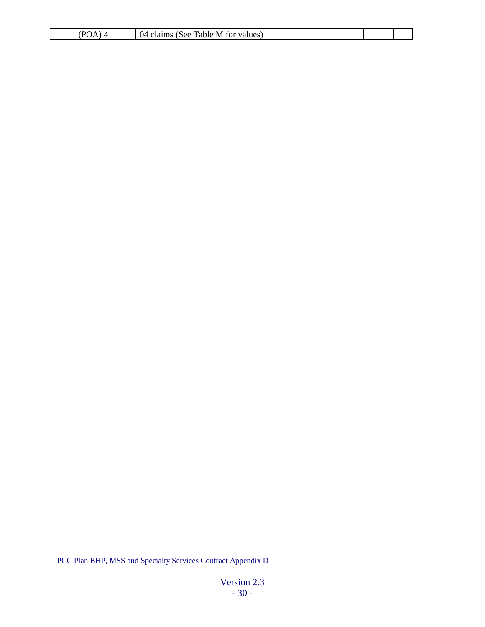| .<br>$\sqrt{ }$<br>- | `able<br>1 IZ<br>$\mathbf{A}$<br>œ<br>. | M<br>O1<br>. |  |  |  |
|----------------------|-----------------------------------------|--------------|--|--|--|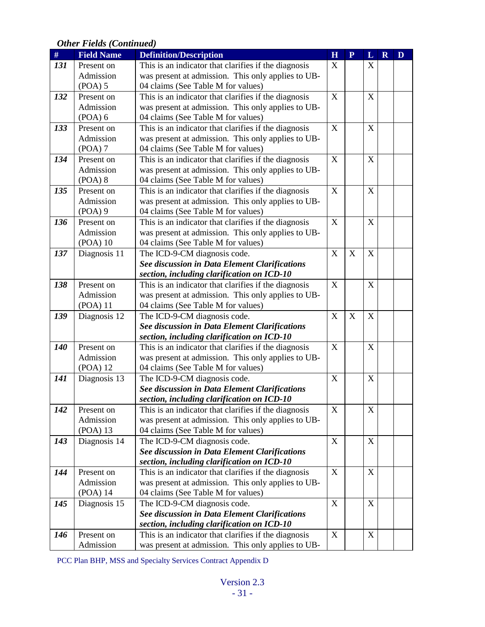| #   | <b>Field Name</b> | <b>Definition/Description</b>                                                               | H           | $\mathbf{P}$ | L                         | $\mathbf R$ | D |
|-----|-------------------|---------------------------------------------------------------------------------------------|-------------|--------------|---------------------------|-------------|---|
| 131 | Present on        | This is an indicator that clarifies if the diagnosis                                        | X           |              | X                         |             |   |
|     | Admission         | was present at admission. This only applies to UB-                                          |             |              |                           |             |   |
|     | (POA) 5           | 04 claims (See Table M for values)                                                          |             |              |                           |             |   |
| 132 | Present on        | This is an indicator that clarifies if the diagnosis                                        | X           |              | $\mathbf X$               |             |   |
|     | Admission         | was present at admission. This only applies to UB-                                          |             |              |                           |             |   |
|     | $(POA)$ 6         | 04 claims (See Table M for values)                                                          |             |              |                           |             |   |
| 133 | Present on        | This is an indicator that clarifies if the diagnosis                                        | X           |              | X                         |             |   |
|     | Admission         | was present at admission. This only applies to UB-                                          |             |              |                           |             |   |
|     | $(POA)$ 7         | 04 claims (See Table M for values)                                                          |             |              |                           |             |   |
| 134 | Present on        | This is an indicator that clarifies if the diagnosis                                        | X           |              | $\mathbf X$               |             |   |
|     | Admission         | was present at admission. This only applies to UB-                                          |             |              |                           |             |   |
|     | $(POA)$ 8         | 04 claims (See Table M for values)                                                          |             |              |                           |             |   |
| 135 | Present on        | This is an indicator that clarifies if the diagnosis                                        | X           |              | X                         |             |   |
|     | Admission         | was present at admission. This only applies to UB-                                          |             |              |                           |             |   |
|     | $(POA)$ 9         | 04 claims (See Table M for values)                                                          |             |              |                           |             |   |
| 136 | Present on        | This is an indicator that clarifies if the diagnosis                                        | X           |              | X                         |             |   |
|     | Admission         | was present at admission. This only applies to UB-                                          |             |              |                           |             |   |
|     | $(POA)$ 10        | 04 claims (See Table M for values)                                                          |             |              |                           |             |   |
| 137 | Diagnosis 11      | The ICD-9-CM diagnosis code.                                                                | X           | $\mathbf X$  | $\boldsymbol{\mathrm{X}}$ |             |   |
|     |                   | See discussion in Data Element Clarifications                                               |             |              |                           |             |   |
|     |                   | section, including clarification on ICD-10                                                  |             |              |                           |             |   |
| 138 | Present on        | This is an indicator that clarifies if the diagnosis                                        | X           |              | $\boldsymbol{\mathrm{X}}$ |             |   |
|     | Admission         | was present at admission. This only applies to UB-                                          |             |              |                           |             |   |
|     | $(POA)$ 11        | 04 claims (See Table M for values)                                                          |             |              |                           |             |   |
| 139 | Diagnosis 12      | The ICD-9-CM diagnosis code.                                                                | X           | X            | $\mathbf X$               |             |   |
|     |                   | See discussion in Data Element Clarifications                                               |             |              |                           |             |   |
|     |                   | section, including clarification on ICD-10                                                  |             |              |                           |             |   |
| 140 | Present on        | This is an indicator that clarifies if the diagnosis                                        | $\mathbf X$ |              | $\mathbf X$               |             |   |
|     | Admission         | was present at admission. This only applies to UB-                                          |             |              |                           |             |   |
|     | (POA) 12          | 04 claims (See Table M for values)                                                          | $\mathbf X$ |              |                           |             |   |
| 141 | Diagnosis 13      | The ICD-9-CM diagnosis code.                                                                |             |              | $\mathbf X$               |             |   |
|     |                   | See discussion in Data Element Clarifications<br>section, including clarification on ICD-10 |             |              |                           |             |   |
| 142 | Present on        | This is an indicator that clarifies if the diagnosis                                        | X           |              | X                         |             |   |
|     | Admission         | was present at admission. This only applies to UB-                                          |             |              |                           |             |   |
|     | (POA) 13          | 04 claims (See Table M for values)                                                          |             |              |                           |             |   |
| 143 | Diagnosis 14      | The ICD-9-CM diagnosis code.                                                                | X           |              | X                         |             |   |
|     |                   | See discussion in Data Element Clarifications                                               |             |              |                           |             |   |
|     |                   | section, including clarification on ICD-10                                                  |             |              |                           |             |   |
| 144 | Present on        | This is an indicator that clarifies if the diagnosis                                        | X           |              | X                         |             |   |
|     | Admission         | was present at admission. This only applies to UB-                                          |             |              |                           |             |   |
|     | (POA) 14          | 04 claims (See Table M for values)                                                          |             |              |                           |             |   |
| 145 | Diagnosis 15      | The ICD-9-CM diagnosis code.                                                                | X           |              | $\mathbf X$               |             |   |
|     |                   | See discussion in Data Element Clarifications                                               |             |              |                           |             |   |
|     |                   | section, including clarification on ICD-10                                                  |             |              |                           |             |   |
| 146 | Present on        | This is an indicator that clarifies if the diagnosis                                        | X           |              | $\boldsymbol{\mathrm{X}}$ |             |   |
|     | Admission         | was present at admission. This only applies to UB-                                          |             |              |                           |             |   |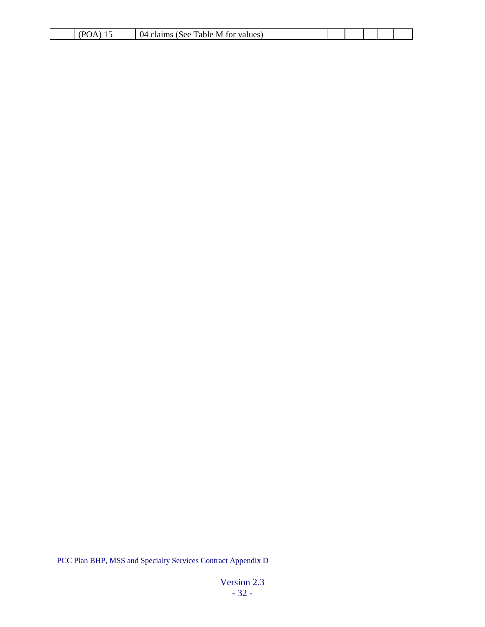| v<br>$\cdot$ $\prime$<br>. . | M<br>`able<br><u> ІИ</u><br>valuee.<br>$\cdots$<br><b>See</b><br>.<br>10.<br>ти |  |  |  |
|------------------------------|---------------------------------------------------------------------------------|--|--|--|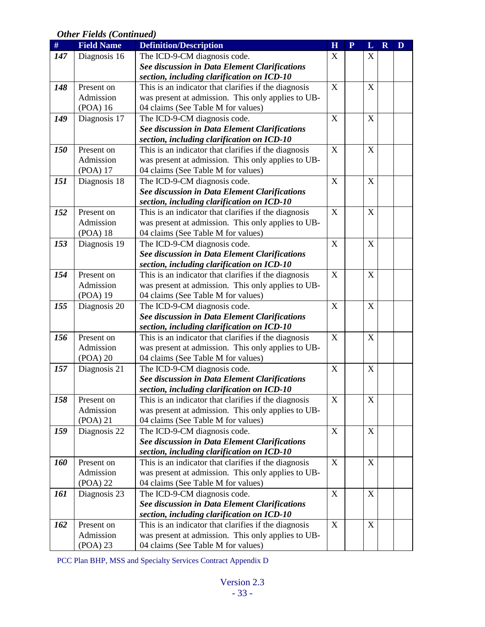| $\#$       | <b>Field Name</b> | <b>Definition/Description</b>                                                                      | H           | $\mathbf{P}$ | L                | $\mathbf R$ | D |
|------------|-------------------|----------------------------------------------------------------------------------------------------|-------------|--------------|------------------|-------------|---|
| 147        | Diagnosis 16      | The ICD-9-CM diagnosis code.                                                                       | X           |              | X                |             |   |
|            |                   | <b>See discussion in Data Element Clarifications</b>                                               |             |              |                  |             |   |
|            |                   | section, including clarification on ICD-10                                                         |             |              |                  |             |   |
| 148        | Present on        | This is an indicator that clarifies if the diagnosis                                               | $\mathbf X$ |              | $\mathbf X$      |             |   |
|            | Admission         | was present at admission. This only applies to UB-                                                 |             |              |                  |             |   |
|            | (POA) 16          | 04 claims (See Table M for values)                                                                 |             |              |                  |             |   |
| 149        | Diagnosis 17      | The ICD-9-CM diagnosis code.                                                                       | $\mathbf X$ |              | $\mathbf X$      |             |   |
|            |                   | See discussion in Data Element Clarifications                                                      |             |              |                  |             |   |
|            |                   | section, including clarification on ICD-10                                                         |             |              |                  |             |   |
| <b>150</b> | Present on        | This is an indicator that clarifies if the diagnosis                                               | $\mathbf X$ |              | $\boldsymbol{X}$ |             |   |
|            | Admission         | was present at admission. This only applies to UB-                                                 |             |              |                  |             |   |
|            | (POA) 17          | 04 claims (See Table M for values)                                                                 |             |              |                  |             |   |
| 151        | Diagnosis 18      | The ICD-9-CM diagnosis code.                                                                       | $\mathbf X$ |              | X                |             |   |
|            |                   | See discussion in Data Element Clarifications                                                      |             |              |                  |             |   |
|            |                   | section, including clarification on ICD-10                                                         |             |              |                  |             |   |
| 152        | Present on        | This is an indicator that clarifies if the diagnosis                                               | X           |              | X                |             |   |
|            | Admission         | was present at admission. This only applies to UB-                                                 |             |              |                  |             |   |
|            | (POA) 18          | 04 claims (See Table M for values)                                                                 |             |              |                  |             |   |
| 153        | Diagnosis 19      | The ICD-9-CM diagnosis code.                                                                       | $\mathbf X$ |              | X                |             |   |
|            |                   | <b>See discussion in Data Element Clarifications</b>                                               |             |              |                  |             |   |
|            |                   | section, including clarification on ICD-10                                                         |             |              |                  |             |   |
| 154        | Present on        | This is an indicator that clarifies if the diagnosis                                               | X           |              | X                |             |   |
|            | Admission         | was present at admission. This only applies to UB-                                                 |             |              |                  |             |   |
|            | (POA) 19          | 04 claims (See Table M for values)                                                                 |             |              |                  |             |   |
| 155        | Diagnosis 20      | The ICD-9-CM diagnosis code.                                                                       | X           |              | X                |             |   |
|            |                   | See discussion in Data Element Clarifications                                                      |             |              |                  |             |   |
| 156        | Present on        | section, including clarification on ICD-10<br>This is an indicator that clarifies if the diagnosis | $\mathbf X$ |              | X                |             |   |
|            | Admission         | was present at admission. This only applies to UB-                                                 |             |              |                  |             |   |
|            | (POA) 20          | 04 claims (See Table M for values)                                                                 |             |              |                  |             |   |
| 157        | Diagnosis 21      | The ICD-9-CM diagnosis code.                                                                       | $\mathbf X$ |              | X                |             |   |
|            |                   | See discussion in Data Element Clarifications                                                      |             |              |                  |             |   |
|            |                   | section, including clarification on ICD-10                                                         |             |              |                  |             |   |
| 158        | Present on        | This is an indicator that clarifies if the diagnosis                                               | X           |              | X                |             |   |
|            | Admission         | was present at admission. This only applies to UB-                                                 |             |              |                  |             |   |
|            | $(POA)$ 21        | 04 claims (See Table M for values)                                                                 |             |              |                  |             |   |
| 159        | Diagnosis 22      | The ICD-9-CM diagnosis code.                                                                       | X           |              | X                |             |   |
|            |                   | See discussion in Data Element Clarifications                                                      |             |              |                  |             |   |
|            |                   | section, including clarification on ICD-10                                                         |             |              |                  |             |   |
| <b>160</b> | Present on        | This is an indicator that clarifies if the diagnosis                                               | X           |              | $\mathbf X$      |             |   |
|            | Admission         | was present at admission. This only applies to UB-                                                 |             |              |                  |             |   |
|            | (POA) 22          | 04 claims (See Table M for values)                                                                 |             |              |                  |             |   |
| 161        | Diagnosis 23      | The ICD-9-CM diagnosis code.                                                                       | X           |              | X                |             |   |
|            |                   | See discussion in Data Element Clarifications                                                      |             |              |                  |             |   |
|            |                   | section, including clarification on ICD-10                                                         |             |              |                  |             |   |
| 162        | Present on        | This is an indicator that clarifies if the diagnosis                                               | $\mathbf X$ |              | X                |             |   |
|            | Admission         | was present at admission. This only applies to UB-                                                 |             |              |                  |             |   |
|            | (POA) 23          | 04 claims (See Table M for values)                                                                 |             |              |                  |             |   |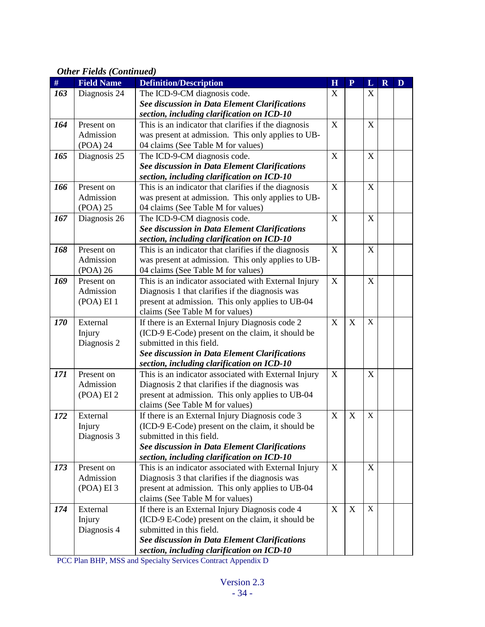| D | $\mathbf R$ | L                               | ${\bf P}$                      | H                     | <b>Field Name</b><br><b>Definition/Description</b>                                                                                                                                                                                                                                                                                                                                                                                                                                                                                                                                                                                                                                       | $\#$              |  |
|---|-------------|---------------------------------|--------------------------------|-----------------------|------------------------------------------------------------------------------------------------------------------------------------------------------------------------------------------------------------------------------------------------------------------------------------------------------------------------------------------------------------------------------------------------------------------------------------------------------------------------------------------------------------------------------------------------------------------------------------------------------------------------------------------------------------------------------------------|-------------------|--|
|   |             | X                               |                                | X                     | Diagnosis 24<br>The ICD-9-CM diagnosis code.                                                                                                                                                                                                                                                                                                                                                                                                                                                                                                                                                                                                                                             | 163               |  |
|   |             |                                 |                                |                       | See discussion in Data Element Clarifications                                                                                                                                                                                                                                                                                                                                                                                                                                                                                                                                                                                                                                            |                   |  |
|   |             |                                 |                                |                       | section, including clarification on ICD-10                                                                                                                                                                                                                                                                                                                                                                                                                                                                                                                                                                                                                                               |                   |  |
|   |             | X                               |                                | X                     | This is an indicator that clarifies if the diagnosis<br>Present on                                                                                                                                                                                                                                                                                                                                                                                                                                                                                                                                                                                                                       | 164               |  |
|   |             |                                 |                                |                       | Admission<br>was present at admission. This only applies to UB-                                                                                                                                                                                                                                                                                                                                                                                                                                                                                                                                                                                                                          |                   |  |
|   |             |                                 |                                |                       | (POA) 24<br>04 claims (See Table M for values)                                                                                                                                                                                                                                                                                                                                                                                                                                                                                                                                                                                                                                           |                   |  |
|   |             | $\mathbf X$                     |                                | X                     | Diagnosis 25<br>The ICD-9-CM diagnosis code.                                                                                                                                                                                                                                                                                                                                                                                                                                                                                                                                                                                                                                             | 165               |  |
|   |             |                                 |                                |                       | <b>See discussion in Data Element Clarifications</b>                                                                                                                                                                                                                                                                                                                                                                                                                                                                                                                                                                                                                                     |                   |  |
|   |             |                                 |                                |                       | section, including clarification on ICD-10                                                                                                                                                                                                                                                                                                                                                                                                                                                                                                                                                                                                                                               |                   |  |
|   |             | X                               |                                | X                     | This is an indicator that clarifies if the diagnosis<br>Present on                                                                                                                                                                                                                                                                                                                                                                                                                                                                                                                                                                                                                       | 166               |  |
|   |             |                                 |                                |                       | was present at admission. This only applies to UB-<br>Admission                                                                                                                                                                                                                                                                                                                                                                                                                                                                                                                                                                                                                          |                   |  |
|   |             |                                 |                                |                       | (POA) 25<br>04 claims (See Table M for values)                                                                                                                                                                                                                                                                                                                                                                                                                                                                                                                                                                                                                                           |                   |  |
|   |             | X                               |                                | X                     | Diagnosis 26<br>The ICD-9-CM diagnosis code.                                                                                                                                                                                                                                                                                                                                                                                                                                                                                                                                                                                                                                             | 167               |  |
|   |             |                                 |                                |                       | See discussion in Data Element Clarifications                                                                                                                                                                                                                                                                                                                                                                                                                                                                                                                                                                                                                                            |                   |  |
|   |             |                                 |                                |                       | section, including clarification on ICD-10                                                                                                                                                                                                                                                                                                                                                                                                                                                                                                                                                                                                                                               |                   |  |
|   |             | $\mathbf X$                     |                                | X                     | This is an indicator that clarifies if the diagnosis<br>Present on                                                                                                                                                                                                                                                                                                                                                                                                                                                                                                                                                                                                                       | 168               |  |
|   |             |                                 |                                |                       | was present at admission. This only applies to UB-<br>Admission                                                                                                                                                                                                                                                                                                                                                                                                                                                                                                                                                                                                                          |                   |  |
|   |             |                                 |                                |                       | (POA) 26<br>04 claims (See Table M for values)                                                                                                                                                                                                                                                                                                                                                                                                                                                                                                                                                                                                                                           |                   |  |
|   |             | $\mathbf X$                     |                                | $\mathbf X$           | Present on<br>This is an indicator associated with External Injury                                                                                                                                                                                                                                                                                                                                                                                                                                                                                                                                                                                                                       | 169               |  |
|   |             |                                 |                                |                       | Diagnosis 1 that clarifies if the diagnosis was<br>Admission                                                                                                                                                                                                                                                                                                                                                                                                                                                                                                                                                                                                                             |                   |  |
|   |             |                                 |                                |                       | present at admission. This only applies to UB-04<br>(POA) EI 1                                                                                                                                                                                                                                                                                                                                                                                                                                                                                                                                                                                                                           |                   |  |
|   |             |                                 |                                |                       | claims (See Table M for values)                                                                                                                                                                                                                                                                                                                                                                                                                                                                                                                                                                                                                                                          |                   |  |
|   |             | $\mathbf X$                     | X                              | X                     | External<br>If there is an External Injury Diagnosis code 2                                                                                                                                                                                                                                                                                                                                                                                                                                                                                                                                                                                                                              | 170               |  |
|   |             |                                 |                                |                       | (ICD-9 E-Code) present on the claim, it should be<br>Injury                                                                                                                                                                                                                                                                                                                                                                                                                                                                                                                                                                                                                              |                   |  |
|   |             |                                 |                                |                       | Diagnosis 2<br>submitted in this field.                                                                                                                                                                                                                                                                                                                                                                                                                                                                                                                                                                                                                                                  |                   |  |
|   |             |                                 |                                |                       | See discussion in Data Element Clarifications                                                                                                                                                                                                                                                                                                                                                                                                                                                                                                                                                                                                                                            |                   |  |
|   |             |                                 |                                |                       | section, including clarification on ICD-10                                                                                                                                                                                                                                                                                                                                                                                                                                                                                                                                                                                                                                               |                   |  |
|   |             | X                               |                                | X                     | This is an indicator associated with External Injury<br>Present on                                                                                                                                                                                                                                                                                                                                                                                                                                                                                                                                                                                                                       | 171               |  |
|   |             |                                 |                                |                       | Admission<br>Diagnosis 2 that clarifies if the diagnosis was                                                                                                                                                                                                                                                                                                                                                                                                                                                                                                                                                                                                                             |                   |  |
|   |             |                                 |                                |                       | present at admission. This only applies to UB-04<br>(POA) EI 2                                                                                                                                                                                                                                                                                                                                                                                                                                                                                                                                                                                                                           |                   |  |
|   |             |                                 |                                |                       | claims (See Table M for values)                                                                                                                                                                                                                                                                                                                                                                                                                                                                                                                                                                                                                                                          |                   |  |
|   |             |                                 |                                |                       |                                                                                                                                                                                                                                                                                                                                                                                                                                                                                                                                                                                                                                                                                          |                   |  |
|   |             |                                 |                                |                       |                                                                                                                                                                                                                                                                                                                                                                                                                                                                                                                                                                                                                                                                                          |                   |  |
|   |             |                                 |                                |                       |                                                                                                                                                                                                                                                                                                                                                                                                                                                                                                                                                                                                                                                                                          |                   |  |
|   |             |                                 |                                |                       |                                                                                                                                                                                                                                                                                                                                                                                                                                                                                                                                                                                                                                                                                          |                   |  |
|   |             |                                 |                                |                       |                                                                                                                                                                                                                                                                                                                                                                                                                                                                                                                                                                                                                                                                                          |                   |  |
|   |             |                                 |                                |                       |                                                                                                                                                                                                                                                                                                                                                                                                                                                                                                                                                                                                                                                                                          |                   |  |
|   |             |                                 |                                |                       |                                                                                                                                                                                                                                                                                                                                                                                                                                                                                                                                                                                                                                                                                          |                   |  |
|   |             |                                 |                                |                       |                                                                                                                                                                                                                                                                                                                                                                                                                                                                                                                                                                                                                                                                                          |                   |  |
|   |             |                                 |                                |                       |                                                                                                                                                                                                                                                                                                                                                                                                                                                                                                                                                                                                                                                                                          |                   |  |
|   |             |                                 |                                |                       |                                                                                                                                                                                                                                                                                                                                                                                                                                                                                                                                                                                                                                                                                          |                   |  |
|   |             |                                 |                                |                       |                                                                                                                                                                                                                                                                                                                                                                                                                                                                                                                                                                                                                                                                                          |                   |  |
|   |             |                                 |                                |                       |                                                                                                                                                                                                                                                                                                                                                                                                                                                                                                                                                                                                                                                                                          |                   |  |
|   |             |                                 |                                |                       | See discussion in Data Element Clarifications                                                                                                                                                                                                                                                                                                                                                                                                                                                                                                                                                                                                                                            |                   |  |
|   |             | $\mathbf X$<br>X<br>$\mathbf X$ | $\boldsymbol{\mathrm{X}}$<br>X | $\mathbf X$<br>X<br>X | If there is an External Injury Diagnosis code 3<br>External<br>(ICD-9 E-Code) present on the claim, it should be<br>Injury<br>Diagnosis 3<br>submitted in this field.<br>See discussion in Data Element Clarifications<br>section, including clarification on ICD-10<br>This is an indicator associated with External Injury<br>Present on<br>Admission<br>Diagnosis 3 that clarifies if the diagnosis was<br>(POA) EI 3<br>present at admission. This only applies to UB-04<br>claims (See Table M for values)<br>If there is an External Injury Diagnosis code 4<br>External<br>(ICD-9 E-Code) present on the claim, it should be<br>Injury<br>Diagnosis 4<br>submitted in this field. | 172<br>173<br>174 |  |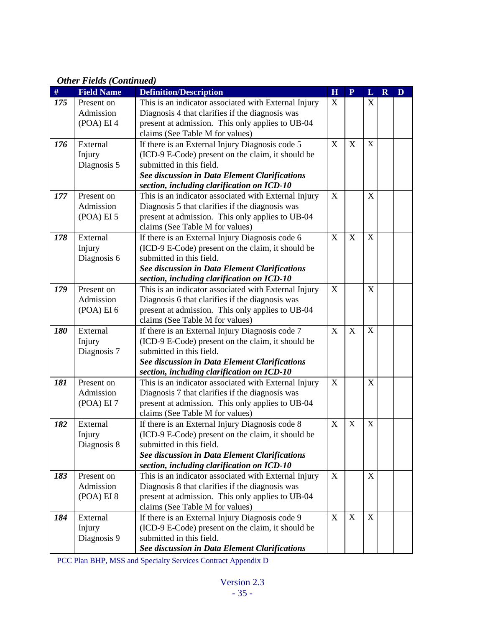| $\#$ | <b>Field Name</b> | <b>Definition/Description</b>                                                 | H | ${\bf P}$   | L                | $\mathbf R$ | D |
|------|-------------------|-------------------------------------------------------------------------------|---|-------------|------------------|-------------|---|
| 175  | Present on        | This is an indicator associated with External Injury                          | X |             | X                |             |   |
|      | Admission         | Diagnosis 4 that clarifies if the diagnosis was                               |   |             |                  |             |   |
|      | (POA) EI 4        | present at admission. This only applies to UB-04                              |   |             |                  |             |   |
|      |                   | claims (See Table M for values)                                               |   |             |                  |             |   |
| 176  | External          | If there is an External Injury Diagnosis code 5                               | X | X           | $\mathbf X$      |             |   |
|      | Injury            | (ICD-9 E-Code) present on the claim, it should be                             |   |             |                  |             |   |
|      | Diagnosis 5       | submitted in this field.                                                      |   |             |                  |             |   |
|      |                   | See discussion in Data Element Clarifications                                 |   |             |                  |             |   |
|      |                   | section, including clarification on ICD-10                                    |   |             |                  |             |   |
| 177  | Present on        | This is an indicator associated with External Injury                          | X |             | $\boldsymbol{X}$ |             |   |
|      | Admission         | Diagnosis 5 that clarifies if the diagnosis was                               |   |             |                  |             |   |
|      | (POA) EI 5        | present at admission. This only applies to UB-04                              |   |             |                  |             |   |
|      |                   | claims (See Table M for values)                                               |   |             |                  |             |   |
| 178  | External          | If there is an External Injury Diagnosis code 6                               | X | X           | $\mathbf X$      |             |   |
|      | Injury            | (ICD-9 E-Code) present on the claim, it should be<br>submitted in this field. |   |             |                  |             |   |
|      | Diagnosis 6       | See discussion in Data Element Clarifications                                 |   |             |                  |             |   |
|      |                   | section, including clarification on ICD-10                                    |   |             |                  |             |   |
| 179  | Present on        | This is an indicator associated with External Injury                          | X |             | $\mathbf X$      |             |   |
|      | Admission         | Diagnosis 6 that clarifies if the diagnosis was                               |   |             |                  |             |   |
|      | (POA) EI 6        | present at admission. This only applies to UB-04                              |   |             |                  |             |   |
|      |                   | claims (See Table M for values)                                               |   |             |                  |             |   |
| 180  | External          | If there is an External Injury Diagnosis code 7                               | X | X           | $\mathbf X$      |             |   |
|      | Injury            | (ICD-9 E-Code) present on the claim, it should be                             |   |             |                  |             |   |
|      | Diagnosis 7       | submitted in this field.                                                      |   |             |                  |             |   |
|      |                   | See discussion in Data Element Clarifications                                 |   |             |                  |             |   |
|      |                   | section, including clarification on ICD-10                                    |   |             |                  |             |   |
| 181  | Present on        | This is an indicator associated with External Injury                          | X |             | X                |             |   |
|      | Admission         | Diagnosis 7 that clarifies if the diagnosis was                               |   |             |                  |             |   |
|      | (POA) EI 7        | present at admission. This only applies to UB-04                              |   |             |                  |             |   |
|      |                   | claims (See Table M for values)                                               |   |             |                  |             |   |
| 182  | External          | If there is an External Injury Diagnosis code 8                               | X | $\mathbf X$ | $\mathbf X$      |             |   |
|      | Injury            | (ICD-9 E-Code) present on the claim, it should be                             |   |             |                  |             |   |
|      | Diagnosis 8       | submitted in this field.                                                      |   |             |                  |             |   |
|      |                   | See discussion in Data Element Clarifications                                 |   |             |                  |             |   |
|      |                   | section, including clarification on ICD-10                                    |   |             |                  |             |   |
| 183  | Present on        | This is an indicator associated with External Injury                          | X |             | X                |             |   |
|      | Admission         | Diagnosis 8 that clarifies if the diagnosis was                               |   |             |                  |             |   |
|      | (POA) EI 8        | present at admission. This only applies to UB-04                              |   |             |                  |             |   |
|      |                   | claims (See Table M for values)                                               |   |             |                  |             |   |
| 184  | External          | If there is an External Injury Diagnosis code 9                               | X | $\mathbf X$ | X                |             |   |
|      | Injury            | (ICD-9 E-Code) present on the claim, it should be                             |   |             |                  |             |   |
|      | Diagnosis 9       | submitted in this field.                                                      |   |             |                  |             |   |
|      |                   | See discussion in Data Element Clarifications                                 |   |             |                  |             |   |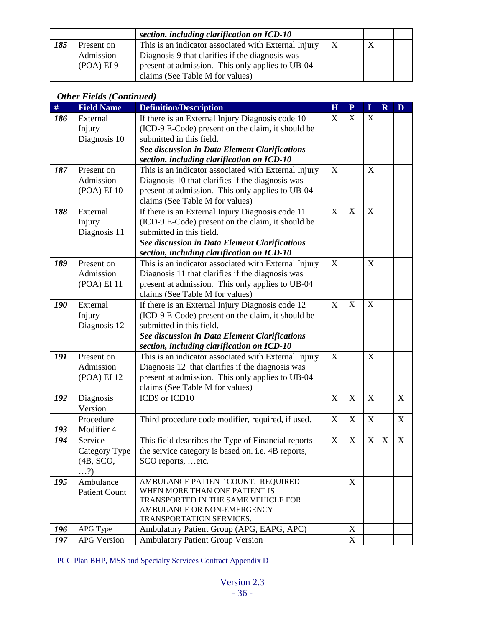|     |            | section, including clarification on ICD-10           |   |   |  |
|-----|------------|------------------------------------------------------|---|---|--|
| 185 | Present on | This is an indicator associated with External Injury | X | X |  |
|     | Admission  | Diagnosis 9 that clarifies if the diagnosis was      |   |   |  |
|     | (POA) EI 9 | present at admission. This only applies to UB-04     |   |   |  |
|     |            | claims (See Table M for values)                      |   |   |  |

| #   | $\cdots$<br><b>Field Name</b>                       | <b>Definition/Description</b>                                                                                                                                                                                                           | H | $\mathbf{P}$              | L           | $\overline{\mathbf{R}}$ | D           |
|-----|-----------------------------------------------------|-----------------------------------------------------------------------------------------------------------------------------------------------------------------------------------------------------------------------------------------|---|---------------------------|-------------|-------------------------|-------------|
| 186 | External<br>Injury<br>Diagnosis 10                  | If there is an External Injury Diagnosis code 10<br>(ICD-9 E-Code) present on the claim, it should be<br>submitted in this field.<br><b>See discussion in Data Element Clarifications</b><br>section, including clarification on ICD-10 | X | $\mathbf X$               | $\mathbf X$ |                         |             |
| 187 | Present on<br>Admission<br>(POA) EI 10              | This is an indicator associated with External Injury<br>Diagnosis 10 that clarifies if the diagnosis was<br>present at admission. This only applies to UB-04<br>claims (See Table M for values)                                         | X |                           | X           |                         |             |
| 188 | External<br>Injury<br>Diagnosis 11                  | If there is an External Injury Diagnosis code 11<br>(ICD-9 E-Code) present on the claim, it should be<br>submitted in this field.<br><b>See discussion in Data Element Clarifications</b><br>section, including clarification on ICD-10 | X | $\mathbf X$               | $\mathbf X$ |                         |             |
| 189 | Present on<br>Admission<br>(POA) EI 11              | This is an indicator associated with External Injury<br>Diagnosis 11 that clarifies if the diagnosis was<br>present at admission. This only applies to UB-04<br>claims (See Table M for values)                                         | X |                           | X           |                         |             |
| 190 | External<br>Injury<br>Diagnosis 12                  | If there is an External Injury Diagnosis code 12<br>(ICD-9 E-Code) present on the claim, it should be<br>submitted in this field.<br><b>See discussion in Data Element Clarifications</b><br>section, including clarification on ICD-10 | X | $\mathbf X$               | $\mathbf X$ |                         |             |
| 191 | Present on<br>Admission<br>(POA) EI 12              | This is an indicator associated with External Injury<br>Diagnosis 12 that clarifies if the diagnosis was<br>present at admission. This only applies to UB-04<br>claims (See Table M for values)                                         | X |                           | X           |                         |             |
| 192 | Diagnosis<br>Version                                | ICD9 or ICD10                                                                                                                                                                                                                           | X | X                         | $\mathbf X$ |                         | X           |
| 193 | Procedure<br>Modifier 4                             | Third procedure code modifier, required, if used.                                                                                                                                                                                       | X | $\mathbf X$               | $\mathbf X$ |                         | $\mathbf X$ |
| 194 | Service<br>Category Type<br>(4B, SCO,<br>$\ldots$ ? | This field describes the Type of Financial reports<br>the service category is based on. <i>i.e.</i> 4B reports,<br>SCO reports, etc.                                                                                                    | X | $\boldsymbol{\mathrm{X}}$ | $\mathbf X$ | X                       | X           |
| 195 | Ambulance<br><b>Patient Count</b>                   | AMBULANCE PATIENT COUNT. REQUIRED<br>WHEN MORE THAN ONE PATIENT IS<br>TRANSPORTED IN THE SAME VEHICLE FOR<br>AMBULANCE OR NON-EMERGENCY<br>TRANSPORTATION SERVICES.                                                                     |   | X                         |             |                         |             |
| 196 | APG Type                                            | Ambulatory Patient Group (APG, EAPG, APC)                                                                                                                                                                                               |   | $\mathbf X$               |             |                         |             |
| 197 | <b>APG Version</b>                                  | <b>Ambulatory Patient Group Version</b>                                                                                                                                                                                                 |   | $\mathbf X$               |             |                         |             |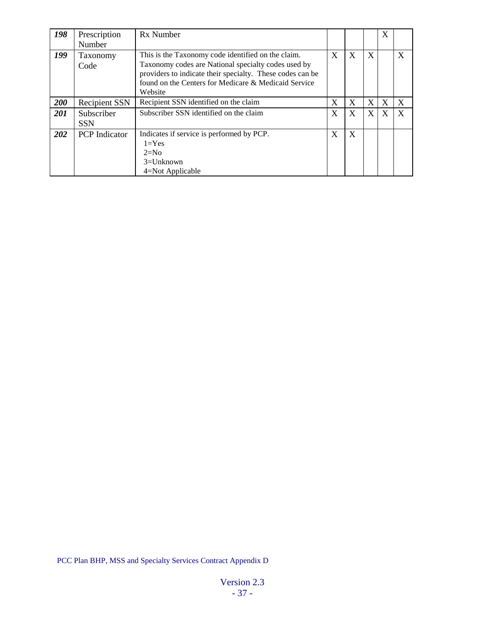| 198        | Prescription<br>Number   | Rx Number                                                                                                                                                                                                                                 |              |   |   | X |   |
|------------|--------------------------|-------------------------------------------------------------------------------------------------------------------------------------------------------------------------------------------------------------------------------------------|--------------|---|---|---|---|
| 199        | Taxonomy<br>Code         | This is the Taxonomy code identified on the claim.<br>Taxonomy codes are National specialty codes used by<br>providers to indicate their specialty. These codes can be<br>found on the Centers for Medicare & Medicaid Service<br>Website | $\mathbf{X}$ | X | X |   | X |
| 200        | <b>Recipient SSN</b>     | Recipient SSN identified on the claim                                                                                                                                                                                                     | X            | X | X | X | X |
| 201        | Subscriber<br><b>SSN</b> | Subscriber SSN identified on the claim                                                                                                                                                                                                    | X            | X | X | X | X |
| <b>202</b> | <b>PCP</b> Indicator     | Indicates if service is performed by PCP.<br>$1 = Yes$<br>$2=N0$<br>$3 =$ Unknown<br>4=Not Applicable                                                                                                                                     | X            | X |   |   |   |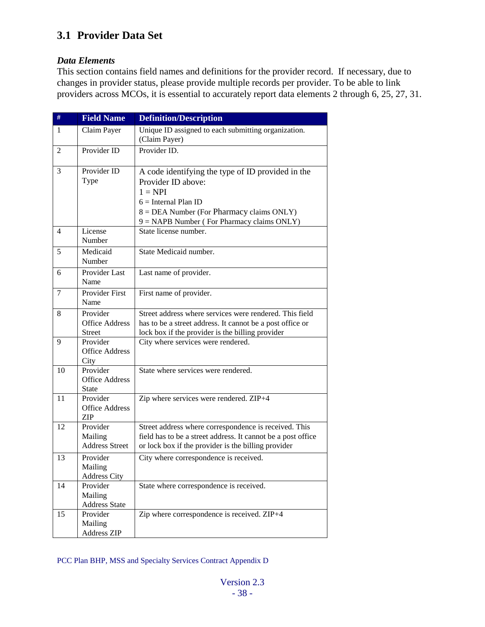# **3.1 Provider Data Set**

#### *Data Elements*

This section contains field names and definitions for the provider record. If necessary, due to changes in provider status, please provide multiple records per provider. To be able to link providers across MCOs, it is essential to accurately report data elements 2 through 6, 25, 27, 31.

| $\#$ | <b>Field Name</b>                                  | <b>Definition/Description</b>                                                                                                                                                                                        |
|------|----------------------------------------------------|----------------------------------------------------------------------------------------------------------------------------------------------------------------------------------------------------------------------|
| -1   | Claim Payer                                        | Unique ID assigned to each submitting organization.<br>(Claim Payer)                                                                                                                                                 |
| 2    | Provider ID                                        | Provider ID.                                                                                                                                                                                                         |
| 3    | Provider ID<br>Type                                | A code identifying the type of ID provided in the<br>Provider ID above:<br>$1 = NPI$<br>$6 =$ Internal Plan ID<br>$8 = DEA$ Number (For Pharmacy claims ONLY)<br>$9 = \text{NAPB Number}$ (For Pharmacy claims ONLY) |
| 4    | License<br>Number                                  | State license number.                                                                                                                                                                                                |
| 5    | Medicaid<br>Number                                 | State Medicaid number.                                                                                                                                                                                               |
| 6    | Provider Last<br>Name                              | Last name of provider.                                                                                                                                                                                               |
| 7    | <b>Provider First</b><br>Name                      | First name of provider.                                                                                                                                                                                              |
| 8    | Provider<br><b>Office Address</b><br><b>Street</b> | Street address where services were rendered. This field<br>has to be a street address. It cannot be a post office or<br>lock box if the provider is the billing provider                                             |
| 9    | Provider<br><b>Office Address</b><br>City          | City where services were rendered.                                                                                                                                                                                   |
| 10   | Provider<br><b>Office Address</b><br><b>State</b>  | State where services were rendered.                                                                                                                                                                                  |
| 11   | Provider<br><b>Office Address</b><br><b>ZIP</b>    | Zip where services were rendered. ZIP+4                                                                                                                                                                              |
| 12   | Provider<br>Mailing<br><b>Address Street</b>       | Street address where correspondence is received. This<br>field has to be a street address. It cannot be a post office<br>or lock box if the provider is the billing provider                                         |
| 13   | Provider<br>Mailing<br><b>Address City</b>         | City where correspondence is received.                                                                                                                                                                               |
| 14   | Provider<br>Mailing<br><b>Address State</b>        | State where correspondence is received.                                                                                                                                                                              |
| 15   | Provider<br>Mailing<br><b>Address ZIP</b>          | Zip where correspondence is received. ZIP+4                                                                                                                                                                          |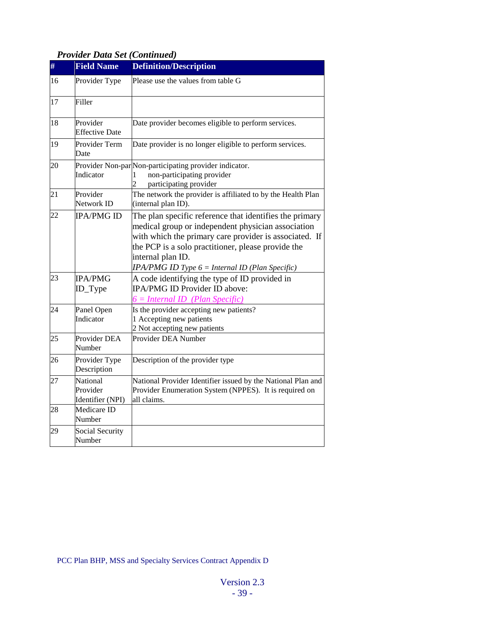# *Provider Data Set (Continued)*

| #  | <b>Field Name</b>                        | <b>Definition/Description</b>                                                                                                                                                                                                                                                                            |
|----|------------------------------------------|----------------------------------------------------------------------------------------------------------------------------------------------------------------------------------------------------------------------------------------------------------------------------------------------------------|
| 16 | Provider Type                            | Please use the values from table G                                                                                                                                                                                                                                                                       |
| 17 | Filler                                   |                                                                                                                                                                                                                                                                                                          |
| 18 | Provider<br><b>Effective Date</b>        | Date provider becomes eligible to perform services.                                                                                                                                                                                                                                                      |
| 19 | Provider Term<br>Date                    | Date provider is no longer eligible to perform services.                                                                                                                                                                                                                                                 |
| 20 | Indicator                                | Provider Non-par Non-participating provider indicator.<br>non-participating provider<br>1<br>participating provider                                                                                                                                                                                      |
| 21 | Provider<br>Network ID                   | The network the provider is affiliated to by the Health Plan<br>(internal plan ID).                                                                                                                                                                                                                      |
| 22 | <b>IPA/PMG ID</b>                        | The plan specific reference that identifies the primary<br>medical group or independent physician association<br>with which the primary care provider is associated. If<br>the PCP is a solo practitioner, please provide the<br>internal plan ID.<br>$IPA/PMGID$ Type $6 = Internal ID$ (Plan Specific) |
| 23 | <b>IPA/PMG</b><br>ID_Type                | A code identifying the type of ID provided in<br><b>IPA/PMG ID Provider ID above:</b><br><u> 6 = Internal ID  (Plan Specific)</u>                                                                                                                                                                        |
| 24 | Panel Open<br>Indicator                  | Is the provider accepting new patients?<br>1 Accepting new patients<br>2 Not accepting new patients                                                                                                                                                                                                      |
| 25 | Provider DEA<br>Number                   | Provider DEA Number                                                                                                                                                                                                                                                                                      |
| 26 | Provider Type<br>Description             | Description of the provider type                                                                                                                                                                                                                                                                         |
| 27 | National<br>Provider<br>Identifier (NPI) | National Provider Identifier issued by the National Plan and<br>Provider Enumeration System (NPPES). It is required on<br>all claims.                                                                                                                                                                    |
| 28 | Medicare ID<br>Number                    |                                                                                                                                                                                                                                                                                                          |
| 29 | Social Security<br>Number                |                                                                                                                                                                                                                                                                                                          |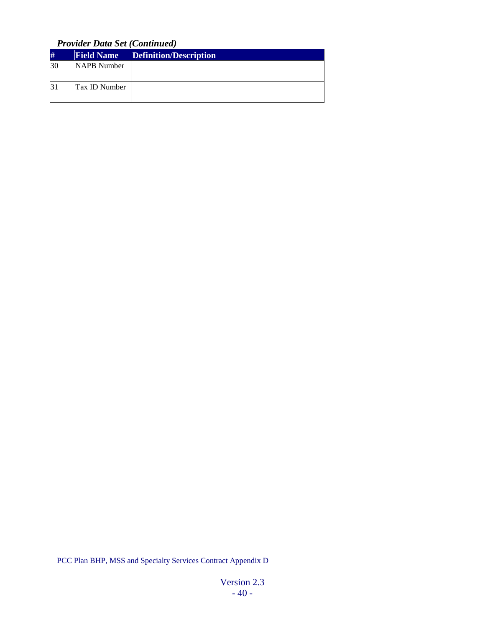*Provider Data Set (Continued)*

| #         | <b>Field Name</b> | <b>Definition/Description</b> |
|-----------|-------------------|-------------------------------|
| <b>30</b> | NAPB Number       |                               |
|           | Tax ID Number     |                               |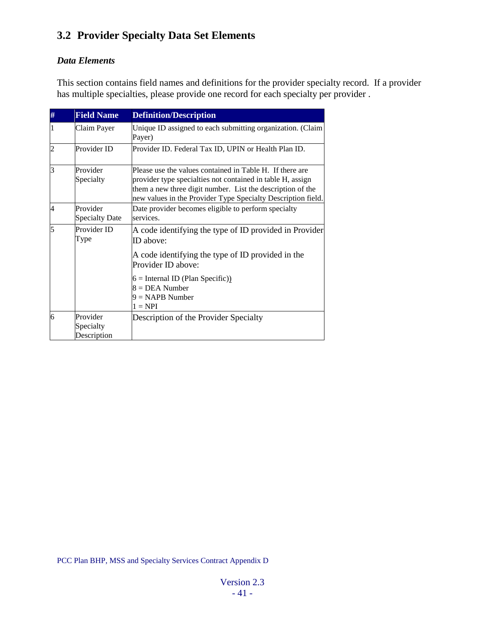# **3.2 Provider Specialty Data Set Elements**

### *Data Elements*

This section contains field names and definitions for the provider specialty record. If a provider has multiple specialties, please provide one record for each specialty per provider .

| # | <b>Field Name</b>                    | <b>Definition/Description</b>                                                                                                                                                                                                                        |
|---|--------------------------------------|------------------------------------------------------------------------------------------------------------------------------------------------------------------------------------------------------------------------------------------------------|
|   | Claim Payer                          | Unique ID assigned to each submitting organization. (Claim<br>Payer)                                                                                                                                                                                 |
| 2 | Provider ID                          | Provider ID. Federal Tax ID, UPIN or Health Plan ID.                                                                                                                                                                                                 |
| 3 | Provider<br>Specialty                | Please use the values contained in Table H. If there are<br>provider type specialties not contained in table H, assign<br>them a new three digit number. List the description of the<br>new values in the Provider Type Specialty Description field. |
| 4 | Provider<br><b>Specialty Date</b>    | Date provider becomes eligible to perform specialty<br>services.                                                                                                                                                                                     |
| 5 | Provider ID<br>Type                  | A code identifying the type of ID provided in Provider<br>ID above:<br>A code identifying the type of ID provided in the<br>Provider ID above:<br>$6 =$ Internal ID (Plan Specific))<br>$8 = DEA$ Number<br>$9 = \text{NAPB Number}$<br>$1 = NPI$    |
| 6 | Provider<br>Specialty<br>Description | Description of the Provider Specialty                                                                                                                                                                                                                |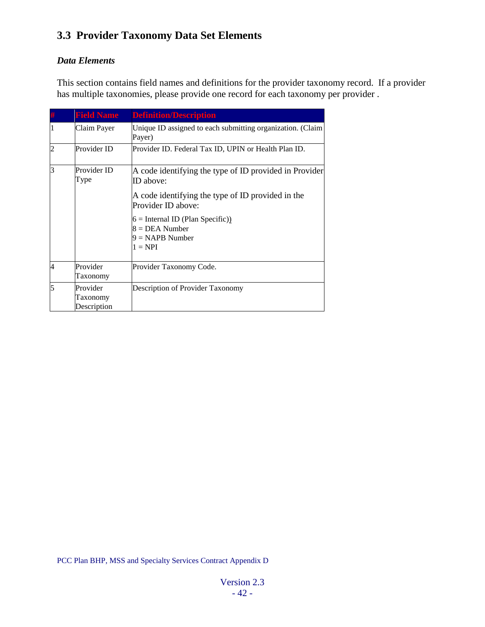# **3.3 Provider Taxonomy Data Set Elements**

### *Data Elements*

This section contains field names and definitions for the provider taxonomy record. If a provider has multiple taxonomies, please provide one record for each taxonomy per provider .

|                | <b>Field Name</b>                   | <b>Definition/Description</b>                                           |
|----------------|-------------------------------------|-------------------------------------------------------------------------|
|                | Claim Payer                         | Unique ID assigned to each submitting organization. (Claim<br>Payer)    |
| $\overline{2}$ | Provider ID                         | Provider ID. Federal Tax ID, UPIN or Health Plan ID.                    |
| l3             | Provider ID<br>Type                 | A code identifying the type of ID provided in Provider<br>ID above:     |
|                |                                     | A code identifying the type of ID provided in the<br>Provider ID above: |
|                |                                     | $6 =$ Internal ID (Plan Specific))<br>$8 = DEA$ Number                  |
|                |                                     | $9 = \text{NAPB Number}$<br>$1 = NPI$                                   |
| $\overline{4}$ | Provider<br>Taxonomy                | Provider Taxonomy Code.                                                 |
| 5              | Provider<br>Taxonomy<br>Description | Description of Provider Taxonomy                                        |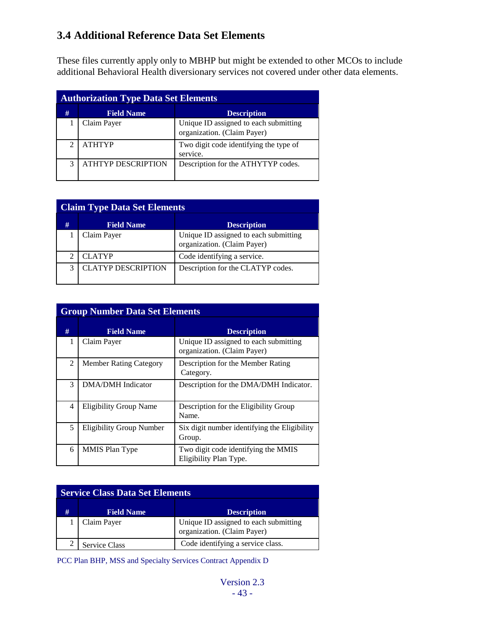# **3.4 Additional Reference Data Set Elements**

These files currently apply only to MBHP but might be extended to other MCOs to include additional Behavioral Health diversionary services not covered under other data elements.

|   | <b>Authorization Type Data Set Elements</b> |                                                                      |  |  |  |  |
|---|---------------------------------------------|----------------------------------------------------------------------|--|--|--|--|
| # | <b>Field Name</b>                           | <b>Description</b>                                                   |  |  |  |  |
|   | Claim Payer                                 | Unique ID assigned to each submitting<br>organization. (Claim Payer) |  |  |  |  |
|   | <b>ATHTYP</b>                               | Two digit code identifying the type of<br>service.                   |  |  |  |  |
| 3 | <b>ATHTYP DESCRIPTION</b>                   | Description for the ATHYTYP codes.                                   |  |  |  |  |

|   | <b>Claim Type Data Set Elements</b> |                                                                      |  |  |  |  |  |
|---|-------------------------------------|----------------------------------------------------------------------|--|--|--|--|--|
| # | <b>Field Name</b>                   | <b>Description</b>                                                   |  |  |  |  |  |
|   | Claim Payer                         | Unique ID assigned to each submitting<br>organization. (Claim Payer) |  |  |  |  |  |
|   | <b>CLATYP</b>                       | Code identifying a service.                                          |  |  |  |  |  |
| 3 | <b>CLATYP DESCRIPTION</b>           | Description for the CLATYP codes.                                    |  |  |  |  |  |

|   | <b>Group Number Data Set Elements</b> |                                                                      |  |  |  |  |
|---|---------------------------------------|----------------------------------------------------------------------|--|--|--|--|
| # | <b>Field Name</b>                     | <b>Description</b>                                                   |  |  |  |  |
| 1 | Claim Payer                           | Unique ID assigned to each submitting<br>organization. (Claim Payer) |  |  |  |  |
| 2 | <b>Member Rating Category</b>         | Description for the Member Rating<br>Category.                       |  |  |  |  |
| 3 | DMA/DMH Indicator                     | Description for the DMA/DMH Indicator.                               |  |  |  |  |
| 4 | <b>Eligibility Group Name</b>         | Description for the Eligibility Group<br>Name.                       |  |  |  |  |
| 5 | <b>Eligibility Group Number</b>       | Six digit number identifying the Eligibility<br>Group.               |  |  |  |  |
| 6 | <b>MMIS Plan Type</b>                 | Two digit code identifying the MMIS<br>Eligibility Plan Type.        |  |  |  |  |

| <b>Service Class Data Set Elements</b> |                      |                                                                      |  |  |  |
|----------------------------------------|----------------------|----------------------------------------------------------------------|--|--|--|
| #                                      | <b>Field Name</b>    | <b>Description</b>                                                   |  |  |  |
|                                        | Claim Payer          | Unique ID assigned to each submitting<br>organization. (Claim Payer) |  |  |  |
|                                        | <b>Service Class</b> | Code identifying a service class.                                    |  |  |  |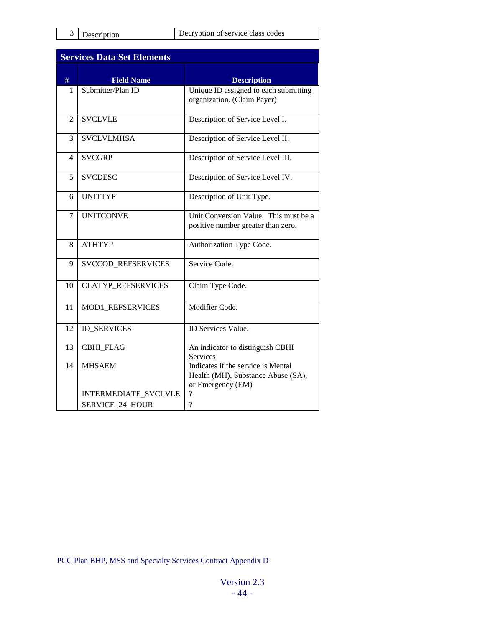|                | <b>Services Data Set Elements</b> |                                                                                               |
|----------------|-----------------------------------|-----------------------------------------------------------------------------------------------|
| #              | <b>Field Name</b>                 | <b>Description</b>                                                                            |
| 1              | Submitter/Plan ID                 | Unique ID assigned to each submitting<br>organization. (Claim Payer)                          |
| $\overline{2}$ | <b>SVCLVLE</b>                    | Description of Service Level I.                                                               |
| 3              | <b>SVCLVLMHSA</b>                 | Description of Service Level II.                                                              |
| 4              | <b>SVCGRP</b>                     | Description of Service Level III.                                                             |
| 5              | <b>SVCDESC</b>                    | Description of Service Level IV.                                                              |
| 6              | <b>UNITTYP</b>                    | Description of Unit Type.                                                                     |
| 7              | <b>UNITCONVE</b>                  | Unit Conversion Value. This must be a<br>positive number greater than zero.                   |
| 8              | <b>ATHTYP</b>                     | Authorization Type Code.                                                                      |
| 9              | <b>SVCCOD REFSERVICES</b>         | Service Code.                                                                                 |
| 10             | <b>CLATYP REFSERVICES</b>         | Claim Type Code.                                                                              |
| 11             | MOD1 REFSERVICES                  | Modifier Code.                                                                                |
| 12             | <b>ID_SERVICES</b>                | <b>ID</b> Services Value.                                                                     |
| 13             | <b>CBHI FLAG</b>                  | An indicator to distinguish CBHI<br><b>Services</b>                                           |
| 14             | <b>MHSAEM</b>                     | Indicates if the service is Mental<br>Health (MH), Substance Abuse (SA),<br>or Emergency (EM) |
|                | INTERMEDIATE_SVCLVLE              | $\overline{\mathcal{C}}$                                                                      |
|                | <b>SERVICE 24 HOUR</b>            | $\gamma$                                                                                      |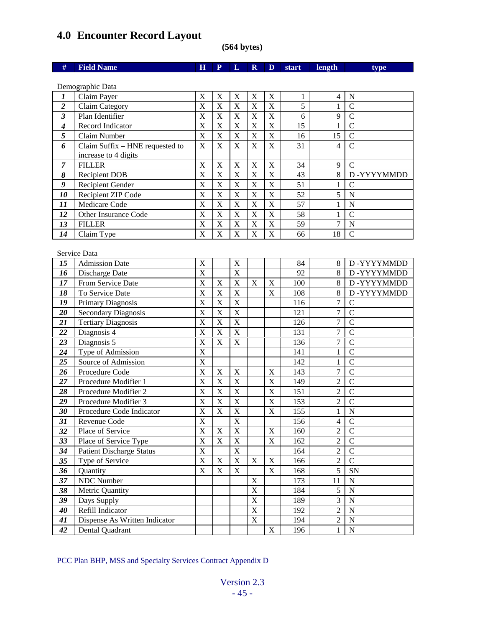# **4.0 Encounter Record Layout**

**(564 bytes)**

| #                       | <b>Field Name</b>               | $\mathbf H$               | $\mathbf{P}$              | L                          | $\mathbf R$             | D                         | start | length                           | type               |
|-------------------------|---------------------------------|---------------------------|---------------------------|----------------------------|-------------------------|---------------------------|-------|----------------------------------|--------------------|
|                         |                                 |                           |                           |                            |                         |                           |       |                                  |                    |
|                         | Demographic Data                |                           |                           |                            |                         |                           |       |                                  |                    |
| $\boldsymbol{l}$        | Claim Payer                     | $\boldsymbol{\mathrm{X}}$ | $\boldsymbol{\mathrm{X}}$ | X                          | $\mathbf X$             | X                         | 1     | $\overline{4}$                   | N                  |
| $\overline{\mathbf{c}}$ | Claim Category                  | $\overline{\mathbf{X}}$   | $\overline{X}$            | $\overline{X}$             | $\overline{\mathbf{X}}$ | $\mathbf X$               | 5     | $\mathbf{1}$                     | $\overline{C}$     |
| $\overline{\mathbf{3}}$ | Plan Identifier                 | X                         | X                         | X                          | X                       | $\boldsymbol{\mathrm{X}}$ | 6     | 9                                | $\overline{C}$     |
| $\boldsymbol{4}$        | Record Indicator                | $\overline{\text{X}}$     | $\overline{X}$            | $\overline{\mathbf{X}}$    | $\overline{X}$          | $\mathbf X$               | 15    | $\mathbf{1}$                     | $\overline{C}$     |
| $\overline{\mathbf{5}}$ | Claim Number                    | $\overline{X}$            | $\overline{X}$            | $\overline{\mathbf{X}}$    | $\overline{\mathbf{X}}$ | $\overline{\mathbf{X}}$   | 16    | $\overline{15}$                  | $\overline{C}$     |
| 6                       | Claim Suffix - HNE requested to | $\overline{\mathbf{X}}$   | $\overline{\text{X}}$     | $\bar{X}$                  | $\overline{\mathbf{X}}$ | $\mathbf X$               | 31    | $\overline{4}$                   | $\overline{C}$     |
|                         | increase to 4 digits            |                           |                           |                            |                         |                           |       |                                  |                    |
| $\overline{7}$          | <b>FILLER</b>                   | X                         | $\mathbf X$               | X                          | $\mathbf X$             | $\boldsymbol{\mathrm{X}}$ | 34    | 9                                | $\mathcal{C}$      |
| 8                       | <b>Recipient DOB</b>            | X                         | $\overline{X}$            | X                          | $\mathbf X$             | $\mathbf X$               | 43    | 8                                | D-YYYYMMDD         |
| 9                       | Recipient Gender                | X                         | X                         | X                          | X                       | $\mathbf X$               | 51    | 1                                | $\mathcal{C}$      |
| 10                      | Recipient ZIP Code              | X                         | $\mathbf X$               | $\mathbf X$                | X                       | $\mathbf X$               | 52    | 5                                | $\overline{N}$     |
| 11                      | Medicare Code                   | X                         | X                         | X                          | $\mathbf X$             | $\mathbf X$               | 57    | 1                                | $\overline{\rm N}$ |
| 12                      | Other Insurance Code            | X                         | X                         | X                          | $\mathbf X$             | $\mathbf X$               | 58    | $\mathbf{1}$                     | $\overline{C}$     |
| 13                      | <b>FILLER</b>                   | $\overline{X}$            | $\overline{X}$            | X                          | $\mathbf X$             | $\mathbf X$               | 59    | $\overline{7}$                   | $\mathbf N$        |
| 14                      | Claim Type                      | X                         | $\overline{X}$            | X                          | $\mathbf X$             | $\mathbf X$               | 66    | 18                               | $\overline{C}$     |
|                         | Service Data                    |                           |                           |                            |                         |                           |       |                                  |                    |
| 15                      | <b>Admission Date</b>           | $\boldsymbol{\mathrm{X}}$ |                           | $\mathbf X$                |                         |                           | 84    | $\,8$                            | D-YYYYMMDD         |
| 16                      | Discharge Date                  | $\overline{\mathbf{X}}$   |                           | $\overline{\mathrm{X}}$    |                         |                           | 92    | 8                                | D-YYYYMMDD         |
| 17                      | From Service Date               | X                         | X                         | X                          | X                       | $\boldsymbol{X}$          | 100   | 8                                | D-YYYYMMDD         |
| 18                      | To Service Date                 | $\overline{\mathbf{X}}$   | $\overline{X}$            | X                          |                         | X                         | 108   | 8                                | D-YYYYMMDD         |
| 19                      | Primary Diagnosis               | $\overline{\mathbf{X}}$   | $\overline{X}$            | X                          |                         |                           | 116   | $\overline{7}$                   | $\mathsf{C}$       |
| 20                      | <b>Secondary Diagnosis</b>      | X                         | X                         | X                          |                         |                           | 121   | $\overline{7}$                   | $\mathsf{C}$       |
| 21                      | <b>Tertiary Diagnosis</b>       | $\overline{\mathbf{X}}$   | $\overline{X}$            | $\overline{\mathbf{X}}$    |                         |                           | 126   | $\overline{7}$                   | $\overline{C}$     |
| 22                      | Diagnosis 4                     | X                         | $\mathbf X$               | X                          |                         |                           | 131   | $\overline{7}$                   | $\overline{C}$     |
| 23                      | Diagnosis 5                     | X                         | $\boldsymbol{X}$          | $\mathbf X$                |                         |                           | 136   | $\overline{7}$                   | $\mathcal{C}$      |
| 24                      | Type of Admission               | $\overline{X}$            |                           |                            |                         |                           | 141   | $\mathbf{1}$                     | $\overline{C}$     |
| 25                      | Source of Admission             | $\overline{X}$            |                           |                            |                         |                           | 142   | $\mathbf{1}$                     | $\overline{C}$     |
| 26                      | Procedure Code                  | $\overline{X}$            | $\boldsymbol{\mathrm{X}}$ | $\mathbf X$                |                         | $\boldsymbol{\mathrm{X}}$ | 143   | $\overline{7}$                   | $\overline{C}$     |
| 27                      | Procedure Modifier 1            | $\overline{\mathbf{X}}$   | $\overline{X}$            | $\overline{X}$             |                         | $\mathbf X$               | 149   | $\overline{2}$                   | $\overline{C}$     |
| 28                      | Procedure Modifier 2            | X                         | X                         | X                          |                         | X                         | 151   | $\overline{2}$                   | $\overline{C}$     |
| 29                      | Procedure Modifier 3            | $\overline{\mathbf{X}}$   | $\overline{X}$            | X                          |                         | X                         | 153   | $\overline{2}$                   | $\overline{C}$     |
| 30                      | Procedure Code Indicator        | $\overline{X}$            | $\overline{X}$            | $\overline{\mathbf{X}}$    |                         | X                         | 155   | $\mathbf{1}$                     | $\overline{N}$     |
| 31                      | Revenue Code                    | $\overline{\mathbf{X}}$   |                           | $\overline{\mathbf{X}}$    |                         |                           | 156   | $\overline{4}$                   | $\overline{C}$     |
| 32                      | Place of Service                | $\overline{\text{X}}$     | X                         | $\overline{\mathbf{X}}$    |                         | $\mathbf X$               | 160   | $\overline{2}$                   | $\overline{C}$     |
|                         | Place of Service Type           | $\mathbf X$               | $\mathbf X$               |                            |                         | $\mathbf X$               |       | $\overline{2}$                   | $\mathsf{C}$       |
| 33                      |                                 | $\mathbf X$               |                           | $\mathbf X$<br>$\mathbf X$ |                         |                           | 162   | $\overline{2}$                   | $\overline{C}$     |
| 34                      | <b>Patient Discharge Status</b> |                           |                           |                            |                         |                           | 164   |                                  | $\overline{C}$     |
| 35                      | Type of Service                 | $\mathbf X$               | X                         | $\mathbf X$                | $\boldsymbol{X}$        | $\mathbf X$               | 166   | $\overline{2}$<br>$\overline{5}$ |                    |
| 36                      | Quantity                        | $\mathbf X$               | $\mathbf X$               | $\mathbf X$                |                         | X                         | 168   |                                  | ${\rm SN}$         |
| 37                      | NDC Number                      |                           |                           |                            | $\mathbf X$             |                           | 173   | 11                               | ${\bf N}$          |
| 38                      | Metric Quantity                 |                           |                           |                            | $\mathbf X$             |                           | 184   | 5                                | ${\bf N}$          |
| 39                      | Days Supply                     |                           |                           |                            | $\mathbf X$             |                           | 189   | $\overline{3}$                   | $\mathbf N$        |
| 40                      | Refill Indicator                |                           |                           |                            | $\mathbf X$             |                           | 192   | $\overline{2}$                   | ${\bf N}$          |
| 41                      | Dispense As Written Indicator   |                           |                           |                            | $\overline{\textbf{X}}$ |                           | 194   | $\overline{2}$                   | ${\bf N}$          |

PCC Plan BHP, MSS and Specialty Services Contract Appendix D

Dental Quadrant X 196 1 N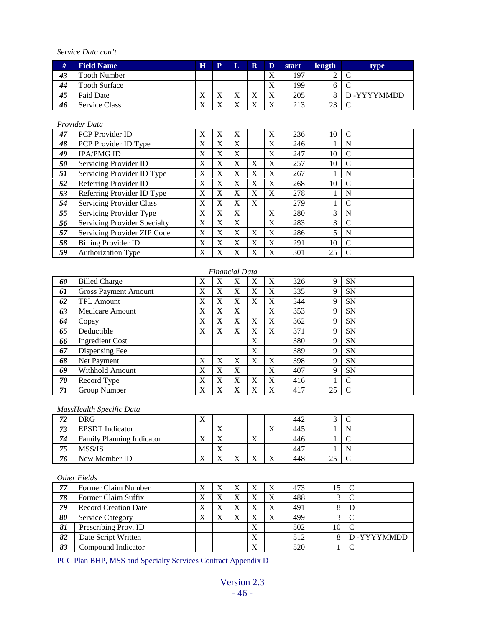*Service Data con't*

| #  | <b>Field Name</b>    | $\bf H$                              | ${\bf P}$                 | L                         | $\mathbf R$               | D                                    | start | length | type       |
|----|----------------------|--------------------------------------|---------------------------|---------------------------|---------------------------|--------------------------------------|-------|--------|------------|
| 43 | <b>Tooth Number</b>  |                                      |                           |                           |                           | $\mathbf{v}$<br>$\Lambda$            | 197   |        |            |
| 44 | <b>Tooth Surface</b> |                                      |                           |                           |                           | $\overline{\mathbf{x}}$<br>△         | 199   |        |            |
| 45 | Paid Date            | $\mathbf{v}$<br>$\Lambda$            | $\mathbf{v}$<br>$\Lambda$ | $\mathbf{v}$<br>$\Lambda$ | $\mathbf{v}$<br>$\Lambda$ | $\overline{\mathbf{v}}$<br>$\Lambda$ | 205   |        | D-YYYYMMDD |
| 46 | <b>Service Class</b> | $\overline{\mathbf{v}}$<br>$\Lambda$ | $\mathbf{v}$<br>∡         | $\mathbf{v}$              | $\mathbf{v}$<br>△         | $\mathbf{v}$<br>л                    | 213   | 23     |            |

#### *Provider Data*

| 47 | <b>PCP</b> Provider ID          | X            | X | X        |   | X | 236 | 10 | $\mathcal{C}$ |
|----|---------------------------------|--------------|---|----------|---|---|-----|----|---------------|
| 48 | PCP Provider ID Type            | $\mathbf{X}$ | X | $\bf{X}$ |   | X | 246 |    | N             |
| 49 | <b>IPA/PMG ID</b>               | $\mathbf{X}$ | X | $\bf{X}$ |   | X | 247 | 10 | $\mathcal{C}$ |
| 50 | Servicing Provider ID           | X            | X | $\bf{X}$ | X | X | 257 | 10 | $\mathcal{C}$ |
| 51 | Servicing Provider ID Type      | X            | X | X        | X | X | 267 |    | N             |
| 52 | Referring Provider ID           | $\mathbf{X}$ | X | X        | X | X | 268 | 10 | C             |
| 53 | Referring Provider ID Type      | X            | X | $\bf{X}$ | X | X | 278 |    | N             |
| 54 | <b>Servicing Provider Class</b> | X            | X | X        | X |   | 279 |    | C             |
| 55 | Servicing Provider Type         | X            | X | X        |   | X | 280 | 3  | N             |
| 56 | Servicing Provider Specialty    | X            | X | $\bf{X}$ |   | X | 283 | 3  | C             |
| 57 | Servicing Provider ZIP Code     | X            | X | $\bf{X}$ | X | X | 286 | 5  | N             |
| 58 | <b>Billing Provider ID</b>      | X            | X | $\bf{X}$ | X | X | 291 | 10 | $\mathcal{C}$ |
| 59 | <b>Authorization Type</b>       | X            | X | X        | X | X | 301 | 25 | $\mathcal{C}$ |

|    | <b>Financial Data</b>       |              |   |             |   |   |     |    |           |  |  |
|----|-----------------------------|--------------|---|-------------|---|---|-----|----|-----------|--|--|
| 60 | <b>Billed Charge</b>        | X            | X | X           | X | X | 326 | 9  | <b>SN</b> |  |  |
| 61 | <b>Gross Payment Amount</b> | X            | X | $\bf{X}$    | X | X | 335 | 9  | <b>SN</b> |  |  |
| 62 | <b>TPL Amount</b>           | X            | X | X           | X | X | 344 | 9  | <b>SN</b> |  |  |
| 63 | Medicare Amount             | X            | X | X           |   | X | 353 | 9  | <b>SN</b> |  |  |
| 64 | Copay                       | $\mathbf{X}$ | X | $\mathbf x$ | X | X | 362 | 9  | <b>SN</b> |  |  |
| 65 | Deductible                  | X            | X | X           | X | X | 371 | 9  | <b>SN</b> |  |  |
| 66 | <b>Ingredient Cost</b>      |              |   |             | X |   | 380 | 9  | <b>SN</b> |  |  |
| 67 | Dispensing Fee              |              |   |             | X |   | 389 | 9  | <b>SN</b> |  |  |
| 68 | Net Payment                 | X            | X | X           | X | X | 398 | 9  | <b>SN</b> |  |  |
| 69 | Withhold Amount             | X            | X | X           |   | X | 407 | 9  | <b>SN</b> |  |  |
| 70 | Record Type                 | X            | X | X           | X | X | 416 |    | C         |  |  |
| 71 | Group Number                | X            | X | X           | X | X | 417 | 25 | C         |  |  |

#### *MassHealth Specific Data*

| 71<br>ے ہ | DRG.                             | $\overline{\mathbf{x}}$<br>$\Lambda$ |                           |                           |                           |                           | 442 |            |  |
|-----------|----------------------------------|--------------------------------------|---------------------------|---------------------------|---------------------------|---------------------------|-----|------------|--|
| 73        | <b>EPSDT</b> Indicator           |                                      | $\mathbf{v}$<br>$\Lambda$ |                           |                           | xx.<br>$\Lambda$          | 445 |            |  |
| 74        | <b>Family Planning Indicator</b> | w.<br>$\Lambda$                      | $\mathbf{v}$<br>$\Lambda$ |                           | $\mathbf{v}$<br>$\Lambda$ |                           | 446 |            |  |
| 75        | MSS/IS                           |                                      | $\mathbf{v}$<br>$\Lambda$ |                           |                           |                           | 447 |            |  |
| 76        | New Member ID                    | $\mathbf{v}$<br>$\lambda$            | $\mathbf{x}$<br>$\Lambda$ | $\mathbf{x}$<br>$\Lambda$ | $\mathbf{v}$              | $\mathbf{v}$<br>$\Lambda$ | 448 | າະ<br>ل کے |  |

#### *Other Fields*

| 77 | Former Claim Number         | $\Lambda$                 | Х | Х |   | 473 |    |            |
|----|-----------------------------|---------------------------|---|---|---|-----|----|------------|
| 78 | Former Claim Suffix         | $\Lambda$                 | X | X |   | 488 | ⌒  |            |
| 79 | <b>Record Creation Date</b> | $\mathbf{v}$<br>$\Lambda$ | X | X | X | 491 |    |            |
| 80 | <b>Service Category</b>     | $\mathbf{v}$<br>Λ         | Х | X | X | 499 | ⌒  |            |
| 81 | Prescribing Prov. ID        |                           |   |   | X | 502 | 10 |            |
| 82 | Date Script Written         |                           |   |   | X | 512 |    | D-YYYYMMDD |
| 83 | Compound Indicator          |                           |   |   | X | 520 |    |            |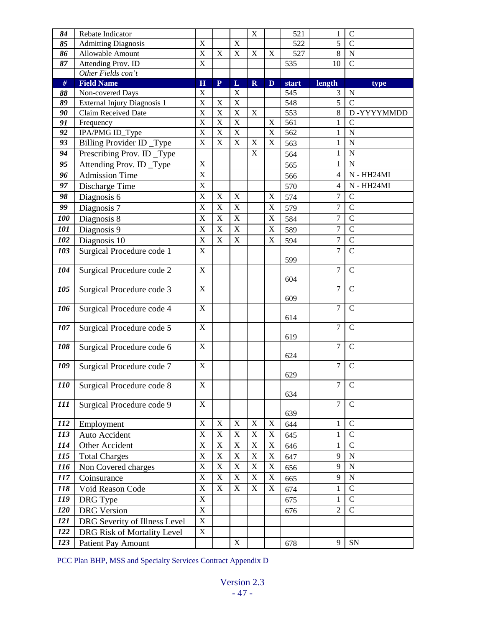| 84         | Rebate Indicator              |                                        |                               |                                        | $\mathbf X$                |                  | 521   | 1                | $\mathsf{C}$                  |
|------------|-------------------------------|----------------------------------------|-------------------------------|----------------------------------------|----------------------------|------------------|-------|------------------|-------------------------------|
| 85         | <b>Admitting Diagnosis</b>    | $\mathbf X$                            |                               | $\mathbf X$                            |                            |                  | 522   | $\overline{5}$   | $\overline{C}$                |
| 86         | Allowable Amount              | $\overline{X}$                         | X                             | $\mathbf X$                            | $\mathbf X$                | $\mathbf X$      | 527   | $8\,$            | $\overline{N}$                |
| 87         | Attending Prov. ID            | $\mathbf X$                            |                               |                                        |                            |                  | 535   | 10               | $\mathbf C$                   |
|            | Other Fields con't            |                                        |                               |                                        |                            |                  |       |                  |                               |
| $\#$       | <b>Field Name</b>             | H                                      | $\mathbf{P}$                  | L                                      | $\mathbf R$                | D                | start | length           | type                          |
| 88         | Non-covered Days              | X                                      |                               | X                                      |                            |                  | 545   | 3                | $\mathbf N$                   |
| 89         | External Injury Diagnosis 1   | X                                      | $\mathbf X$                   | $\mathbf X$                            |                            |                  | 548   | 5                | $\overline{C}$                |
| 90         | Claim Received Date           | X                                      | X                             | $\mathbf X$                            | $\mathbf X$                |                  | 553   | 8                | D-YYYYMMDD                    |
| 91         | Frequency                     | $\overline{\text{X}}$                  | X                             | $\overline{X}$                         |                            | $\mathbf X$      | 561   | 1                | $\overline{C}$                |
| 92         | IPA/PMG ID_Type               | $\mathbf X$<br>$\overline{\mathbf{X}}$ | $\mathbf X$<br>$\overline{X}$ | $\mathbf X$<br>$\overline{\mathbf{X}}$ |                            | $\mathbf X$<br>X | 562   | 1                | $\mathbf N$<br>$\overline{N}$ |
| 93         | Billing Provider ID _Type     |                                        |                               |                                        | $\mathbf X$<br>$\mathbf X$ |                  | 563   | $\mathbf{1}$     |                               |
| 94         | Prescribing Prov. ID_Type     |                                        |                               |                                        |                            |                  | 564   | $\mathbf{1}$     | $\mathbf N$                   |
| 95         | Attending Prov. ID_Type       | $\mathbf X$                            |                               |                                        |                            |                  | 565   | 1                | ${\bf N}$                     |
| 96         | <b>Admission Time</b>         | $\mathbf X$                            |                               |                                        |                            |                  | 566   | $\overline{4}$   | $N - HH24MI$                  |
| 97         | Discharge Time                | $\mathbf X$                            |                               |                                        |                            |                  | 570   | 4                | N - HH24MI                    |
| 98         | Diagnosis 6                   | $\mathbf X$                            | $\mathbf X$                   | $\mathbf X$                            |                            | $\mathbf X$      | 574   | 7                | $\overline{C}$                |
| 99         | Diagnosis 7                   | $\bar{X}$                              | $\mathbf X$                   | $\mathbf X$                            |                            | $\mathbf X$      | 579   | $\overline{7}$   | $\overline{C}$                |
| 100        | Diagnosis 8                   | X                                      | X                             | $\mathbf X$                            |                            | $\mathbf X$      | 584   | $\boldsymbol{7}$ | $\overline{C}$                |
| 101        | Diagnosis 9                   | X                                      | $\mathbf X$                   | $\mathbf X$                            |                            | $\mathbf X$      | 589   | $\overline{7}$   | $\overline{C}$                |
| 102        | Diagnosis 10                  | $\mathbf X$                            | $\mathbf X$                   | $\mathbf X$                            |                            | X                | 594   | $\overline{7}$   | $\mathcal{C}$                 |
| 103        | Surgical Procedure code 1     | $\mathbf X$                            |                               |                                        |                            |                  | 599   | $\overline{7}$   | $\overline{C}$                |
| 104        | Surgical Procedure code 2     | $\mathbf X$                            |                               |                                        |                            |                  | 604   | $\overline{7}$   | $\overline{C}$                |
| 105        | Surgical Procedure code 3     | X                                      |                               |                                        |                            |                  | 609   | $\overline{7}$   | $\mathcal{C}$                 |
| 106        | Surgical Procedure code 4     | X                                      |                               |                                        |                            |                  | 614   | $\overline{7}$   | $\mathcal{C}$                 |
| 107        | Surgical Procedure code 5     | $\mathbf X$                            |                               |                                        |                            |                  | 619   | $\overline{7}$   | $\mathcal{C}$                 |
| 108        | Surgical Procedure code 6     | $\mathbf X$                            |                               |                                        |                            |                  | 624   | 7                | $\overline{C}$                |
| 109        | Surgical Procedure code 7     | $\mathbf X$                            |                               |                                        |                            |                  | 629   | $\overline{7}$   | $\overline{C}$                |
| <b>110</b> | Surgical Procedure code 8     | $\bar{X}$                              |                               |                                        |                            |                  | 634   | 7                | $\mathcal{C}$                 |
| 111        | Surgical Procedure code 9     | X                                      |                               |                                        |                            |                  | 639   | 7                | $\mathcal{C}$                 |
| 112        | Employment                    | $\mathbf X$                            | $\mathbf X$                   | $\mathbf X$                            | $\mathbf X$                | X                | 644   | 1                | $\mathcal{C}$                 |
| 113        | Auto Accident                 | $\mathbf X$                            | X                             | $\mathbf X$                            | $\boldsymbol{\mathrm{X}}$  | X                | 645   | 1                | $\mathcal{C}$                 |
| 114        | Other Accident                | $\mathbf X$                            | $\mathbf X$                   | $\mathbf X$                            | $\mathbf X$                | $\mathbf X$      | 646   | $\mathbf 1$      | $\overline{C}$                |
| 115        | <b>Total Charges</b>          | $\mathbf X$                            | $\mathbf X$                   | $\mathbf X$                            | $\mathbf X$                | $\mathbf X$      | 647   | 9                | $\mathbf N$                   |
| 116        | Non Covered charges           | $\mathbf X$                            | $\mathbf X$                   | $\mathbf X$                            | $\mathbf X$                | $\mathbf X$      | 656   | 9                | $\mathbf N$                   |
| 117        |                               | $\mathbf X$                            | $\mathbf X$                   | $\mathbf X$                            | $\mathbf X$                | $\mathbf X$      |       | 9                | ${\bf N}$                     |
| 118        | Coinsurance                   | $\mathbf X$                            | $\mathbf X$                   | $\mathbf X$                            | $\mathbf X$                | $\mathbf X$      | 665   |                  | $\mathcal{C}$                 |
|            | Void Reason Code              |                                        |                               |                                        |                            |                  | 674   | 1                |                               |
| 119        | DRG Type                      | $\mathbf X$                            |                               |                                        |                            |                  | 675   | 1                | $\mathcal{C}$                 |
| 120        | <b>DRG</b> Version            | $\mathbf X$                            |                               |                                        |                            |                  | 676   | $\overline{2}$   | $\mathbf C$                   |
| 121        | DRG Severity of Illness Level | $\mathbf X$                            |                               |                                        |                            |                  |       |                  |                               |
| 122        | DRG Risk of Mortality Level   | $\mathbf X$                            |                               |                                        |                            |                  |       |                  |                               |
| 123        | <b>Patient Pay Amount</b>     |                                        |                               | X                                      |                            |                  | 678   | 9                | ${\rm SN}$                    |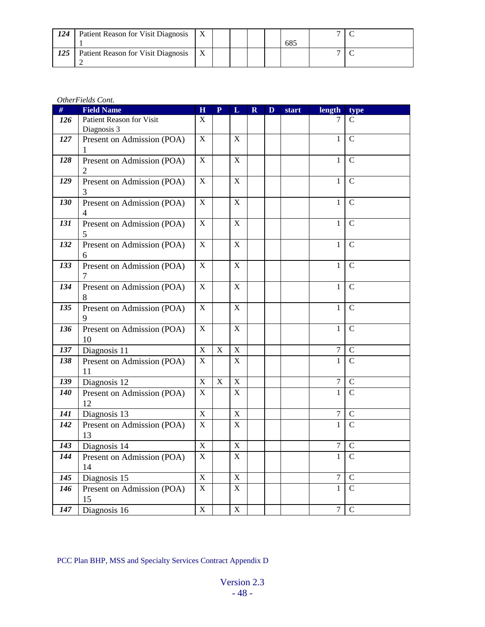| 124 | Patient Reason for Visit Diagnosis |  |  |     |  |
|-----|------------------------------------|--|--|-----|--|
|     |                                    |  |  | 685 |  |
| 125 | Patient Reason for Visit Diagnosis |  |  |     |  |

#### *OtherFields Cont.*

| #   | <b>Field Name</b>          | $\mathbf H$               | $\mathbf{P}$ | L           | $\mathbf R$ | D | start | length           | type           |
|-----|----------------------------|---------------------------|--------------|-------------|-------------|---|-------|------------------|----------------|
| 126 | Patient Reason for Visit   | $\mathbf{X}$              |              |             |             |   |       |                  | C              |
|     | Diagnosis 3                |                           |              |             |             |   |       |                  |                |
| 127 | Present on Admission (POA) | X                         |              | $\mathbf X$ |             |   |       | 1                | $\mathbf C$    |
|     | 1                          |                           |              |             |             |   |       |                  |                |
| 128 | Present on Admission (POA) | X                         |              | X           |             |   |       | 1                | $\mathcal{C}$  |
|     | 2                          |                           |              |             |             |   |       |                  |                |
| 129 | Present on Admission (POA) | X                         |              | X           |             |   |       | $\mathbf{1}$     | $\mathbf C$    |
|     | 3                          |                           |              |             |             |   |       |                  |                |
| 130 | Present on Admission (POA) | X                         |              | $\mathbf X$ |             |   |       | 1                | $\mathcal{C}$  |
|     | 4                          |                           |              |             |             |   |       |                  |                |
| 131 | Present on Admission (POA) | $\mathbf X$               |              | $\mathbf X$ |             |   |       | $\mathbf{1}$     | $\mathsf{C}$   |
|     | 5.                         |                           |              |             |             |   |       |                  |                |
| 132 | Present on Admission (POA) | $\mathbf X$               |              | X           |             |   |       | $\mathbf{1}$     | $\mathcal{C}$  |
|     | 6                          |                           |              |             |             |   |       |                  |                |
| 133 | Present on Admission (POA) | X                         |              | $\mathbf X$ |             |   |       | $\mathbf{1}$     | $\mathsf{C}$   |
|     | 7                          |                           |              |             |             |   |       |                  |                |
| 134 | Present on Admission (POA) | X                         |              | $\mathbf X$ |             |   |       | 1                | $\mathsf{C}$   |
|     | 8                          |                           |              |             |             |   |       |                  |                |
| 135 | Present on Admission (POA) | X                         |              | $\mathbf X$ |             |   |       | 1                | $\mathsf{C}$   |
|     | 9                          |                           |              |             |             |   |       |                  |                |
| 136 | Present on Admission (POA) | X                         |              | $\mathbf X$ |             |   |       | $\mathbf{1}$     | $\mathcal{C}$  |
|     | 10                         |                           |              |             |             |   |       |                  |                |
| 137 | Diagnosis 11               | $\mathbf X$               | $\mathbf X$  | $\mathbf X$ |             |   |       | $\tau$           | $\mathcal{C}$  |
| 138 | Present on Admission (POA) | X                         |              | X           |             |   |       | $\mathbf{1}$     | $\overline{C}$ |
|     | 11                         |                           |              |             |             |   |       |                  |                |
| 139 | Diagnosis 12               | $\mathbf X$               | $\mathbf X$  | $\mathbf X$ |             |   |       | $\boldsymbol{7}$ | $\mathbf C$    |
| 140 | Present on Admission (POA) | X                         |              | $\mathbf X$ |             |   |       | $\mathbf{1}$     | $\mathcal{C}$  |
|     | 12                         |                           |              |             |             |   |       |                  |                |
| 141 | Diagnosis 13               | $\mathbf X$               |              | X           |             |   |       | $\tau$           | $\mathbf C$    |
| 142 | Present on Admission (POA) | X                         |              | X           |             |   |       | 1                | $\mathsf{C}$   |
|     | 13                         |                           |              |             |             |   |       |                  |                |
| 143 | Diagnosis 14               | $\mathbf X$               |              | $\mathbf X$ |             |   |       | $\boldsymbol{7}$ | $\mathsf{C}$   |
| 144 | Present on Admission (POA) | $\mathbf X$               |              | $\mathbf X$ |             |   |       | $\mathbf{1}$     | $\mathcal{C}$  |
|     | 14                         |                           |              |             |             |   |       |                  |                |
| 145 | Diagnosis 15               | $\mathbf X$               |              | $\mathbf X$ |             |   |       | 7                | C              |
| 146 | Present on Admission (POA) | X                         |              | $\mathbf X$ |             |   |       | $\mathbf{1}$     | $\overline{C}$ |
|     | 15                         |                           |              |             |             |   |       |                  |                |
| 147 | Diagnosis 16               | $\boldsymbol{\mathrm{X}}$ |              | $\mathbf X$ |             |   |       | $\tau$           | $\mathcal{C}$  |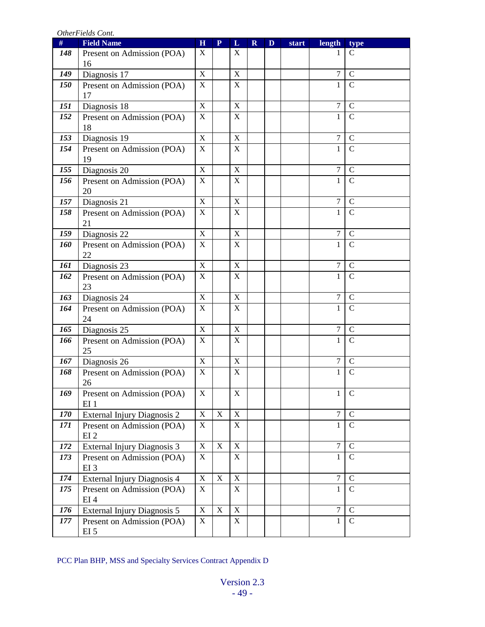*OtherFields Cont.*

| #   | <b>Field Name</b>                  | $\mathbf H$             | $\mathbf{P}$ | L                         | $\mathbf R$ | D | start | length           | type           |
|-----|------------------------------------|-------------------------|--------------|---------------------------|-------------|---|-------|------------------|----------------|
| 148 | Present on Admission (POA)         | X                       |              | X                         |             |   |       | 1                | $\mathsf{C}$   |
|     | 16                                 |                         |              |                           |             |   |       |                  |                |
| 149 | Diagnosis 17                       | $\mathbf X$             |              | $\mathbf X$               |             |   |       | $\tau$           | $\mathcal{C}$  |
| 150 | Present on Admission (POA)         | X                       |              | X                         |             |   |       | $\mathbf 1$      | $\mathsf{C}$   |
|     | 17                                 |                         |              |                           |             |   |       |                  |                |
| 151 | Diagnosis 18                       | X                       |              | $\boldsymbol{\mathrm{X}}$ |             |   |       | $\boldsymbol{7}$ | $\mathcal{C}$  |
| 152 | Present on Admission (POA)         | X                       |              | $\mathbf X$               |             |   |       | 1                | $\overline{C}$ |
|     | 18                                 |                         |              |                           |             |   |       |                  |                |
| 153 | Diagnosis 19                       | X                       |              | $\mathbf X$               |             |   |       | 7                | $\mathcal{C}$  |
| 154 | Present on Admission (POA)         | X                       |              | X                         |             |   |       | $\mathbf{1}$     | $\mathbf C$    |
|     | 19                                 |                         |              |                           |             |   |       |                  |                |
| 155 | Diagnosis 20                       | X                       |              | $\mathbf X$               |             |   |       | $\tau$           | $\mathcal{C}$  |
| 156 | Present on Admission (POA)         | $\mathbf X$             |              | $\mathbf X$               |             |   |       | 1                | $\mathbf C$    |
|     | 20                                 |                         |              |                           |             |   |       |                  |                |
| 157 | Diagnosis 21                       | $\mathbf X$             |              | $\mathbf X$               |             |   |       | $\overline{7}$   | $\mathcal{C}$  |
| 158 | Present on Admission (POA)<br>21   | X                       |              | $\mathbf X$               |             |   |       | 1                | $\mathbf C$    |
| 159 | Diagnosis 22                       | X                       |              | $\mathbf X$               |             |   |       | $\tau$           | $\mathbf C$    |
| 160 | Present on Admission (POA)         | X                       |              | $\mathbf X$               |             |   |       | $\mathbf 1$      | $\mathcal{C}$  |
|     | 22                                 |                         |              |                           |             |   |       |                  |                |
| 161 | Diagnosis 23                       | X                       |              | $\mathbf X$               |             |   |       | $\tau$           | $\mathsf{C}$   |
| 162 | Present on Admission (POA)         | $\mathbf X$             |              | $\boldsymbol{\mathrm{X}}$ |             |   |       | $\mathbf{1}$     | $\mathcal{C}$  |
|     | 23                                 |                         |              |                           |             |   |       |                  |                |
| 163 | Diagnosis 24                       | $\mathbf X$             |              | $\mathbf X$               |             |   |       | $\tau$           | $\mathbf C$    |
| 164 | Present on Admission (POA)         | $\mathbf X$             |              | $\mathbf X$               |             |   |       | 1                | $\mathcal{C}$  |
|     | 24                                 |                         |              |                           |             |   |       |                  |                |
| 165 | Diagnosis 25                       | X                       |              | $\boldsymbol{\mathrm{X}}$ |             |   |       | $\tau$           | $\mathcal{C}$  |
| 166 | Present on Admission (POA)         | $\mathbf X$             |              | $\mathbf X$               |             |   |       | $\mathbf{1}$     | $\mathcal{C}$  |
|     | 25                                 |                         |              |                           |             |   |       |                  |                |
| 167 | Diagnosis 26                       | $\mathbf X$             |              | $\mathbf X$               |             |   |       | $\tau$           | $\mathbf C$    |
| 168 | Present on Admission (POA)         | X                       |              | $\boldsymbol{\mathrm{X}}$ |             |   |       | $\mathbf{1}$     | $\overline{C}$ |
|     | 26                                 |                         |              |                           |             |   |       |                  |                |
| 169 | Present on Admission (POA)         | $\overline{\textbf{X}}$ |              | $\overline{X}$            |             |   |       | $\mathbf{1}$     | ${\bf C}$      |
|     | EI <sub>1</sub>                    |                         |              |                           |             |   |       |                  |                |
| 170 | External Injury Diagnosis 2        | $\mathbf X$             | $\mathbf X$  | $\mathbf X$               |             |   |       | $\tau$           | $\mathbf C$    |
| 171 | Present on Admission (POA)         | X                       |              | $\boldsymbol{\mathrm{X}}$ |             |   |       | $\mathbf{1}$     | $\mathsf{C}$   |
|     | EI <sub>2</sub>                    |                         |              |                           |             |   |       |                  |                |
| 172 | External Injury Diagnosis 3        | $\mathbf X$             | $\mathbf X$  | $\mathbf X$               |             |   |       | $\overline{7}$   | $\mathbf C$    |
| 173 | Present on Admission (POA)         | X                       |              | X                         |             |   |       | 1                | $\mathcal{C}$  |
|     | EI <sub>3</sub>                    | $\mathbf X$             | $\mathbf X$  | $\mathbf X$               |             |   |       | $\overline{7}$   | $\mathsf{C}$   |
| 174 | <b>External Injury Diagnosis 4</b> | X                       |              |                           |             |   |       |                  | $\mathsf{C}$   |
| 175 | Present on Admission (POA)<br>EI4  |                         |              | X                         |             |   |       | 1                |                |
| 176 | External Injury Diagnosis 5        | $\mathbf X$             | $\mathbf X$  | $\mathbf X$               |             |   |       | $\overline{7}$   | $\mathcal{C}$  |
| 177 | Present on Admission (POA)         | X                       |              | $\mathbf X$               |             |   |       | $\mathbf{1}$     | $\overline{C}$ |
|     | EI <sub>5</sub>                    |                         |              |                           |             |   |       |                  |                |
|     |                                    |                         |              |                           |             |   |       |                  |                |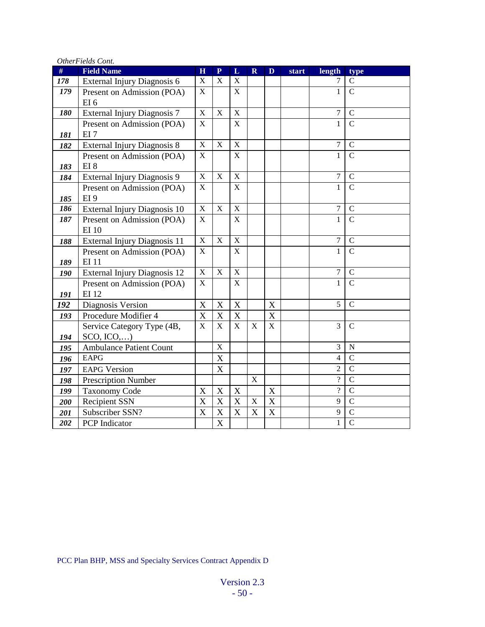| #   | <i>Omen was com.</i><br><b>Field Name</b> | $\overline{\mathbf{H}}$ | $\mathbf{P}$              | L           | $\mathbf R$               | D           | start | length           | type           |
|-----|-------------------------------------------|-------------------------|---------------------------|-------------|---------------------------|-------------|-------|------------------|----------------|
| 178 | External Injury Diagnosis 6               | $\mathbf X$             | $\mathbf X$               | $\mathbf X$ |                           |             |       | 7                | $\mathbf C$    |
| 179 | Present on Admission (POA)                | $\mathbf X$             |                           | X           |                           |             |       | $\mathbf{1}$     | $\mathsf{C}$   |
|     | EI6                                       |                         |                           |             |                           |             |       |                  |                |
| 180 | External Injury Diagnosis 7               | $\mathbf X$             | $\mathbf X$               | $\mathbf X$ |                           |             |       | $\tau$           | $\mathbf C$    |
|     | Present on Admission (POA)                | $\mathbf X$             |                           | $\mathbf X$ |                           |             |       | $\mathbf{1}$     | $\mathsf{C}$   |
| 181 | EI7                                       |                         |                           |             |                           |             |       |                  |                |
| 182 | External Injury Diagnosis 8               | $\mathbf X$             | $\mathbf X$               | $\mathbf X$ |                           |             |       | $\overline{7}$   | $\mathsf{C}$   |
|     | Present on Admission (POA)                | $\mathbf X$             |                           | $\mathbf X$ |                           |             |       | $\mathbf{1}$     | $\mathsf{C}$   |
| 183 | EI <sub>8</sub>                           |                         |                           |             |                           |             |       |                  |                |
| 184 | External Injury Diagnosis 9               | $\mathbf X$             | $\mathbf X$               | $\mathbf X$ |                           |             |       | $\boldsymbol{7}$ | $\mathbf C$    |
|     | Present on Admission (POA)                | X                       |                           | $\mathbf X$ |                           |             |       | $\mathbf{1}$     | $\mathbf C$    |
| 185 | EI <sub>9</sub>                           |                         |                           |             |                           |             |       |                  |                |
| 186 | External Injury Diagnosis 10              | $\mathbf X$             | $\mathbf X$               | $\mathbf X$ |                           |             |       | $\overline{7}$   | $\mathsf{C}$   |
| 187 | Present on Admission (POA)                | X                       |                           | $\mathbf X$ |                           |             |       | $\mathbf{1}$     | $\mathsf{C}$   |
|     | <b>EI</b> 10                              |                         |                           |             |                           |             |       |                  |                |
| 188 | External Injury Diagnosis 11              | $\mathbf X$             | X                         | X           |                           |             |       | 7                | $\mathsf{C}$   |
|     | Present on Admission (POA)                | X                       |                           | $\mathbf X$ |                           |             |       | $\mathbf{1}$     | $\overline{C}$ |
| 189 | <b>EI11</b>                               |                         |                           |             |                           |             |       |                  |                |
| 190 | External Injury Diagnosis 12              | $\mathbf X$             | X                         | $\mathbf X$ |                           |             |       | $\overline{7}$   | $\mathsf{C}$   |
|     | Present on Admission (POA)                | X                       |                           | X           |                           |             |       | $\mathbf{1}$     | $\overline{C}$ |
| 191 | <b>EI12</b>                               |                         |                           |             |                           |             |       |                  |                |
| 192 | Diagnosis Version                         | $\mathbf X$             | $\boldsymbol{\mathrm{X}}$ | X           |                           | $\mathbf X$ |       | 5                | $\mathbf C$    |
| 193 | Procedure Modifier 4                      | $\mathbf X$             | $\mathbf X$               | $\mathbf X$ |                           | $\mathbf X$ |       |                  |                |
|     | Service Category Type (4B,                | X                       | $\mathbf X$               | $\mathbf X$ | $\mathbf X$               | $\mathbf X$ |       | 3                | $\mathsf{C}$   |
| 194 | $SCO, ICO, \ldots$                        |                         |                           |             |                           |             |       |                  |                |
| 195 | <b>Ambulance Patient Count</b>            |                         | $\mathbf X$               |             |                           |             |       | 3                | ${\bf N}$      |
| 196 | <b>EAPG</b>                               |                         | $\mathbf X$               |             |                           |             |       | $\overline{4}$   | $\mathbf C$    |
| 197 | <b>EAPG Version</b>                       |                         | $\mathbf X$               |             |                           |             |       | $\overline{2}$   | $\overline{C}$ |
| 198 | <b>Prescription Number</b>                |                         |                           |             | $\mathbf X$               |             |       | $\gamma$         | $\overline{C}$ |
| 199 | <b>Taxonomy Code</b>                      | $\mathbf X$             | $\mathbf X$               | $\mathbf X$ |                           | $\mathbf X$ |       | $\overline{?}$   | $\overline{C}$ |
| 200 | <b>Recipient SSN</b>                      | $\mathbf X$             | $\mathbf X$               | $\mathbf X$ | $\mathbf X$               | $\mathbf X$ |       | 9                | $\mathbf C$    |
| 201 | Subscriber SSN?                           | $\mathbf X$             | $\mathbf X$               | $\mathbf X$ | $\boldsymbol{\mathrm{X}}$ | $\mathbf X$ |       | 9                | $\mathbf C$    |
| 202 | <b>PCP</b> Indicator                      |                         | X                         |             |                           |             |       | $\mathbf{1}$     | $\mathbf C$    |

*OtherFields Cont.*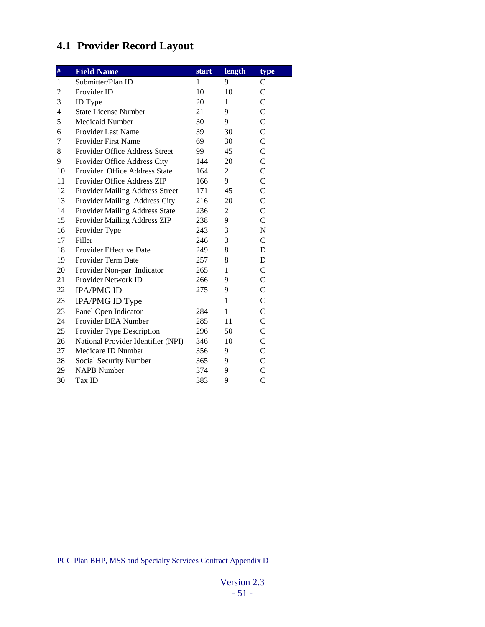# **4.1 Provider Record Layout**

| $\#$           | <b>Field Name</b>                  | <b>start</b> | length         | type           |
|----------------|------------------------------------|--------------|----------------|----------------|
| 1              | Submitter/Plan ID                  | 1            | 9              | C              |
| $\overline{c}$ | Provider ID                        | 10           | 10             | $\overline{C}$ |
| 3              | <b>ID</b> Type                     | 20           | 1              | $\mathcal{C}$  |
| 4              | <b>State License Number</b>        | 21           | 9              | $\overline{C}$ |
| 5              | Medicaid Number                    | 30           | 9              | $\overline{C}$ |
| 6              | Provider Last Name                 | 39           | 30             | $\overline{C}$ |
| 7              | <b>Provider First Name</b>         | 69           | 30             | $\mathcal{C}$  |
| 8              | Provider Office Address Street     | 99           | 45             | $\overline{C}$ |
| 9              | Provider Office Address City       | 144          | 20             | $\overline{C}$ |
| 10             | Provider Office Address State      | 164          | $\overline{2}$ | $\overline{C}$ |
| 11             | Provider Office Address ZIP        | 166          | 9              | $\mathcal{C}$  |
| 12             | Provider Mailing Address Street    | 171          | 45             | $\overline{C}$ |
| 13             | Provider Mailing Address City      | 216          | 20             | $\mathcal{C}$  |
| 14             | Provider Mailing Address State     | 236          | $\overline{c}$ | $\overline{C}$ |
| 15             | Provider Mailing Address ZIP       | 238          | 9              | C              |
| 16             | Provider Type                      | 243          | 3              | N              |
| 17             | Filler                             | 246          | 3              | $\mathcal{C}$  |
| 18             | <b>Provider Effective Date</b>     | 249          | 8              | D              |
| 19             | Provider Term Date                 | 257          | 8              | D              |
| 20             | Provider Non-par Indicator         | 265          | 1              | $\mathcal{C}$  |
| 21             | Provider Network ID                | 266          | 9              | $\mathcal{C}$  |
| 22             | <b>IPA/PMG ID</b>                  | 275          | 9              | $\overline{C}$ |
| 23             | IPA/PMG ID Type                    |              | 1              | C              |
| 23             | Panel Open Indicator               | 284          | 1              | $\mathcal{C}$  |
| 24             | Provider DEA Number                | 285          | 11             | $\overline{C}$ |
| 25             | Provider Type Description          | 296          | 50             | $\mathcal{C}$  |
| 26             | National Provider Identifier (NPI) | 346          | 10             | $\mathcal{C}$  |
| 27             | Medicare ID Number                 | 356          | 9              | $\mathcal{C}$  |
| 28             | Social Security Number             | 365          | 9              | $\overline{C}$ |
| 29             | <b>NAPB</b> Number                 | 374          | 9              | $\mathcal{C}$  |
| 30             | Tax ID                             | 383          | 9              | $\overline{C}$ |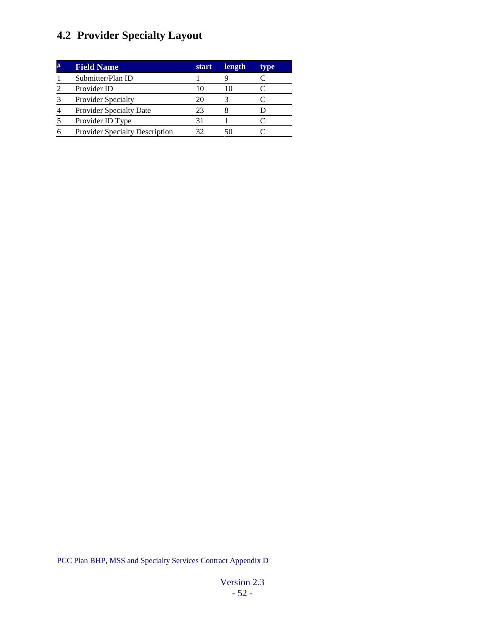# **4.2 Provider Specialty Layout**

| # | <b>Field Name</b>                     | start | length | type |
|---|---------------------------------------|-------|--------|------|
|   | Submitter/Plan ID                     |       |        |      |
|   | Provider ID                           | 10    | 10     |      |
|   | <b>Provider Specialty</b>             | 20    |        |      |
|   | <b>Provider Specialty Date</b>        | 23    |        |      |
|   | Provider ID Type                      |       |        |      |
|   | <b>Provider Specialty Description</b> | 32    | 50     |      |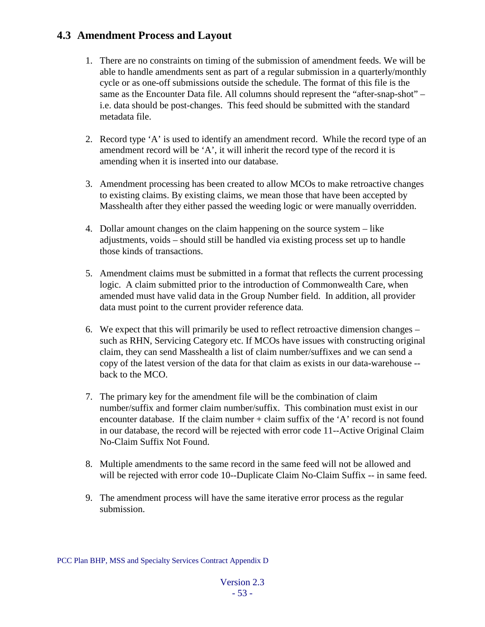### **4.3 Amendment Process and Layout**

- 1. There are no constraints on timing of the submission of amendment feeds. We will be able to handle amendments sent as part of a regular submission in a quarterly/monthly cycle or as one-off submissions outside the schedule. The format of this file is the same as the Encounter Data file. All columns should represent the "after-snap-shot" – i.e. data should be post-changes. This feed should be submitted with the standard metadata file.
- 2. Record type 'A' is used to identify an amendment record. While the record type of an amendment record will be 'A', it will inherit the record type of the record it is amending when it is inserted into our database.
- 3. Amendment processing has been created to allow MCOs to make retroactive changes to existing claims. By existing claims, we mean those that have been accepted by Masshealth after they either passed the weeding logic or were manually overridden.
- 4. Dollar amount changes on the claim happening on the source system like adjustments, voids – should still be handled via existing process set up to handle those kinds of transactions.
- 5. Amendment claims must be submitted in a format that reflects the current processing logic. A claim submitted prior to the introduction of Commonwealth Care, when amended must have valid data in the Group Number field. In addition, all provider data must point to the current provider reference data.
- 6. We expect that this will primarily be used to reflect retroactive dimension changes such as RHN, Servicing Category etc. If MCOs have issues with constructing original claim, they can send Masshealth a list of claim number/suffixes and we can send a copy of the latest version of the data for that claim as exists in our data-warehouse - back to the MCO.
- 7. The primary key for the amendment file will be the combination of claim number/suffix and former claim number/suffix. This combination must exist in our encounter database. If the claim number  $+$  claim suffix of the  $A'$  record is not found in our database, the record will be rejected with error code 11--Active Original Claim No-Claim Suffix Not Found.
- 8. Multiple amendments to the same record in the same feed will not be allowed and will be rejected with error code 10--Duplicate Claim No-Claim Suffix -- in same feed.
- 9. The amendment process will have the same iterative error process as the regular submission.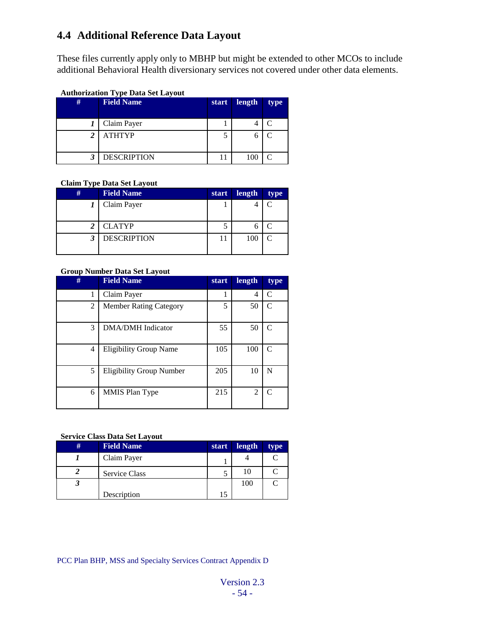# **4.4 Additional Reference Data Layout**

These files currently apply only to MBHP but might be extended to other MCOs to include additional Behavioral Health diversionary services not covered under other data elements.

#### **Authorization Type Data Set Layout**

| # | <b>Field Name</b>  | start | length | type |
|---|--------------------|-------|--------|------|
|   | Claim Payer        |       |        |      |
| 2 | <b>ATHTYP</b>      |       |        |      |
| 3 | <b>DESCRIPTION</b> |       | 100    |      |

#### **Claim Type Data Set Layout**

| # | <b>Field Name</b>  | <b>start</b> | length | type |
|---|--------------------|--------------|--------|------|
|   | Claim Payer        |              |        |      |
|   |                    |              |        |      |
| 2 | <b>CLATYP</b>      |              |        |      |
|   | <b>DESCRIPTION</b> |              | 100    |      |
|   |                    |              |        |      |

#### **Group Number Data Set Layout**

| #<br><b>Field Name</b> |                                 | start | length         | type                        |
|------------------------|---------------------------------|-------|----------------|-----------------------------|
|                        | Claim Payer                     |       | 4              | $\subset$                   |
| $\overline{c}$         | <b>Member Rating Category</b>   | 5     | 50             | $\mathcal{C}_{\mathcal{C}}$ |
| 3                      | <b>DMA/DMH</b> Indicator        | 55    | 50             | $\mathcal{C}_{\mathcal{C}}$ |
| 4                      | <b>Eligibility Group Name</b>   | 105   | 100            | $\mathcal{C}_{\mathcal{C}}$ |
| 5                      | <b>Eligibility Group Number</b> | 205   | 10             | N                           |
| 6                      | <b>MMIS Plan Type</b>           | 215   | $\overline{c}$ | $\mathcal{C}_{\mathcal{C}}$ |

#### **Service Class Data Set Layout**

| # | <b>Field Name</b> | <b>start</b> | length | type |
|---|-------------------|--------------|--------|------|
|   | Claim Payer       |              |        |      |
|   | Service Class     |              |        |      |
|   |                   |              | 100    |      |
|   | Description       | 15           |        |      |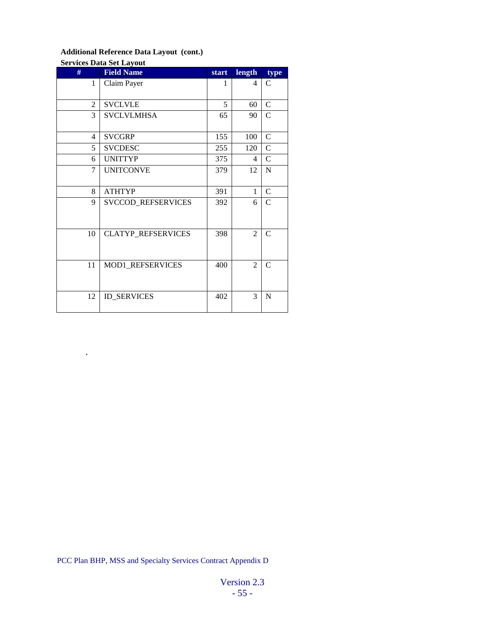#### **Additional Reference Data Layout (cont.)**

.

# **Services Data Set Layout # Field Name start length type** 1 Claim Payer 1 4 C  $2 \mid$  SVCLVLE  $\mid$  5 60 C 3 SVCLVLMHSA 65 90 C 4 SVCGRP 155 100 C 5 SVCDESC 255 120 C 6 UNITTYP 375 4 C 7 UNITCONVE 379 12 N 8 ATHTYP 391 1 C 9 SVCCOD\_REFSERVICES 392 6 C 10 CLATYP\_REFSERVICES 398 2 C 11 MOD1\_REFSERVICES 400 2 C  $12$  ID\_SERVICES 402 3 N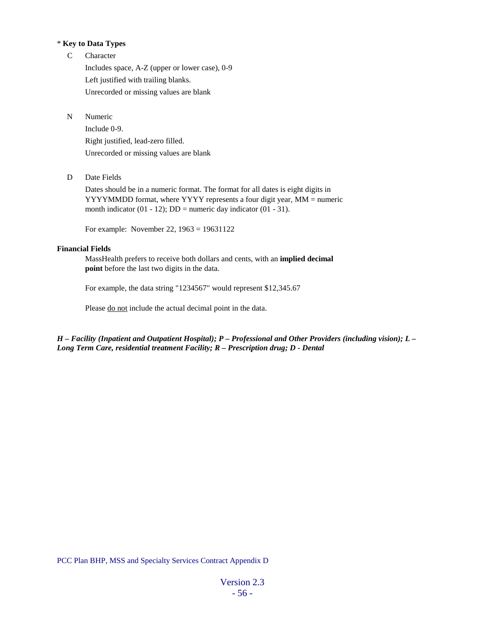#### \* **Key to Data Types**

C Character

Includes space, A-Z (upper or lower case), 0-9 Left justified with trailing blanks. Unrecorded or missing values are blank

N Numeric

Include 0-9. Right justified, lead-zero filled. Unrecorded or missing values are blank

D Date Fields

Dates should be in a numeric format. The format for all dates is eight digits in YYYYMMDD format, where YYYY represents a four digit year, MM = numeric month indicator (01 - 12);  $DD =$  numeric day indicator (01 - 31).

For example: November 22, 1963 = 19631122

#### **Financial Fields**

MassHealth prefers to receive both dollars and cents, with an **implied decimal point** before the last two digits in the data.

For example, the data string "1234567" would represent \$12,345.67

Please do not include the actual decimal point in the data.

*H – Facility (Inpatient and Outpatient Hospital); P – Professional and Other Providers (including vision); L – Long Term Care, residential treatment Facility; R – Prescription drug; D - Dental*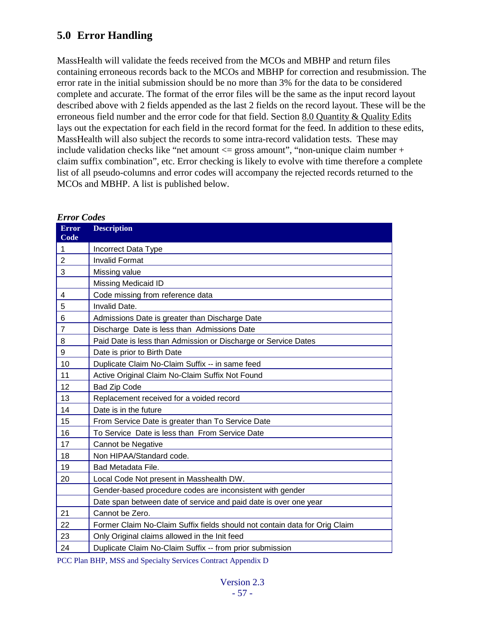# **5.0 Error Handling**

MassHealth will validate the feeds received from the MCOs and MBHP and return files containing erroneous records back to the MCOs and MBHP for correction and resubmission. The error rate in the initial submission should be no more than 3% for the data to be considered complete and accurate. The format of the error files will be the same as the input record layout described above with 2 fields appended as the last 2 fields on the record layout. These will be the erroneous field number and the error code for that field. Section [8.0 Quantity & Quality Edits](#page-89-0) lays out the expectation for each field in the record format for the feed. In addition to these edits, MassHealth will also subject the records to some intra-record validation tests. These may include validation checks like "net amount  $\leq$  gross amount", "non-unique claim number + claim suffix combination", etc. Error checking is likely to evolve with time therefore a complete list of all pseudo-columns and error codes will accompany the rejected records returned to the MCOs and MBHP. A list is published below.

| <b>Error</b><br>Code    | <b>Description</b>                                                         |
|-------------------------|----------------------------------------------------------------------------|
| 1                       | Incorrect Data Type                                                        |
| $\overline{2}$          | <b>Invalid Format</b>                                                      |
| 3                       | Missing value                                                              |
|                         | Missing Medicaid ID                                                        |
| $\overline{\mathbf{4}}$ | Code missing from reference data                                           |
| 5                       | Invalid Date.                                                              |
| 6                       | Admissions Date is greater than Discharge Date                             |
| $\overline{7}$          | Discharge Date is less than Admissions Date                                |
| 8                       | Paid Date is less than Admission or Discharge or Service Dates             |
| 9                       | Date is prior to Birth Date                                                |
| 10                      | Duplicate Claim No-Claim Suffix -- in same feed                            |
| 11                      | Active Original Claim No-Claim Suffix Not Found                            |
| 12                      | <b>Bad Zip Code</b>                                                        |
| 13                      | Replacement received for a voided record                                   |
| 14                      | Date is in the future                                                      |
| 15                      | From Service Date is greater than To Service Date                          |
| 16                      | To Service Date is less than From Service Date                             |
| 17                      | Cannot be Negative                                                         |
| 18                      | Non HIPAA/Standard code.                                                   |
| 19                      | Bad Metadata File.                                                         |
| 20                      | Local Code Not present in Masshealth DW.                                   |
|                         | Gender-based procedure codes are inconsistent with gender                  |
|                         | Date span between date of service and paid date is over one year           |
| 21                      | Cannot be Zero.                                                            |
| 22                      | Former Claim No-Claim Suffix fields should not contain data for Orig Claim |
| 23                      | Only Original claims allowed in the Init feed                              |
| 24                      | Duplicate Claim No-Claim Suffix -- from prior submission                   |

#### *Error Codes*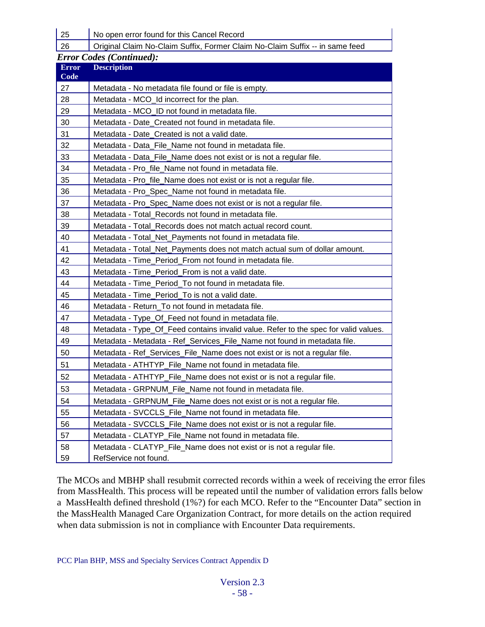25 | No open error found for this Cancel Record

Original Claim No-Claim Suffix, Former Claim No-Claim Suffix -- in same feed

|  | <b>Error Codes (Continued):</b> |
|--|---------------------------------|

| <b>Error</b><br>Code | <b>Description</b>                                                                  |
|----------------------|-------------------------------------------------------------------------------------|
| 27                   | Metadata - No metadata file found or file is empty.                                 |
| 28                   | Metadata - MCO_Id incorrect for the plan.                                           |
| 29                   | Metadata - MCO ID not found in metadata file.                                       |
| 30                   | Metadata - Date_Created not found in metadata file.                                 |
| 31                   | Metadata - Date_Created is not a valid date.                                        |
| 32                   | Metadata - Data File Name not found in metadata file.                               |
| 33                   | Metadata - Data_File_Name does not exist or is not a regular file.                  |
| 34                   | Metadata - Pro_file_Name not found in metadata file.                                |
| 35                   | Metadata - Pro_file_Name does not exist or is not a regular file.                   |
| 36                   | Metadata - Pro_Spec_Name not found in metadata file.                                |
| 37                   | Metadata - Pro_Spec_Name does not exist or is not a regular file.                   |
| 38                   | Metadata - Total_Records not found in metadata file.                                |
| 39                   | Metadata - Total_Records does not match actual record count.                        |
| 40                   | Metadata - Total_Net_Payments not found in metadata file.                           |
| 41                   | Metadata - Total_Net_Payments does not match actual sum of dollar amount.           |
| 42                   | Metadata - Time_Period_From not found in metadata file.                             |
| 43                   | Metadata - Time_Period_From is not a valid date.                                    |
| 44                   | Metadata - Time_Period_To not found in metadata file.                               |
| 45                   | Metadata - Time_Period_To is not a valid date.                                      |
| 46                   | Metadata - Return_To not found in metadata file.                                    |
| 47                   | Metadata - Type_Of_Feed not found in metadata file.                                 |
| 48                   | Metadata - Type_Of_Feed contains invalid value. Refer to the spec for valid values. |
| 49                   | Metadata - Metadata - Ref_Services_File_Name not found in metadata file.            |
| 50                   | Metadata - Ref_Services_File_Name does not exist or is not a regular file.          |
| 51                   | Metadata - ATHTYP_File_Name not found in metadata file.                             |
| 52                   | Metadata - ATHTYP_File_Name does not exist or is not a regular file.                |
| 53                   | Metadata - GRPNUM_File_Name not found in metadata file.                             |
| 54                   | Metadata - GRPNUM_File_Name does not exist or is not a regular file.                |
| 55                   | Metadata - SVCCLS_File_Name not found in metadata file.                             |
| 56                   | Metadata - SVCCLS_File_Name does not exist or is not a regular file.                |
| 57                   | Metadata - CLATYP_File_Name not found in metadata file.                             |
| 58                   | Metadata - CLATYP_File_Name does not exist or is not a regular file.                |
| 59                   | RefService not found.                                                               |

The MCOs and MBHP shall resubmit corrected records within a week of receiving the error files from MassHealth. This process will be repeated until the number of validation errors falls below a MassHealth defined threshold (1%?) for each MCO. Refer to the "Encounter Data" section in the MassHealth Managed Care Organization Contract, for more details on the action required when data submission is not in compliance with Encounter Data requirements.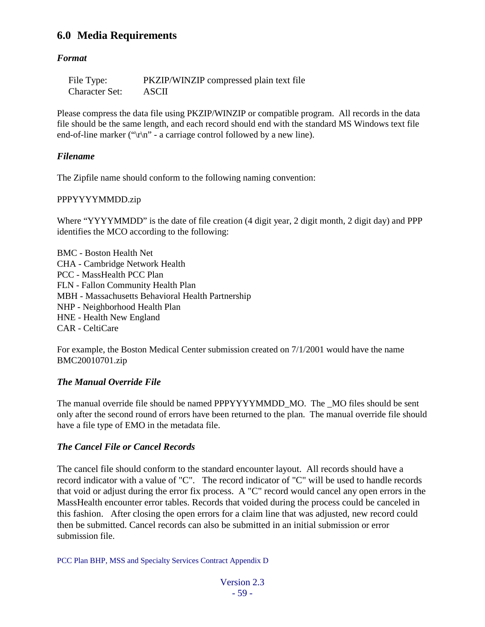## **6.0 Media Requirements**

#### *Format*

| File Type:            | PKZIP/WINZIP compressed plain text file |
|-----------------------|-----------------------------------------|
| <b>Character Set:</b> | ASCII                                   |

Please compress the data file using PKZIP/WINZIP or compatible program. All records in the data file should be the same length, and each record should end with the standard MS Windows text file end-of-line marker (" $\vert r \vert n$ " - a carriage control followed by a new line).

#### *Filename*

The Zipfile name should conform to the following naming convention:

#### PPPYYYYMMDD.zip

Where "YYYYMMDD" is the date of file creation (4 digit year, 2 digit month, 2 digit day) and PPP identifies the MCO according to the following:

BMC - Boston Health Net CHA - Cambridge Network Health PCC - MassHealth PCC Plan FLN - Fallon Community Health Plan MBH - Massachusetts Behavioral Health Partnership NHP - Neighborhood Health Plan HNE - Health New England CAR - CeltiCare

For example, the Boston Medical Center submission created on 7/1/2001 would have the name BMC20010701.zip

#### *The Manual Override File*

The manual override file should be named PPPYYYYMMDD\_MO. The \_MO files should be sent only after the second round of errors have been returned to the plan. The manual override file should have a file type of EMO in the metadata file.

#### *The Cancel File or Cancel Records*

The cancel file should conform to the standard encounter layout. All records should have a record indicator with a value of "C". The record indicator of "C" will be used to handle records that void or adjust during the error fix process. A "C" record would cancel any open errors in the MassHealth encounter error tables. Records that voided during the process could be canceled in this fashion. After closing the open errors for a claim line that was adjusted, new record could then be submitted. Cancel records can also be submitted in an initial submission or error submission file.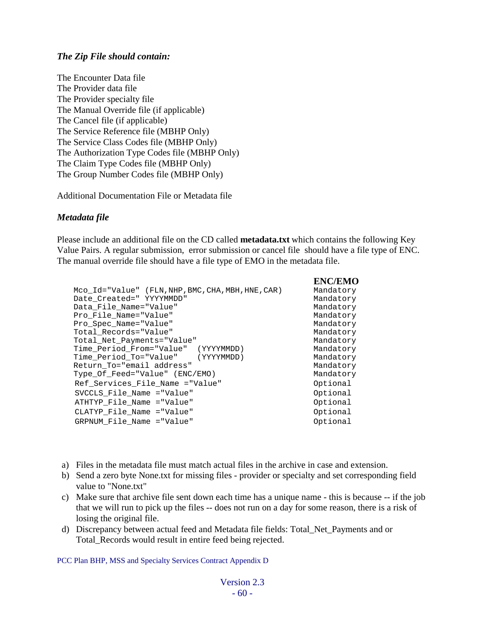#### *The Zip File should contain:*

The Encounter Data file The Provider data file The Provider specialty file The Manual Override file (if applicable) The Cancel file (if applicable) The Service Reference file (MBHP Only) The Service Class Codes file (MBHP Only) The Authorization Type Codes file (MBHP Only) The Claim Type Codes file (MBHP Only) The Group Number Codes file (MBHP Only)

Additional Documentation File or Metadata file

#### *Metadata file*

Please include an additional file on the CD called **metadata.txt** which contains the following Key Value Pairs. A regular submission, error submission or cancel file should have a file type of ENC. The manual override file should have a file type of EMO in the metadata file.

|                                                        | <b>ENC/EMO</b> |
|--------------------------------------------------------|----------------|
| Mco $Id = "Value"$ (FLN, NHP, BMC, CHA, MBH, HNE, CAR) | Mandatory      |
| Date Created=" YYYYMMDD"                               | Mandatory      |
| Data File Name="Value"                                 | Mandatory      |
| Pro File Name="Value"                                  | Mandatory      |
| Pro Spec Name="Value"                                  | Mandatory      |
| Total Records="Value"                                  | Mandatory      |
| Total Net Payments="Value"                             | Mandatory      |
| Time Period From="Value"<br>(YYYYMMDD)                 | Mandatory      |
| Time Period To="Value" (YYYYMMDD)                      | Mandatory      |
| Return_To="email address"                              | Mandatory      |
| Type_Of_Feed="Value" (ENC/EMO)                         | Mandatory      |
| Ref_Services_File_Name ="Value"                        | Optional       |
| SVCCLS File Name = "Value"                             | Optional       |
| ATHTYP File Name = "Value"                             | Optional       |
| CLATYP File Name = "Value"                             | Optional       |
| GRPNUM File Name = "Value"                             | Optional       |
|                                                        |                |

- a) Files in the metadata file must match actual files in the archive in case and extension.
- b) Send a zero byte None.txt for missing files provider or specialty and set corresponding field value to "None.txt"
- c) Make sure that archive file sent down each time has a unique name this is because -- if the job that we will run to pick up the files -- does not run on a day for some reason, there is a risk of losing the original file.
- d) Discrepancy between actual feed and Metadata file fields: Total\_Net\_Payments and or Total\_Records would result in entire feed being rejected.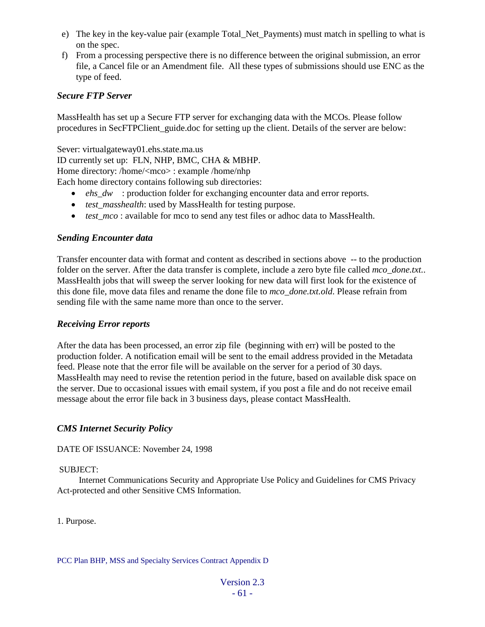- e) The key in the key-value pair (example Total\_Net\_Payments) must match in spelling to what is on the spec.
- f) From a processing perspective there is no difference between the original submission, an error file, a Cancel file or an Amendment file. All these types of submissions should use ENC as the type of feed.

#### *Secure FTP Server*

MassHealth has set up a Secure FTP server for exchanging data with the MCOs. Please follow procedures in SecFTPClient\_guide.doc for setting up the client. Details of the server are below:

Sever: virtualgateway01.ehs.state.ma.us ID currently set up: FLN, NHP, BMC, CHA & MBHP. Home directory: /home/<mco> : example /home/nhp Each home directory contains following sub directories:

- *ehs dw* : production folder for exchanging encounter data and error reports.
- *test\_masshealth*: used by MassHealth for testing purpose.
- *test mco* : available for mco to send any test files or adhoc data to MassHealth.

#### *Sending Encounter data*

Transfer encounter data with format and content as described in sections above -- to the production folder on the server. After the data transfer is complete, include a zero byte file called *mco\_done.txt.*. MassHealth jobs that will sweep the server looking for new data will first look for the existence of this done file, move data files and rename the done file to *mco\_done.txt.old*. Please refrain from sending file with the same name more than once to the server.

#### *Receiving Error reports*

After the data has been processed, an error zip file (beginning with err) will be posted to the production folder. A notification email will be sent to the email address provided in the Metadata feed. Please note that the error file will be available on the server for a period of 30 days. MassHealth may need to revise the retention period in the future, based on available disk space on the server. Due to occasional issues with email system, if you post a file and do not receive email message about the error file back in 3 business days, please contact MassHealth.

#### *CMS Internet Security Policy*

DATE OF ISSUANCE: November 24, 1998

#### SUBJECT:

 Internet Communications Security and Appropriate Use Policy and Guidelines for CMS Privacy Act-protected and other Sensitive CMS Information.

1. Purpose.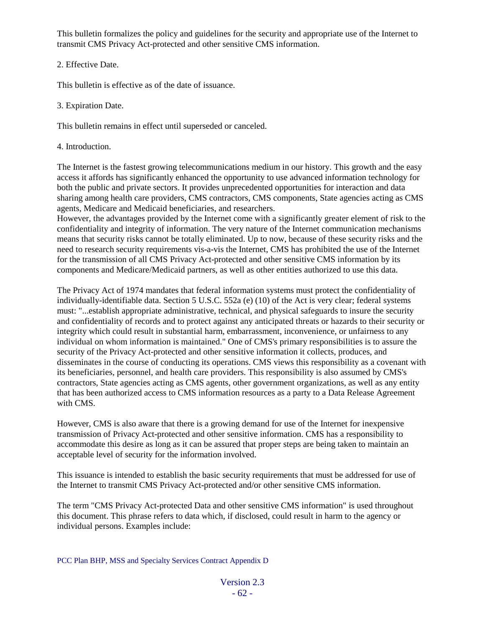This bulletin formalizes the policy and guidelines for the security and appropriate use of the Internet to transmit CMS Privacy Act-protected and other sensitive CMS information.

#### 2. Effective Date.

This bulletin is effective as of the date of issuance.

#### 3. Expiration Date.

This bulletin remains in effect until superseded or canceled.

4. Introduction.

The Internet is the fastest growing telecommunications medium in our history. This growth and the easy access it affords has significantly enhanced the opportunity to use advanced information technology for both the public and private sectors. It provides unprecedented opportunities for interaction and data sharing among health care providers, CMS contractors, CMS components, State agencies acting as CMS agents, Medicare and Medicaid beneficiaries, and researchers.

However, the advantages provided by the Internet come with a significantly greater element of risk to the confidentiality and integrity of information. The very nature of the Internet communication mechanisms means that security risks cannot be totally eliminated. Up to now, because of these security risks and the need to research security requirements vis-a-vis the Internet, CMS has prohibited the use of the Internet for the transmission of all CMS Privacy Act-protected and other sensitive CMS information by its components and Medicare/Medicaid partners, as well as other entities authorized to use this data.

The Privacy Act of 1974 mandates that federal information systems must protect the confidentiality of individually-identifiable data. Section 5 U.S.C. 552a (e) (10) of the Act is very clear; federal systems must: "...establish appropriate administrative, technical, and physical safeguards to insure the security and confidentiality of records and to protect against any anticipated threats or hazards to their security or integrity which could result in substantial harm, embarrassment, inconvenience, or unfairness to any individual on whom information is maintained." One of CMS's primary responsibilities is to assure the security of the Privacy Act-protected and other sensitive information it collects, produces, and disseminates in the course of conducting its operations. CMS views this responsibility as a covenant with its beneficiaries, personnel, and health care providers. This responsibility is also assumed by CMS's contractors, State agencies acting as CMS agents, other government organizations, as well as any entity that has been authorized access to CMS information resources as a party to a Data Release Agreement with CMS.

However, CMS is also aware that there is a growing demand for use of the Internet for inexpensive transmission of Privacy Act-protected and other sensitive information. CMS has a responsibility to accommodate this desire as long as it can be assured that proper steps are being taken to maintain an acceptable level of security for the information involved.

This issuance is intended to establish the basic security requirements that must be addressed for use of the Internet to transmit CMS Privacy Act-protected and/or other sensitive CMS information.

The term "CMS Privacy Act-protected Data and other sensitive CMS information" is used throughout this document. This phrase refers to data which, if disclosed, could result in harm to the agency or individual persons. Examples include: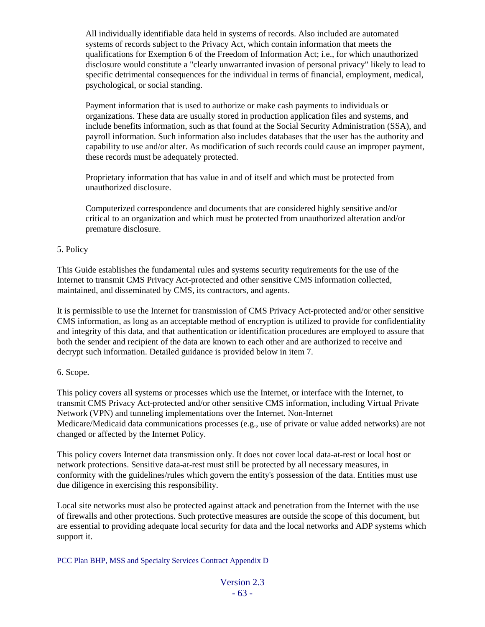All individually identifiable data held in systems of records. Also included are automated systems of records subject to the Privacy Act, which contain information that meets the qualifications for Exemption 6 of the Freedom of Information Act; i.e., for which unauthorized disclosure would constitute a "clearly unwarranted invasion of personal privacy" likely to lead to specific detrimental consequences for the individual in terms of financial, employment, medical, psychological, or social standing.

Payment information that is used to authorize or make cash payments to individuals or organizations. These data are usually stored in production application files and systems, and include benefits information, such as that found at the Social Security Administration (SSA), and payroll information. Such information also includes databases that the user has the authority and capability to use and/or alter. As modification of such records could cause an improper payment, these records must be adequately protected.

Proprietary information that has value in and of itself and which must be protected from unauthorized disclosure.

Computerized correspondence and documents that are considered highly sensitive and/or critical to an organization and which must be protected from unauthorized alteration and/or premature disclosure.

#### 5. Policy

This Guide establishes the fundamental rules and systems security requirements for the use of the Internet to transmit CMS Privacy Act-protected and other sensitive CMS information collected, maintained, and disseminated by CMS, its contractors, and agents.

It is permissible to use the Internet for transmission of CMS Privacy Act-protected and/or other sensitive CMS information, as long as an acceptable method of encryption is utilized to provide for confidentiality and integrity of this data, and that authentication or identification procedures are employed to assure that both the sender and recipient of the data are known to each other and are authorized to receive and decrypt such information. Detailed guidance is provided below in item 7.

#### 6. Scope.

This policy covers all systems or processes which use the Internet, or interface with the Internet, to transmit CMS Privacy Act-protected and/or other sensitive CMS information, including Virtual Private Network (VPN) and tunneling implementations over the Internet. Non-Internet Medicare/Medicaid data communications processes (e.g., use of private or value added networks) are not changed or affected by the Internet Policy.

This policy covers Internet data transmission only. It does not cover local data-at-rest or local host or network protections. Sensitive data-at-rest must still be protected by all necessary measures, in conformity with the guidelines/rules which govern the entity's possession of the data. Entities must use due diligence in exercising this responsibility.

Local site networks must also be protected against attack and penetration from the Internet with the use of firewalls and other protections. Such protective measures are outside the scope of this document, but are essential to providing adequate local security for data and the local networks and ADP systems which support it.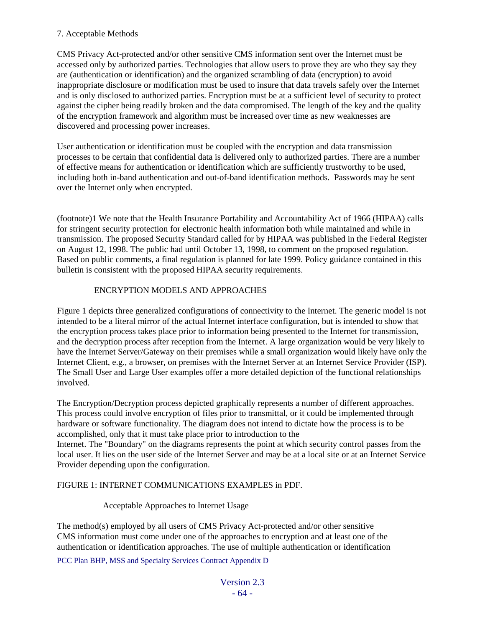#### 7. Acceptable Methods

CMS Privacy Act-protected and/or other sensitive CMS information sent over the Internet must be accessed only by authorized parties. Technologies that allow users to prove they are who they say they are (authentication or identification) and the organized scrambling of data (encryption) to avoid inappropriate disclosure or modification must be used to insure that data travels safely over the Internet and is only disclosed to authorized parties. Encryption must be at a sufficient level of security to protect against the cipher being readily broken and the data compromised. The length of the key and the quality of the encryption framework and algorithm must be increased over time as new weaknesses are discovered and processing power increases.

User authentication or identification must be coupled with the encryption and data transmission processes to be certain that confidential data is delivered only to authorized parties. There are a number of effective means for authentication or identification which are sufficiently trustworthy to be used, including both in-band authentication and out-of-band identification methods. Passwords may be sent over the Internet only when encrypted.

(footnote)1 We note that the Health Insurance Portability and Accountability Act of 1966 (HIPAA) calls for stringent security protection for electronic health information both while maintained and while in transmission. The proposed Security Standard called for by HIPAA was published in the Federal Register on August 12, 1998. The public had until October 13, 1998, to comment on the proposed regulation. Based on public comments, a final regulation is planned for late 1999. Policy guidance contained in this bulletin is consistent with the proposed HIPAA security requirements.

#### ENCRYPTION MODELS AND APPROACHES

Figure 1 depicts three generalized configurations of connectivity to the Internet. The generic model is not intended to be a literal mirror of the actual Internet interface configuration, but is intended to show that the encryption process takes place prior to information being presented to the Internet for transmission, and the decryption process after reception from the Internet. A large organization would be very likely to have the Internet Server/Gateway on their premises while a small organization would likely have only the Internet Client, e.g., a browser, on premises with the Internet Server at an Internet Service Provider (ISP). The Small User and Large User examples offer a more detailed depiction of the functional relationships involved.

The Encryption/Decryption process depicted graphically represents a number of different approaches. This process could involve encryption of files prior to transmittal, or it could be implemented through hardware or software functionality. The diagram does not intend to dictate how the process is to be accomplished, only that it must take place prior to introduction to the Internet. The "Boundary" on the diagrams represents the point at which security control passes from the local user. It lies on the user side of the Internet Server and may be at a local site or at an Internet Service Provider depending upon the configuration.

#### FIGURE 1: INTERNET COMMUNICATIONS EXAMPLES in PDF.

#### Acceptable Approaches to Internet Usage

The method(s) employed by all users of CMS Privacy Act-protected and/or other sensitive CMS information must come under one of the approaches to encryption and at least one of the authentication or identification approaches. The use of multiple authentication or identification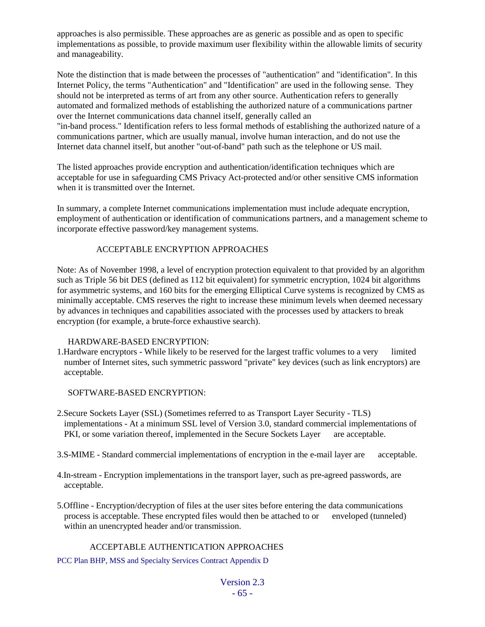approaches is also permissible. These approaches are as generic as possible and as open to specific implementations as possible, to provide maximum user flexibility within the allowable limits of security and manageability.

Note the distinction that is made between the processes of "authentication" and "identification". In this Internet Policy, the terms "Authentication" and "Identification" are used in the following sense. They should not be interpreted as terms of art from any other source. Authentication refers to generally automated and formalized methods of establishing the authorized nature of a communications partner over the Internet communications data channel itself, generally called an "in-band process." Identification refers to less formal methods of establishing the authorized nature of a

communications partner, which are usually manual, involve human interaction, and do not use the Internet data channel itself, but another "out-of-band" path such as the telephone or US mail.

The listed approaches provide encryption and authentication/identification techniques which are acceptable for use in safeguarding CMS Privacy Act-protected and/or other sensitive CMS information when it is transmitted over the Internet.

In summary, a complete Internet communications implementation must include adequate encryption, employment of authentication or identification of communications partners, and a management scheme to incorporate effective password/key management systems.

#### ACCEPTABLE ENCRYPTION APPROACHES

Note: As of November 1998, a level of encryption protection equivalent to that provided by an algorithm such as Triple 56 bit DES (defined as 112 bit equivalent) for symmetric encryption, 1024 bit algorithms for asymmetric systems, and 160 bits for the emerging Elliptical Curve systems is recognized by CMS as minimally acceptable. CMS reserves the right to increase these minimum levels when deemed necessary by advances in techniques and capabilities associated with the processes used by attackers to break encryption (for example, a brute-force exhaustive search).

#### HARDWARE-BASED ENCRYPTION:

1.Hardware encryptors - While likely to be reserved for the largest traffic volumes to a very limited number of Internet sites, such symmetric password "private" key devices (such as link encryptors) are acceptable.

SOFTWARE-BASED ENCRYPTION:

- 2.Secure Sockets Layer (SSL) (Sometimes referred to as Transport Layer Security TLS) implementations - At a minimum SSL level of Version 3.0, standard commercial implementations of PKI, or some variation thereof, implemented in the Secure Sockets Layer are acceptable.
- 3.S-MIME Standard commercial implementations of encryption in the e-mail layer are acceptable.
- 4.In-stream Encryption implementations in the transport layer, such as pre-agreed passwords, are acceptable.
- 5.Offline Encryption/decryption of files at the user sites before entering the data communications process is acceptable. These encrypted files would then be attached to or enveloped (tunneled) within an unencrypted header and/or transmission.

#### ACCEPTABLE AUTHENTICATION APPROACHES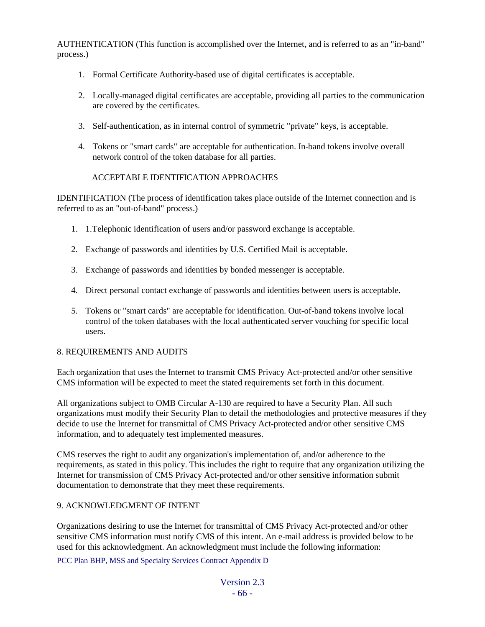AUTHENTICATION (This function is accomplished over the Internet, and is referred to as an "in-band" process.)

- 1. Formal Certificate Authority-based use of digital certificates is acceptable.
- 2. Locally-managed digital certificates are acceptable, providing all parties to the communication are covered by the certificates.
- 3. Self-authentication, as in internal control of symmetric "private" keys, is acceptable.
- 4. Tokens or "smart cards" are acceptable for authentication. In-band tokens involve overall network control of the token database for all parties.

#### ACCEPTABLE IDENTIFICATION APPROACHES

IDENTIFICATION (The process of identification takes place outside of the Internet connection and is referred to as an "out-of-band" process.)

- 1. 1.Telephonic identification of users and/or password exchange is acceptable.
- 2. Exchange of passwords and identities by U.S. Certified Mail is acceptable.
- 3. Exchange of passwords and identities by bonded messenger is acceptable.
- 4. Direct personal contact exchange of passwords and identities between users is acceptable.
- 5. Tokens or "smart cards" are acceptable for identification. Out-of-band tokens involve local control of the token databases with the local authenticated server vouching for specific local users.

#### 8. REQUIREMENTS AND AUDITS

Each organization that uses the Internet to transmit CMS Privacy Act-protected and/or other sensitive CMS information will be expected to meet the stated requirements set forth in this document.

All organizations subject to OMB Circular A-130 are required to have a Security Plan. All such organizations must modify their Security Plan to detail the methodologies and protective measures if they decide to use the Internet for transmittal of CMS Privacy Act-protected and/or other sensitive CMS information, and to adequately test implemented measures.

CMS reserves the right to audit any organization's implementation of, and/or adherence to the requirements, as stated in this policy. This includes the right to require that any organization utilizing the Internet for transmission of CMS Privacy Act-protected and/or other sensitive information submit documentation to demonstrate that they meet these requirements.

#### 9. ACKNOWLEDGMENT OF INTENT

Organizations desiring to use the Internet for transmittal of CMS Privacy Act-protected and/or other sensitive CMS information must notify CMS of this intent. An e-mail address is provided below to be used for this acknowledgment. An acknowledgment must include the following information: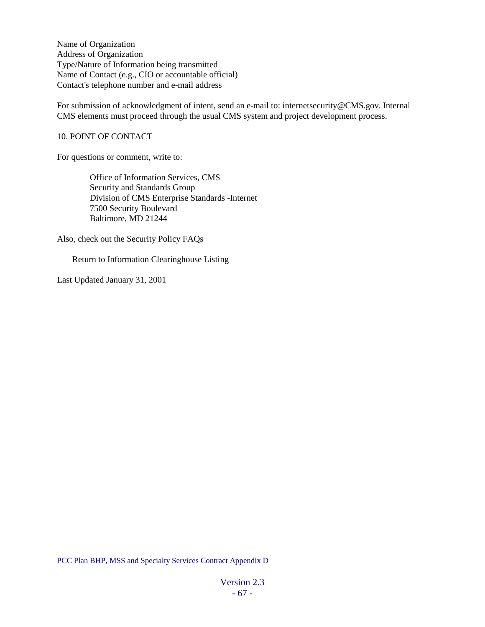Name of Organization Address of Organization Type/Nature of Information being transmitted Name of Contact (e.g., CIO or accountable official) Contact's telephone number and e-mail address

For submission of acknowledgment of intent, send an e-mail to: internetsecurity@CMS.gov. Internal CMS elements must proceed through the usual CMS system and project development process.

#### 10. POINT OF CONTACT

For questions or comment, write to:

 Office of Information Services, CMS Security and Standards Group Division of CMS Enterprise Standards -Internet 7500 Security Boulevard Baltimore, MD 21244

Also, check out the Security Policy FAQs

Return to Information Clearinghouse Listing

Last Updated January 31, 2001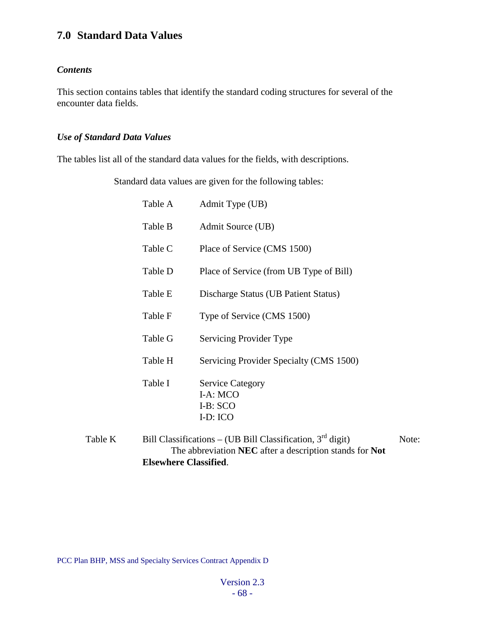## **7.0 Standard Data Values**

#### *Contents*

This section contains tables that identify the standard coding structures for several of the encounter data fields.

#### *Use of Standard Data Values*

The tables list all of the standard data values for the fields, with descriptions.

Standard data values are given for the following tables:

|         | Table A | Admit Type (UB)                                                                                                         |       |
|---------|---------|-------------------------------------------------------------------------------------------------------------------------|-------|
|         | Table B | Admit Source (UB)                                                                                                       |       |
|         | Table C | Place of Service (CMS 1500)                                                                                             |       |
|         | Table D | Place of Service (from UB Type of Bill)                                                                                 |       |
|         | Table E | Discharge Status (UB Patient Status)                                                                                    |       |
|         | Table F | Type of Service (CMS 1500)                                                                                              |       |
|         | Table G | Servicing Provider Type                                                                                                 |       |
|         | Table H | Servicing Provider Specialty (CMS 1500)                                                                                 |       |
|         | Table I | <b>Service Category</b><br>I-A: MCO<br>$I-B:SCO$<br>I-D: ICO                                                            |       |
| Table K |         | Bill Classifications – (UB Bill Classification, $3rd$ digit)<br>The abbreviation NEC after a description stands for Not | Note: |

**Elsewhere Classified**.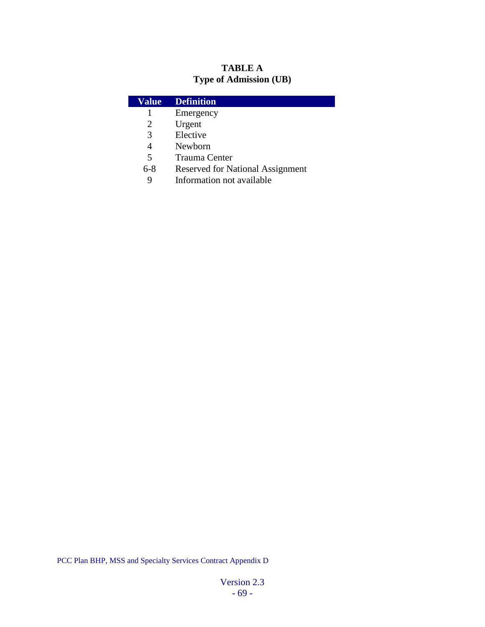### **TABLE A Type of Admission (UB)**

| Value                    | <b>Definition</b>                       |
|--------------------------|-----------------------------------------|
|                          | Emergency                               |
| 2                        | Urgent                                  |
| 3                        | Elective                                |
| 4                        | Newborn                                 |
| $\overline{\phantom{1}}$ | <b>Trauma Center</b>                    |
| 6-8                      | <b>Reserved for National Assignment</b> |

9 Information not available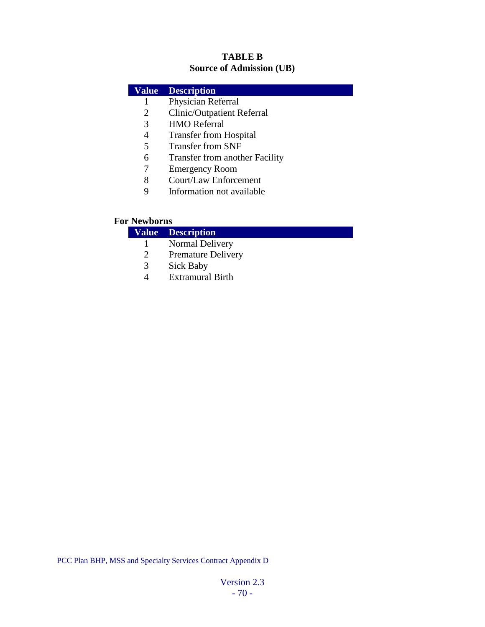#### **TABLE B Source of Admission (UB)**

| Value | <b>Description</b>                    |
|-------|---------------------------------------|
| 1     | Physician Referral                    |
| 2     | <b>Clinic/Outpatient Referral</b>     |
| 3     | <b>HMO</b> Referral                   |
| 4     | <b>Transfer from Hospital</b>         |
| 5     | <b>Transfer from SNF</b>              |
| 6     | <b>Transfer from another Facility</b> |
| 7     | <b>Emergency Room</b>                 |
| 8     | Court/Law Enforcement                 |
| 9     | Information not available             |
|       |                                       |

### **For Newborns**

# **Value Description**

- 1 Normal Delivery<br>2 Premature Deliver
- 2 Premature Delivery<br>3 Sick Baby
- Sick Baby
- 4 Extramural Birth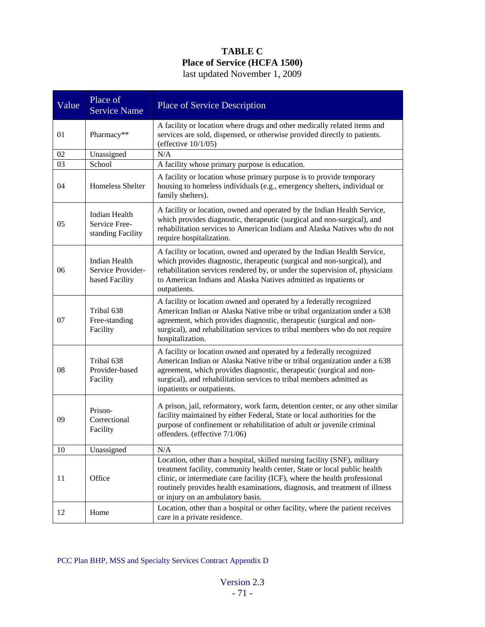### **TABLE C Place of Service (HCFA 1500)** last updated November 1, 2009

| Value  | Place of<br><b>Service Name</b>                             | <b>Place of Service Description</b>                                                                                                                                                                                                                                                                                                                      |
|--------|-------------------------------------------------------------|----------------------------------------------------------------------------------------------------------------------------------------------------------------------------------------------------------------------------------------------------------------------------------------------------------------------------------------------------------|
| 01     | Pharmacy**                                                  | A facility or location where drugs and other medically related items and<br>services are sold, dispensed, or otherwise provided directly to patients.<br>(effective $10/1/05$ )                                                                                                                                                                          |
| 02     | Unassigned                                                  | N/A                                                                                                                                                                                                                                                                                                                                                      |
| 03     | School                                                      | A facility whose primary purpose is education.                                                                                                                                                                                                                                                                                                           |
| 04     | Homeless Shelter                                            | A facility or location whose primary purpose is to provide temporary<br>housing to homeless individuals (e.g., emergency shelters, individual or<br>family shelters).                                                                                                                                                                                    |
| 05     | <b>Indian Health</b><br>Service Free-<br>standing Facility  | A facility or location, owned and operated by the Indian Health Service,<br>which provides diagnostic, therapeutic (surgical and non-surgical), and<br>rehabilitation services to American Indians and Alaska Natives who do not<br>require hospitalization.                                                                                             |
| 06     | <b>Indian Health</b><br>Service Provider-<br>based Facility | A facility or location, owned and operated by the Indian Health Service,<br>which provides diagnostic, therapeutic (surgical and non-surgical), and<br>rehabilitation services rendered by, or under the supervision of, physicians<br>to American Indians and Alaska Natives admitted as inpatients or<br>outpatients.                                  |
| 07     | Tribal 638<br>Free-standing<br>Facility                     | A facility or location owned and operated by a federally recognized<br>American Indian or Alaska Native tribe or tribal organization under a 638<br>agreement, which provides diagnostic, therapeutic (surgical and non-<br>surgical), and rehabilitation services to tribal members who do not require<br>hospitalization.                              |
| 08     | Tribal 638<br>Provider-based<br>Facility                    | A facility or location owned and operated by a federally recognized<br>American Indian or Alaska Native tribe or tribal organization under a 638<br>agreement, which provides diagnostic, therapeutic (surgical and non-<br>surgical), and rehabilitation services to tribal members admitted as<br>inpatients or outpatients.                           |
| 09     | Prison-<br>Correctional<br>Facility                         | A prison, jail, reformatory, work farm, detention center, or any other similar<br>facility maintained by either Federal, State or local authorities for the<br>purpose of confinement or rehabilitation of adult or juvenile criminal<br>offenders. (effective 7/1/06)                                                                                   |
| $10\,$ | Unassigned                                                  | N/A                                                                                                                                                                                                                                                                                                                                                      |
| 11     | Office                                                      | Location, other than a hospital, skilled nursing facility (SNF), military<br>treatment facility, community health center, State or local public health<br>clinic, or intermediate care facility (ICF), where the health professional<br>routinely provides health examinations, diagnosis, and treatment of illness<br>or injury on an ambulatory basis. |
| 12     | Home                                                        | Location, other than a hospital or other facility, where the patient receives<br>care in a private residence.                                                                                                                                                                                                                                            |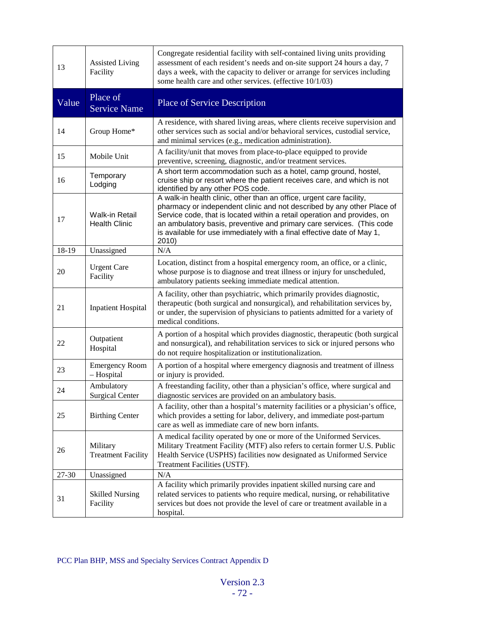| 13    | <b>Assisted Living</b><br>Facility            | Congregate residential facility with self-contained living units providing<br>assessment of each resident's needs and on-site support 24 hours a day, 7<br>days a week, with the capacity to deliver or arrange for services including<br>some health care and other services. (effective 10/1/03)                                                                                     |
|-------|-----------------------------------------------|----------------------------------------------------------------------------------------------------------------------------------------------------------------------------------------------------------------------------------------------------------------------------------------------------------------------------------------------------------------------------------------|
| Value | Place of<br><b>Service Name</b>               | <b>Place of Service Description</b>                                                                                                                                                                                                                                                                                                                                                    |
| 14    | Group Home*                                   | A residence, with shared living areas, where clients receive supervision and<br>other services such as social and/or behavioral services, custodial service,<br>and minimal services (e.g., medication administration).                                                                                                                                                                |
| 15    | Mobile Unit                                   | A facility/unit that moves from place-to-place equipped to provide<br>preventive, screening, diagnostic, and/or treatment services.                                                                                                                                                                                                                                                    |
| 16    | Temporary<br>Lodging                          | A short term accommodation such as a hotel, camp ground, hostel,<br>cruise ship or resort where the patient receives care, and which is not<br>identified by any other POS code.                                                                                                                                                                                                       |
| 17    | <b>Walk-in Retail</b><br><b>Health Clinic</b> | A walk-in health clinic, other than an office, urgent care facility,<br>pharmacy or independent clinic and not described by any other Place of<br>Service code, that is located within a retail operation and provides, on<br>an ambulatory basis, preventive and primary care services. (This code<br>is available for use immediately with a final effective date of May 1,<br>2010) |
| 18-19 | Unassigned                                    | N/A                                                                                                                                                                                                                                                                                                                                                                                    |
| 20    | <b>Urgent Care</b><br>Facility                | Location, distinct from a hospital emergency room, an office, or a clinic,<br>whose purpose is to diagnose and treat illness or injury for unscheduled,<br>ambulatory patients seeking immediate medical attention.                                                                                                                                                                    |
| 21    | <b>Inpatient Hospital</b>                     | A facility, other than psychiatric, which primarily provides diagnostic,<br>therapeutic (both surgical and nonsurgical), and rehabilitation services by,<br>or under, the supervision of physicians to patients admitted for a variety of<br>medical conditions.                                                                                                                       |
| 22    | Outpatient<br>Hospital                        | A portion of a hospital which provides diagnostic, therapeutic (both surgical<br>and nonsurgical), and rehabilitation services to sick or injured persons who<br>do not require hospitalization or institutionalization.                                                                                                                                                               |
| 23    | <b>Emergency Room</b><br>- Hospital           | A portion of a hospital where emergency diagnosis and treatment of illness<br>or injury is provided.                                                                                                                                                                                                                                                                                   |
| 24    | Ambulatory<br><b>Surgical Center</b>          | A freestanding facility, other than a physician's office, where surgical and<br>diagnostic services are provided on an ambulatory basis.                                                                                                                                                                                                                                               |
| 25    | <b>Birthing Center</b>                        | A facility, other than a hospital's maternity facilities or a physician's office,<br>which provides a setting for labor, delivery, and immediate post-partum<br>care as well as immediate care of new born infants.                                                                                                                                                                    |
| 26    | Military<br><b>Treatment Facility</b>         | A medical facility operated by one or more of the Uniformed Services.<br>Military Treatment Facility (MTF) also refers to certain former U.S. Public<br>Health Service (USPHS) facilities now designated as Uniformed Service<br>Treatment Facilities (USTF).                                                                                                                          |
| 27-30 | Unassigned                                    | N/A                                                                                                                                                                                                                                                                                                                                                                                    |
| 31    | <b>Skilled Nursing</b><br>Facility            | A facility which primarily provides inpatient skilled nursing care and<br>related services to patients who require medical, nursing, or rehabilitative<br>services but does not provide the level of care or treatment available in a<br>hospital.                                                                                                                                     |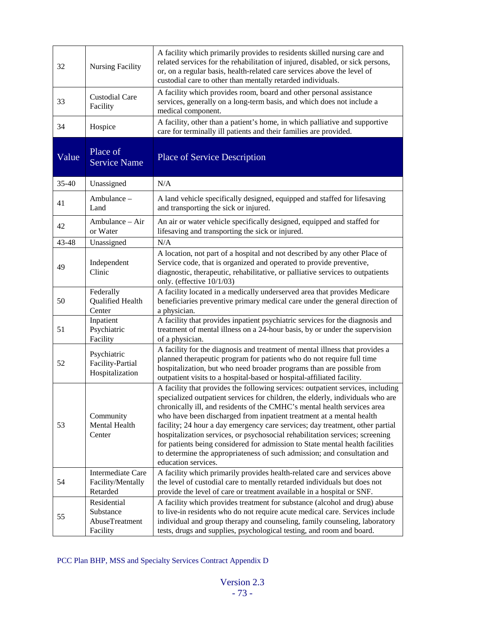| 32    | <b>Nursing Facility</b>                                | A facility which primarily provides to residents skilled nursing care and<br>related services for the rehabilitation of injured, disabled, or sick persons,<br>or, on a regular basis, health-related care services above the level of<br>custodial care to other than mentally retarded individuals.                                                                                                                                                                                                                                                                                                                                                                      |
|-------|--------------------------------------------------------|----------------------------------------------------------------------------------------------------------------------------------------------------------------------------------------------------------------------------------------------------------------------------------------------------------------------------------------------------------------------------------------------------------------------------------------------------------------------------------------------------------------------------------------------------------------------------------------------------------------------------------------------------------------------------|
| 33    | <b>Custodial Care</b><br>Facility                      | A facility which provides room, board and other personal assistance<br>services, generally on a long-term basis, and which does not include a<br>medical component.                                                                                                                                                                                                                                                                                                                                                                                                                                                                                                        |
| 34    | Hospice                                                | A facility, other than a patient's home, in which palliative and supportive<br>care for terminally ill patients and their families are provided.                                                                                                                                                                                                                                                                                                                                                                                                                                                                                                                           |
| Value | Place of<br><b>Service Name</b>                        | <b>Place of Service Description</b>                                                                                                                                                                                                                                                                                                                                                                                                                                                                                                                                                                                                                                        |
| 35-40 | Unassigned                                             | N/A                                                                                                                                                                                                                                                                                                                                                                                                                                                                                                                                                                                                                                                                        |
| 41    | Ambulance -<br>Land                                    | A land vehicle specifically designed, equipped and staffed for lifesaving<br>and transporting the sick or injured.                                                                                                                                                                                                                                                                                                                                                                                                                                                                                                                                                         |
| 42    | Ambulance – Air<br>or Water                            | An air or water vehicle specifically designed, equipped and staffed for<br>lifesaving and transporting the sick or injured.                                                                                                                                                                                                                                                                                                                                                                                                                                                                                                                                                |
| 43-48 | Unassigned                                             | N/A                                                                                                                                                                                                                                                                                                                                                                                                                                                                                                                                                                                                                                                                        |
| 49    | Independent<br>Clinic                                  | A location, not part of a hospital and not described by any other Place of<br>Service code, that is organized and operated to provide preventive,<br>diagnostic, therapeutic, rehabilitative, or palliative services to outpatients<br>only. (effective 10/1/03)                                                                                                                                                                                                                                                                                                                                                                                                           |
| 50    | Federally<br>Qualified Health<br>Center                | A facility located in a medically underserved area that provides Medicare<br>beneficiaries preventive primary medical care under the general direction of<br>a physician.                                                                                                                                                                                                                                                                                                                                                                                                                                                                                                  |
| 51    | Inpatient<br>Psychiatric<br>Facility                   | A facility that provides inpatient psychiatric services for the diagnosis and<br>treatment of mental illness on a 24-hour basis, by or under the supervision<br>of a physician.                                                                                                                                                                                                                                                                                                                                                                                                                                                                                            |
| 52    | Psychiatric<br>Facility-Partial<br>Hospitalization     | A facility for the diagnosis and treatment of mental illness that provides a<br>planned therapeutic program for patients who do not require full time<br>hospitalization, but who need broader programs than are possible from<br>outpatient visits to a hospital-based or hospital-affiliated facility.                                                                                                                                                                                                                                                                                                                                                                   |
| 53    | Community<br>Mental Health<br>Center                   | A facility that provides the following services: outpatient services, including<br>specialized outpatient services for children, the elderly, individuals who are<br>chronically ill, and residents of the CMHC's mental health services area<br>who have been discharged from inpatient treatment at a mental health<br>facility; 24 hour a day emergency care services; day treatment, other partial<br>hospitalization services, or psychosocial rehabilitation services; screening<br>for patients being considered for admission to State mental health facilities<br>to determine the appropriateness of such admission; and consultation and<br>education services. |
| 54    | Intermediate Care<br>Facility/Mentally<br>Retarded     | A facility which primarily provides health-related care and services above<br>the level of custodial care to mentally retarded individuals but does not<br>provide the level of care or treatment available in a hospital or SNF.                                                                                                                                                                                                                                                                                                                                                                                                                                          |
| 55    | Residential<br>Substance<br>AbuseTreatment<br>Facility | A facility which provides treatment for substance (alcohol and drug) abuse<br>to live-in residents who do not require acute medical care. Services include<br>individual and group therapy and counseling, family counseling, laboratory<br>tests, drugs and supplies, psychological testing, and room and board.                                                                                                                                                                                                                                                                                                                                                          |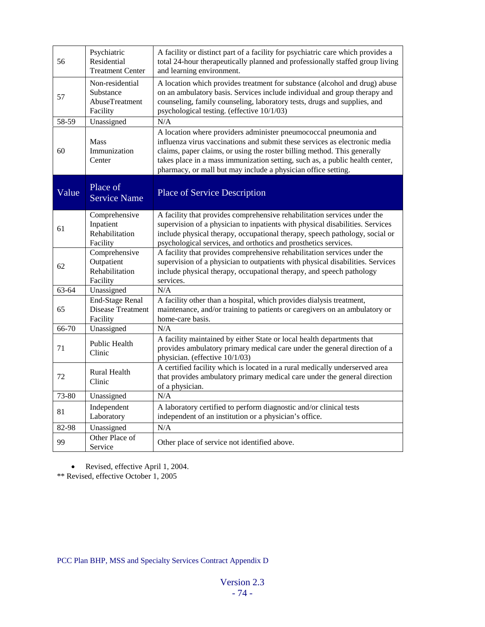| 56    | Psychiatric<br>Residential<br><b>Treatment Center</b>          | A facility or distinct part of a facility for psychiatric care which provides a<br>total 24-hour therapeutically planned and professionally staffed group living<br>and learning environment.                                                                                                                                                                               |
|-------|----------------------------------------------------------------|-----------------------------------------------------------------------------------------------------------------------------------------------------------------------------------------------------------------------------------------------------------------------------------------------------------------------------------------------------------------------------|
| 57    | Non-residential<br>Substance<br>AbuseTreatment<br>Facility     | A location which provides treatment for substance (alcohol and drug) abuse<br>on an ambulatory basis. Services include individual and group therapy and<br>counseling, family counseling, laboratory tests, drugs and supplies, and<br>psychological testing. (effective 10/1/03)                                                                                           |
| 58-59 | Unassigned                                                     | N/A                                                                                                                                                                                                                                                                                                                                                                         |
| 60    | <b>Mass</b><br>Immunization<br>Center                          | A location where providers administer pneumococcal pneumonia and<br>influenza virus vaccinations and submit these services as electronic media<br>claims, paper claims, or using the roster billing method. This generally<br>takes place in a mass immunization setting, such as, a public health center,<br>pharmacy, or mall but may include a physician office setting. |
| Value | Place of<br><b>Service Name</b>                                | <b>Place of Service Description</b>                                                                                                                                                                                                                                                                                                                                         |
| 61    | Comprehensive<br>Inpatient<br>Rehabilitation<br>Facility       | A facility that provides comprehensive rehabilitation services under the<br>supervision of a physician to inpatients with physical disabilities. Services<br>include physical therapy, occupational therapy, speech pathology, social or<br>psychological services, and orthotics and prosthetics services.                                                                 |
| 62    | Comprehensive<br>Outpatient<br>Rehabilitation<br>Facility      | A facility that provides comprehensive rehabilitation services under the<br>supervision of a physician to outpatients with physical disabilities. Services<br>include physical therapy, occupational therapy, and speech pathology<br>services.                                                                                                                             |
| 63-64 | Unassigned                                                     | N/A                                                                                                                                                                                                                                                                                                                                                                         |
| 65    | <b>End-Stage Renal</b><br><b>Disease Treatment</b><br>Facility | A facility other than a hospital, which provides dialysis treatment,<br>maintenance, and/or training to patients or caregivers on an ambulatory or<br>home-care basis.                                                                                                                                                                                                      |
| 66-70 | Unassigned                                                     | N/A                                                                                                                                                                                                                                                                                                                                                                         |
| 71    | Public Health<br>Clinic                                        | A facility maintained by either State or local health departments that<br>provides ambulatory primary medical care under the general direction of a<br>physician. (effective 10/1/03)                                                                                                                                                                                       |
| 72    | <b>Rural Health</b><br>Clinic                                  | A certified facility which is located in a rural medically underserved area<br>that provides ambulatory primary medical care under the general direction<br>of a physician.                                                                                                                                                                                                 |
| 73-80 | Unassigned                                                     | N/A                                                                                                                                                                                                                                                                                                                                                                         |
| 81    | Independent<br>Laboratory                                      | A laboratory certified to perform diagnostic and/or clinical tests<br>independent of an institution or a physician's office.                                                                                                                                                                                                                                                |
| 82-98 | Unassigned                                                     | N/A                                                                                                                                                                                                                                                                                                                                                                         |
| 99    | Other Place of<br>Service                                      | Other place of service not identified above.                                                                                                                                                                                                                                                                                                                                |

• Revised, effective April 1, 2004.

\*\* Revised, effective October 1, 2005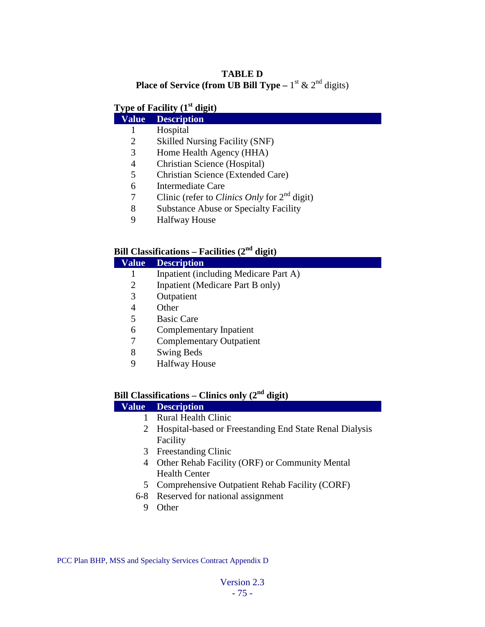#### **TABLE D Place of Service (from UB Bill Type –**  $1^{\text{st}}$  &  $2^{\text{nd}}$  digits)

## **Type of Facility (1st digit)**

### **Value Description**

- Hospital
- Skilled Nursing Facility (SNF)
- Home Health Agency (HHA)
- Christian Science (Hospital)
- Christian Science (Extended Care)
- Intermediate Care
- Clinic (refer to *Clinics Only* for 2nd digit)
- Substance Abuse or Specialty Facility
- Halfway House

### **Bill Classifications – Facilities (2nd digit)**

| Value  | <b>Description</b>                    |
|--------|---------------------------------------|
|        | Inpatient (including Medicare Part A) |
| 2      | Inpatient (Medicare Part B only)      |
| 3      | Outpatient                            |
| 4      | Other                                 |
| 5      | <b>Basic Care</b>                     |
| 6      | Complementary Inpatient               |
|        | <b>Complementary Outpatient</b>       |
| 8      | <b>Swing Beds</b>                     |
| $\sim$ | <b>TT 10</b><br>$\mathbf{r}$          |

Halfway House

## **Bill Classifications – Clinics only (2nd digit)**

# **Value Description**

- Rural Health Clinic
- Hospital-based or Freestanding End State Renal Dialysis Facility
- Freestanding Clinic
- Other Rehab Facility (ORF) or Community Mental Health Center
- Comprehensive Outpatient Rehab Facility (CORF)
- 6-8 Reserved for national assignment
	- Other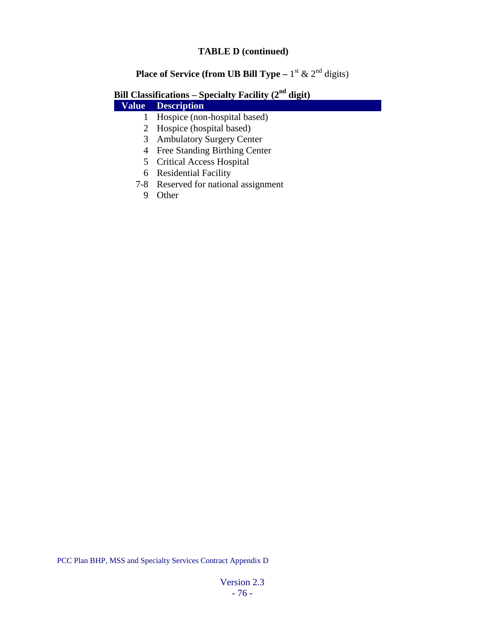#### **TABLE D (continued)**

# **Place of Service (from UB Bill Type –**  $1^{\text{st}}$  &  $2^{\text{nd}}$  digits)

# **Bill Classifications – Specialty Facility (2nd digit)**

## **Value Description**

- 1 Hospice (non-hospital based)
- 2 Hospice (hospital based)
- 3 Ambulatory Surgery Center
- 4 Free Standing Birthing Center
- 5 Critical Access Hospital
- 6 Residential Facility
- 7-8 Reserved for national assignment
	- 9 Other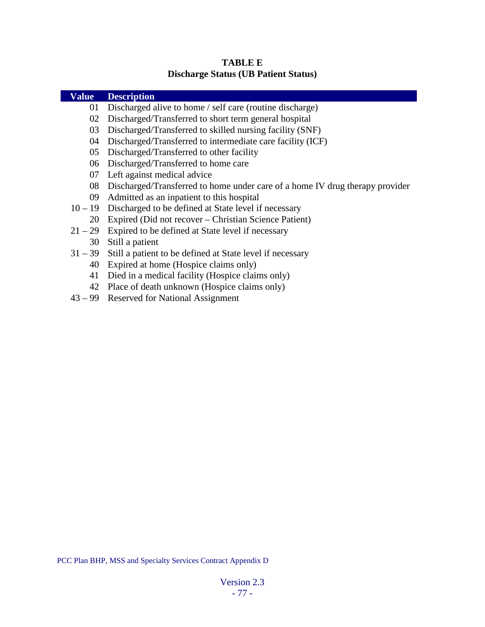| <b>Value</b> | <b>Description</b>                                                           |
|--------------|------------------------------------------------------------------------------|
| 01           | Discharged alive to home / self care (routine discharge)                     |
| 02           | Discharged/Transferred to short term general hospital                        |
| 03           | Discharged/Transferred to skilled nursing facility (SNF)                     |
| 04           | Discharged/Transferred to intermediate care facility (ICF)                   |
| 05           | Discharged/Transferred to other facility                                     |
| 06           | Discharged/Transferred to home care                                          |
| 07           | Left against medical advice                                                  |
| 08           | Discharged/Transferred to home under care of a home IV drug therapy provider |
| 09           | Admitted as an inpatient to this hospital                                    |
| $10 - 19$    | Discharged to be defined at State level if necessary                         |
| 20           | Expired (Did not recover – Christian Science Patient)                        |
| $21 - 29$    | Expired to be defined at State level if necessary                            |
| 30           | Still a patient                                                              |
| $31 - 39$    | Still a patient to be defined at State level if necessary                    |
| 40           | Expired at home (Hospice claims only)                                        |
| 41           | Died in a medical facility (Hospice claims only)                             |
| 42           | Place of death unknown (Hospice claims only)                                 |

**TABLE E Discharge Status (UB Patient Status)**

43 – 99 Reserved for National Assignment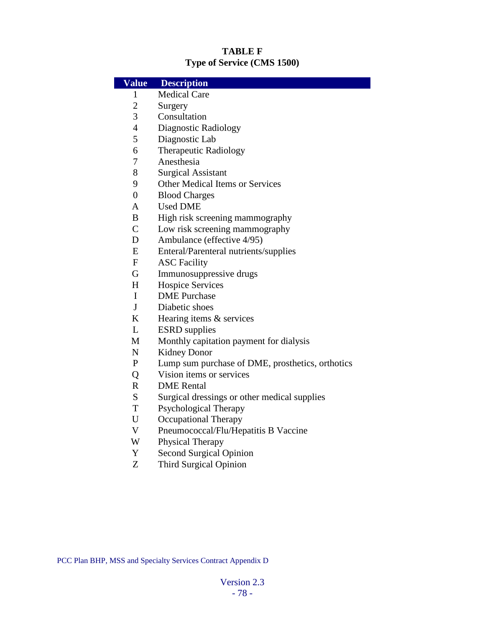### **TABLE F Type of Service (CMS 1500)**

| <b>Value</b>              | <b>Description</b>                               |
|---------------------------|--------------------------------------------------|
| 1                         | <b>Medical Care</b>                              |
| $\overline{2}$            | Surgery                                          |
| 3                         | Consultation                                     |
| $\overline{4}$            | <b>Diagnostic Radiology</b>                      |
| 5                         | Diagnostic Lab                                   |
| 6                         | <b>Therapeutic Radiology</b>                     |
| 7                         | Anesthesia                                       |
| 8                         | <b>Surgical Assistant</b>                        |
| 9                         | <b>Other Medical Items or Services</b>           |
| $\overline{0}$            | <b>Blood Charges</b>                             |
| A                         | <b>Used DME</b>                                  |
| B                         | High risk screening mammography                  |
| $\mathsf{C}$              | Low risk screening mammography                   |
| D                         | Ambulance (effective 4/95)                       |
| E                         | Enteral/Parenteral nutrients/supplies            |
| $\boldsymbol{\mathrm{F}}$ | <b>ASC Facility</b>                              |
| G                         | Immunosuppressive drugs                          |
| H                         | <b>Hospice Services</b>                          |
| I                         | <b>DME</b> Purchase                              |
| $\mathbf{J}$              | Diabetic shoes                                   |
| $\bf K$                   | Hearing items & services                         |
| L                         | <b>ESRD</b> supplies                             |
| M                         | Monthly capitation payment for dialysis          |
| $\mathbf N$               | Kidney Donor                                     |
| $\mathbf{P}$              | Lump sum purchase of DME, prosthetics, orthotics |
| Q                         | Vision items or services                         |
| $\mathbf R$               | <b>DME</b> Rental                                |
| S                         | Surgical dressings or other medical supplies     |
| $\mathbf T$               | Psychological Therapy                            |
| U                         | Occupational Therapy                             |
| $\mathbf V$               | Pneumococcal/Flu/Hepatitis B Vaccine             |
| W                         | <b>Physical Therapy</b>                          |
| Y                         | <b>Second Surgical Opinion</b>                   |
| Z                         | <b>Third Surgical Opinion</b>                    |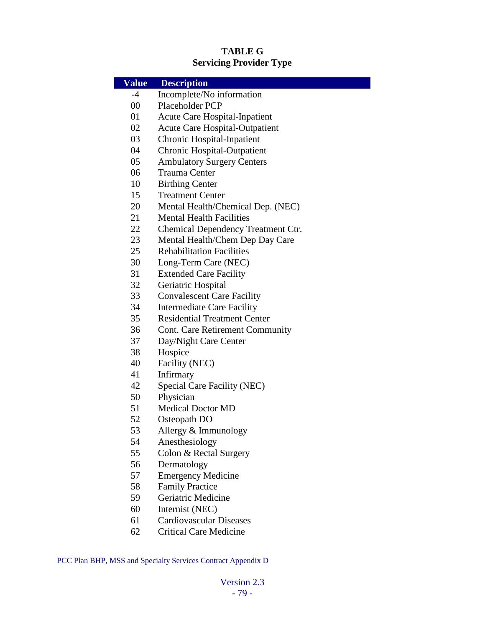## **TABLE G Servicing Provider Type**

| <b>Value</b> | <b>Description</b>                     |
|--------------|----------------------------------------|
| $-4$         | Incomplete/No information              |
| 00           | Placeholder PCP                        |
| 01           | Acute Care Hospital-Inpatient          |
| 02           | <b>Acute Care Hospital-Outpatient</b>  |
| 03           | <b>Chronic Hospital-Inpatient</b>      |
| 04           | <b>Chronic Hospital-Outpatient</b>     |
| 05           | <b>Ambulatory Surgery Centers</b>      |
| 06           | <b>Trauma Center</b>                   |
| 10           | <b>Birthing Center</b>                 |
| 15           | <b>Treatment Center</b>                |
| 20           | Mental Health/Chemical Dep. (NEC)      |
| 21           | <b>Mental Health Facilities</b>        |
| 22           | Chemical Dependency Treatment Ctr.     |
| 23           | Mental Health/Chem Dep Day Care        |
| 25           | <b>Rehabilitation Facilities</b>       |
| 30           | Long-Term Care (NEC)                   |
| 31           | <b>Extended Care Facility</b>          |
| 32           | Geriatric Hospital                     |
| 33           | <b>Convalescent Care Facility</b>      |
| 34           | <b>Intermediate Care Facility</b>      |
| 35           | <b>Residential Treatment Center</b>    |
| 36           | <b>Cont. Care Retirement Community</b> |
| 37           | Day/Night Care Center                  |
| 38           | Hospice                                |
| 40           | Facility (NEC)                         |
| 41           | Infirmary                              |
| 42           | <b>Special Care Facility (NEC)</b>     |
| 50           | Physician                              |
| 51           | <b>Medical Doctor MD</b>               |
| 52           | Osteopath DO                           |
| 53           | Allergy & Immunology                   |
| 54           | Anesthesiology                         |
| 55           | Colon & Rectal Surgery                 |
| 56           | Dermatology                            |
| 57           | <b>Emergency Medicine</b>              |
| 58           | <b>Family Practice</b>                 |
| 59           | Geriatric Medicine                     |
| 60           | Internist (NEC)                        |
| 61           | <b>Cardiovascular Diseases</b>         |
| 62           | <b>Critical Care Medicine</b>          |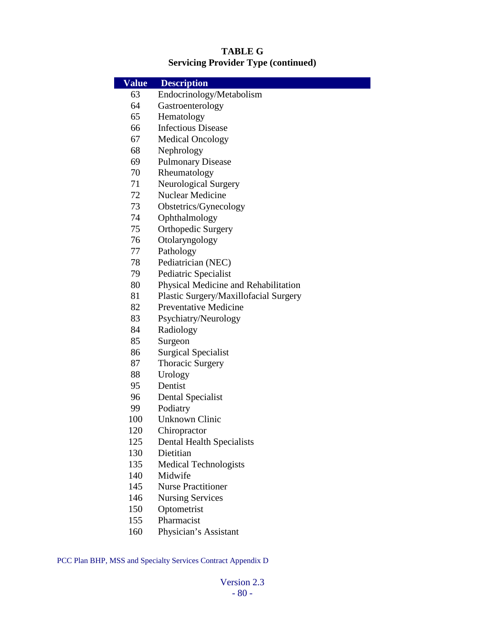### **TABLE G Servicing Provider Type (continued)**

| <b>Value</b> | <b>Description</b>                    |
|--------------|---------------------------------------|
| 63           | Endocrinology/Metabolism              |
| 64           | Gastroenterology                      |
| 65           | Hematology                            |
| 66           | <b>Infectious Disease</b>             |
| 67           | <b>Medical Oncology</b>               |
| 68           | Nephrology                            |
| 69           | <b>Pulmonary Disease</b>              |
| 70           | Rheumatology                          |
| 71           | <b>Neurological Surgery</b>           |
| 72           | Nuclear Medicine                      |
| 73           | Obstetrics/Gynecology                 |
| 74           | Ophthalmology                         |
| 75           | <b>Orthopedic Surgery</b>             |
| 76           | Otolaryngology                        |
| 77           | Pathology                             |
| 78           | Pediatrician (NEC)                    |
| 79           | Pediatric Specialist                  |
| 80           | Physical Medicine and Rehabilitation  |
| 81           | Plastic Surgery/Maxillofacial Surgery |
| 82           | <b>Preventative Medicine</b>          |
| 83           | Psychiatry/Neurology                  |
| 84           | Radiology                             |
| 85           | Surgeon                               |
| 86           | <b>Surgical Specialist</b>            |
| 87           | <b>Thoracic Surgery</b>               |
| 88           | Urology                               |
| 95           | Dentist                               |
| 96           | Dental Specialist                     |
| 99           | Podiatry                              |
| 100          | <b>Unknown Clinic</b>                 |
| 120          | Chiropractor                          |
| 125          | <b>Dental Health Specialists</b>      |
| 130          | Dietitian                             |
| 135          | <b>Medical Technologists</b>          |
| 140          | Midwife                               |
| 145          | <b>Nurse Practitioner</b>             |
| 146          | <b>Nursing Services</b>               |
| 150          | Optometrist                           |
| 155          | Pharmacist                            |
| 160          | Physician's Assistant                 |
|              |                                       |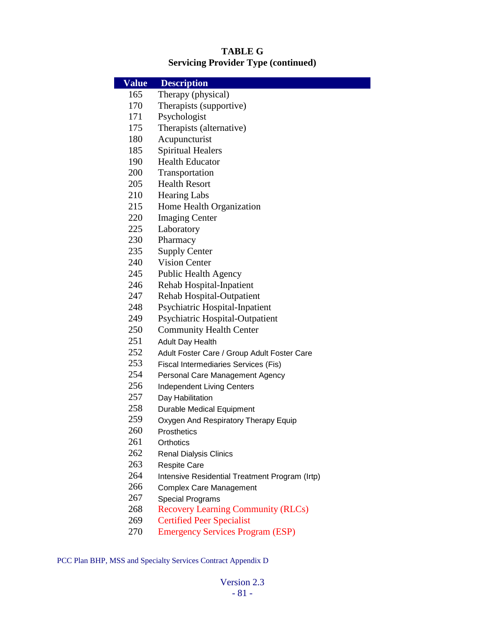### **TABLE G Servicing Provider Type (continued)**

| <b>Value</b> | <b>Description</b>                             |
|--------------|------------------------------------------------|
| 165          | Therapy (physical)                             |
| 170          | Therapists (supportive)                        |
| 171          | Psychologist                                   |
| 175          | Therapists (alternative)                       |
| 180          | Acupuncturist                                  |
| 185          | <b>Spiritual Healers</b>                       |
| 190          | <b>Health Educator</b>                         |
| 200          | Transportation                                 |
| 205          | <b>Health Resort</b>                           |
| 210          | <b>Hearing Labs</b>                            |
| 215          | Home Health Organization                       |
| 220          | <b>Imaging Center</b>                          |
| 225          | Laboratory                                     |
| 230          | Pharmacy                                       |
| 235          | <b>Supply Center</b>                           |
| 240          | <b>Vision Center</b>                           |
| 245          | <b>Public Health Agency</b>                    |
| 246          | Rehab Hospital-Inpatient                       |
| 247          | Rehab Hospital-Outpatient                      |
| 248          | <b>Psychiatric Hospital-Inpatient</b>          |
| 249          | <b>Psychiatric Hospital-Outpatient</b>         |
| 250          | <b>Community Health Center</b>                 |
| 251          | <b>Adult Day Health</b>                        |
| 252          | Adult Foster Care / Group Adult Foster Care    |
| 253          | <b>Fiscal Intermediaries Services (Fis)</b>    |
| 254          | Personal Care Management Agency                |
| 256          | <b>Independent Living Centers</b>              |
| 257          | Day Habilitation                               |
| 258          | <b>Durable Medical Equipment</b>               |
| 259          | Oxygen And Respiratory Therapy Equip           |
| 260          | Prosthetics                                    |
| 261          | Orthotics                                      |
| 262          | <b>Renal Dialysis Clinics</b>                  |
| 263          | <b>Respite Care</b>                            |
| 264          | Intensive Residential Treatment Program (Irtp) |
| 266          | <b>Complex Care Management</b>                 |
| 267          | <b>Special Programs</b>                        |
| 268          | <b>Recovery Learning Community (RLCs)</b>      |
| 269          | <b>Certified Peer Specialist</b>               |

Emergency Services Program (ESP)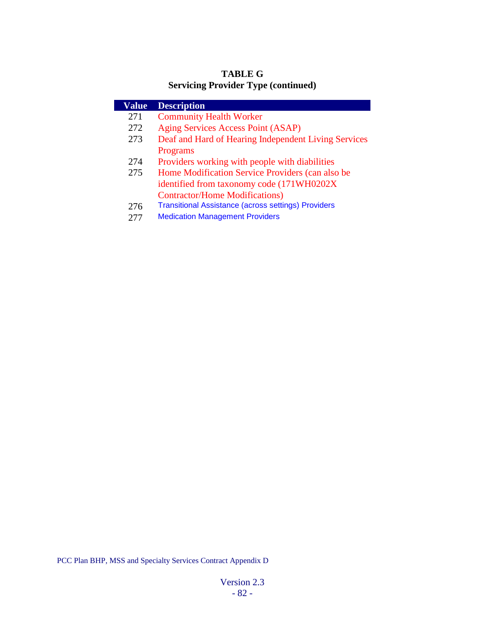## **TABLE G Servicing Provider Type (continued)**

| Value | <b>Description</b>                                         |
|-------|------------------------------------------------------------|
| 271   | <b>Community Health Worker</b>                             |
| 272   | Aging Services Access Point (ASAP)                         |
| 273   | Deaf and Hard of Hearing Independent Living Services       |
|       | Programs                                                   |
| 274   | Providers working with people with diabilities             |
| 275   | Home Modification Service Providers (can also be           |
|       | identified from taxonomy code (171WH0202X)                 |
|       | <b>Contractor/Home Modifications)</b>                      |
| 276   | <b>Transitional Assistance (across settings) Providers</b> |
|       | <b>Medication Management Providers</b>                     |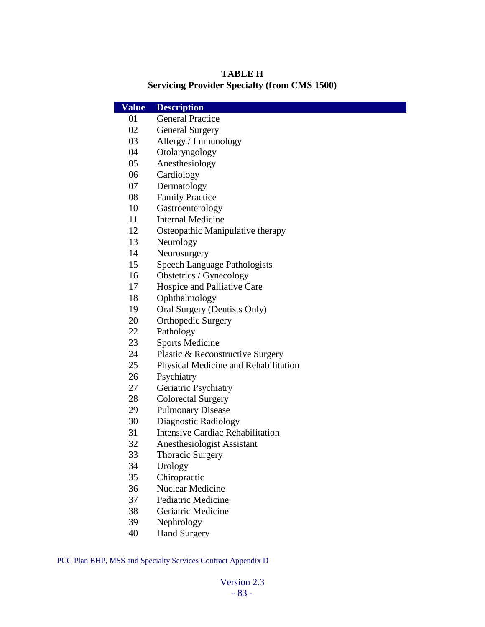#### **TABLE H Servicing Provider Specialty (from CMS 1500)**

| <b>Value</b> | <b>Description</b>                      |
|--------------|-----------------------------------------|
| 01           | <b>General Practice</b>                 |
| 02           | <b>General Surgery</b>                  |
| 03           | Allergy / Immunology                    |
| 04           | Otolaryngology                          |
| 05           | Anesthesiology                          |
| 06           | Cardiology                              |
| 07           | Dermatology                             |
| 08           | <b>Family Practice</b>                  |
| 10           | Gastroenterology                        |
| 11           | <b>Internal Medicine</b>                |
| 12           | Osteopathic Manipulative therapy        |
| 13           | Neurology                               |
| 14           | Neurosurgery                            |
| 15           | <b>Speech Language Pathologists</b>     |
| 16           | Obstetrics / Gynecology                 |
| 17           | Hospice and Palliative Care             |
| 18           | Ophthalmology                           |
| 19           | Oral Surgery (Dentists Only)            |
| 20           | <b>Orthopedic Surgery</b>               |
| 22           | Pathology                               |
| 23           | <b>Sports Medicine</b>                  |
| 24           | Plastic & Reconstructive Surgery        |
| 25           | Physical Medicine and Rehabilitation    |
| 26           | Psychiatry                              |
| 27           | Geriatric Psychiatry                    |
| 28           | <b>Colorectal Surgery</b>               |
| 29           | <b>Pulmonary Disease</b>                |
| 30           | <b>Diagnostic Radiology</b>             |
| 31           | <b>Intensive Cardiac Rehabilitation</b> |
| 32           | Anesthesiologist Assistant              |
| 33           | <b>Thoracic Surgery</b>                 |
| 34           | Urology                                 |
| 35           | Chiropractic                            |
| 36           | Nuclear Medicine                        |
| 37           | <b>Pediatric Medicine</b>               |
| 38           | Geriatric Medicine                      |
| 39           | Nephrology                              |
| 40           | <b>Hand Surgery</b>                     |
|              |                                         |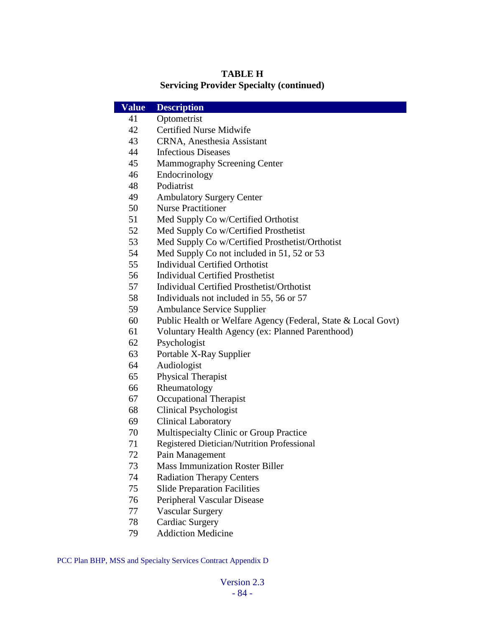### **TABLE H Servicing Provider Specialty (continued)**

| <b>Value</b> | <b>Description</b>                                            |
|--------------|---------------------------------------------------------------|
| 41           | Optometrist                                                   |
| 42           | <b>Certified Nurse Midwife</b>                                |
| 43           | CRNA, Anesthesia Assistant                                    |
| 44           | <b>Infectious Diseases</b>                                    |
| 45           | <b>Mammography Screening Center</b>                           |
| 46           | Endocrinology                                                 |
| 48           | Podiatrist                                                    |
| 49           | <b>Ambulatory Surgery Center</b>                              |
| 50           | <b>Nurse Practitioner</b>                                     |
| 51           | Med Supply Co w/Certified Orthotist                           |
| 52           | Med Supply Co w/Certified Prosthetist                         |
| 53           | Med Supply Co w/Certified Prosthetist/Orthotist               |
| 54           | Med Supply Co not included in 51, 52 or 53                    |
| 55           | <b>Individual Certified Orthotist</b>                         |
| 56           | <b>Individual Certified Prosthetist</b>                       |
| 57           | <b>Individual Certified Prosthetist/Orthotist</b>             |
| 58           | Individuals not included in 55, 56 or 57                      |
| 59           | <b>Ambulance Service Supplier</b>                             |
| 60           | Public Health or Welfare Agency (Federal, State & Local Govt) |
| 61           | Voluntary Health Agency (ex: Planned Parenthood)              |
| 62           | Psychologist                                                  |
| 63           | Portable X-Ray Supplier                                       |
| 64           | Audiologist                                                   |
| 65           | Physical Therapist                                            |
| 66           | Rheumatology                                                  |
| 67           | <b>Occupational Therapist</b>                                 |
| 68           | <b>Clinical Psychologist</b>                                  |
| 69           | <b>Clinical Laboratory</b>                                    |
| 70           | Multispecialty Clinic or Group Practice                       |
| 71           | Registered Dietician/Nutrition Professional                   |
| 72           | Pain Management                                               |
| 73           | <b>Mass Immunization Roster Biller</b>                        |
| 74           | <b>Radiation Therapy Centers</b>                              |
| 75           | <b>Slide Preparation Facilities</b>                           |
| 76           | Peripheral Vascular Disease                                   |
| 77           | <b>Vascular Surgery</b>                                       |
| 78           | <b>Cardiac Surgery</b>                                        |
| 79           | <b>Addiction Medicine</b>                                     |
|              |                                                               |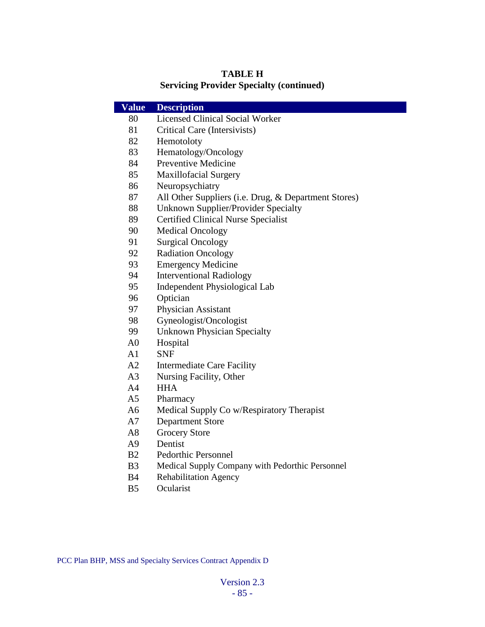### **TABLE H Servicing Provider Specialty (continued)**

| <b>Value</b>   | <b>Description</b>                                   |
|----------------|------------------------------------------------------|
| 80             | <b>Licensed Clinical Social Worker</b>               |
| 81             | Critical Care (Intersivists)                         |
| 82             | Hemotoloty                                           |
| 83             | Hematology/Oncology                                  |
| 84             | <b>Preventive Medicine</b>                           |
| 85             | <b>Maxillofacial Surgery</b>                         |
| 86             | Neuropsychiatry                                      |
| 87             | All Other Suppliers (i.e. Drug, & Department Stores) |
| 88             | Unknown Supplier/Provider Specialty                  |
| 89             | <b>Certified Clinical Nurse Specialist</b>           |
| 90             | <b>Medical Oncology</b>                              |
| 91             | <b>Surgical Oncology</b>                             |
| 92             | <b>Radiation Oncology</b>                            |
| 93             | <b>Emergency Medicine</b>                            |
| 94             | <b>Interventional Radiology</b>                      |
| 95             | Independent Physiological Lab                        |
| 96             | Optician                                             |
| 97             | <b>Physician Assistant</b>                           |
| 98             | Gyneologist/Oncologist                               |
| 99             | <b>Unknown Physician Specialty</b>                   |
| A <sub>0</sub> | Hospital                                             |
| A <sub>1</sub> | <b>SNF</b>                                           |
| A2             | <b>Intermediate Care Facility</b>                    |
| A <sub>3</sub> | Nursing Facility, Other                              |
| A4             | <b>HHA</b>                                           |
| A5             | Pharmacy                                             |
| A6             | Medical Supply Co w/Respiratory Therapist            |
| A7             | <b>Department Store</b>                              |
| A8             | <b>Grocery Store</b>                                 |
| A9             | Dentist                                              |
| B <sub>2</sub> | Pedorthic Personnel                                  |
| B <sub>3</sub> | Medical Supply Company with Pedorthic Personnel      |
| <b>B</b> 4     | Rehabilitation Agency                                |
| B <sub>5</sub> | Ocularist                                            |
|                |                                                      |
|                |                                                      |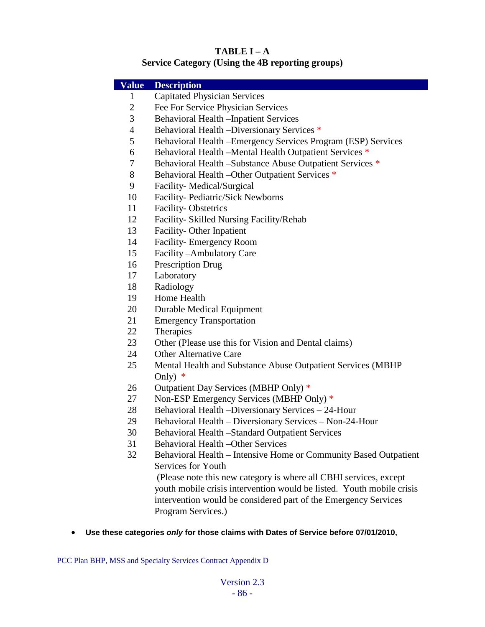# **TABLE I – A**

## **Service Category (Using the 4B reporting groups)**

| <b>Capitated Physician Services</b><br>$\mathbf{1}$<br>$\overline{2}$<br>Fee For Service Physician Services<br>3<br><b>Behavioral Health -Inpatient Services</b><br>$\overline{4}$<br>Behavioral Health -Diversionary Services *<br>5<br>Behavioral Health - Emergency Services Program (ESP) Services<br>Behavioral Health - Mental Health Outpatient Services *<br>6<br>Behavioral Health -Substance Abuse Outpatient Services *<br>7<br>8<br>Behavioral Health - Other Outpatient Services *<br>Facility-Medical/Surgical<br>9<br>Facility- Pediatric/Sick Newborns<br>10<br>11<br><b>Facility-Obstetrics</b><br>12<br>Facility- Skilled Nursing Facility/Rehab<br>Facility-Other Inpatient<br>13<br>Facility- Emergency Room<br>14<br>Facility-Ambulatory Care<br>15<br><b>Prescription Drug</b><br>16<br>Laboratory<br>17<br>Radiology<br>18<br>Home Health<br>19<br>20<br><b>Durable Medical Equipment</b><br>21<br><b>Emergency Transportation</b><br>Therapies<br>22<br>23<br>Other (Please use this for Vision and Dental claims)<br><b>Other Alternative Care</b><br>24<br>25<br>Mental Health and Substance Abuse Outpatient Services (MBHP<br>Only)<br>∗<br>Outpatient Day Services (MBHP Only) *<br>26<br>Non-ESP Emergency Services (MBHP Only) *<br>27<br>Behavioral Health -Diversionary Services - 24-Hour<br>28<br>Behavioral Health - Diversionary Services - Non-24-Hour<br>29<br>Behavioral Health -Standard Outpatient Services<br>30<br><b>Behavioral Health -Other Services</b><br>31<br>32<br>Behavioral Health - Intensive Home or Community Based Outpatient |              |                    |  |
|-----------------------------------------------------------------------------------------------------------------------------------------------------------------------------------------------------------------------------------------------------------------------------------------------------------------------------------------------------------------------------------------------------------------------------------------------------------------------------------------------------------------------------------------------------------------------------------------------------------------------------------------------------------------------------------------------------------------------------------------------------------------------------------------------------------------------------------------------------------------------------------------------------------------------------------------------------------------------------------------------------------------------------------------------------------------------------------------------------------------------------------------------------------------------------------------------------------------------------------------------------------------------------------------------------------------------------------------------------------------------------------------------------------------------------------------------------------------------------------------------------------------------------------------------------------------------------------------|--------------|--------------------|--|
|                                                                                                                                                                                                                                                                                                                                                                                                                                                                                                                                                                                                                                                                                                                                                                                                                                                                                                                                                                                                                                                                                                                                                                                                                                                                                                                                                                                                                                                                                                                                                                                         | <b>Value</b> | <b>Description</b> |  |
|                                                                                                                                                                                                                                                                                                                                                                                                                                                                                                                                                                                                                                                                                                                                                                                                                                                                                                                                                                                                                                                                                                                                                                                                                                                                                                                                                                                                                                                                                                                                                                                         |              |                    |  |
|                                                                                                                                                                                                                                                                                                                                                                                                                                                                                                                                                                                                                                                                                                                                                                                                                                                                                                                                                                                                                                                                                                                                                                                                                                                                                                                                                                                                                                                                                                                                                                                         |              |                    |  |
|                                                                                                                                                                                                                                                                                                                                                                                                                                                                                                                                                                                                                                                                                                                                                                                                                                                                                                                                                                                                                                                                                                                                                                                                                                                                                                                                                                                                                                                                                                                                                                                         |              |                    |  |
|                                                                                                                                                                                                                                                                                                                                                                                                                                                                                                                                                                                                                                                                                                                                                                                                                                                                                                                                                                                                                                                                                                                                                                                                                                                                                                                                                                                                                                                                                                                                                                                         |              |                    |  |
|                                                                                                                                                                                                                                                                                                                                                                                                                                                                                                                                                                                                                                                                                                                                                                                                                                                                                                                                                                                                                                                                                                                                                                                                                                                                                                                                                                                                                                                                                                                                                                                         |              |                    |  |
|                                                                                                                                                                                                                                                                                                                                                                                                                                                                                                                                                                                                                                                                                                                                                                                                                                                                                                                                                                                                                                                                                                                                                                                                                                                                                                                                                                                                                                                                                                                                                                                         |              |                    |  |
|                                                                                                                                                                                                                                                                                                                                                                                                                                                                                                                                                                                                                                                                                                                                                                                                                                                                                                                                                                                                                                                                                                                                                                                                                                                                                                                                                                                                                                                                                                                                                                                         |              |                    |  |
|                                                                                                                                                                                                                                                                                                                                                                                                                                                                                                                                                                                                                                                                                                                                                                                                                                                                                                                                                                                                                                                                                                                                                                                                                                                                                                                                                                                                                                                                                                                                                                                         |              |                    |  |
|                                                                                                                                                                                                                                                                                                                                                                                                                                                                                                                                                                                                                                                                                                                                                                                                                                                                                                                                                                                                                                                                                                                                                                                                                                                                                                                                                                                                                                                                                                                                                                                         |              |                    |  |
|                                                                                                                                                                                                                                                                                                                                                                                                                                                                                                                                                                                                                                                                                                                                                                                                                                                                                                                                                                                                                                                                                                                                                                                                                                                                                                                                                                                                                                                                                                                                                                                         |              |                    |  |
|                                                                                                                                                                                                                                                                                                                                                                                                                                                                                                                                                                                                                                                                                                                                                                                                                                                                                                                                                                                                                                                                                                                                                                                                                                                                                                                                                                                                                                                                                                                                                                                         |              |                    |  |
|                                                                                                                                                                                                                                                                                                                                                                                                                                                                                                                                                                                                                                                                                                                                                                                                                                                                                                                                                                                                                                                                                                                                                                                                                                                                                                                                                                                                                                                                                                                                                                                         |              |                    |  |
|                                                                                                                                                                                                                                                                                                                                                                                                                                                                                                                                                                                                                                                                                                                                                                                                                                                                                                                                                                                                                                                                                                                                                                                                                                                                                                                                                                                                                                                                                                                                                                                         |              |                    |  |
|                                                                                                                                                                                                                                                                                                                                                                                                                                                                                                                                                                                                                                                                                                                                                                                                                                                                                                                                                                                                                                                                                                                                                                                                                                                                                                                                                                                                                                                                                                                                                                                         |              |                    |  |
|                                                                                                                                                                                                                                                                                                                                                                                                                                                                                                                                                                                                                                                                                                                                                                                                                                                                                                                                                                                                                                                                                                                                                                                                                                                                                                                                                                                                                                                                                                                                                                                         |              |                    |  |
|                                                                                                                                                                                                                                                                                                                                                                                                                                                                                                                                                                                                                                                                                                                                                                                                                                                                                                                                                                                                                                                                                                                                                                                                                                                                                                                                                                                                                                                                                                                                                                                         |              |                    |  |
|                                                                                                                                                                                                                                                                                                                                                                                                                                                                                                                                                                                                                                                                                                                                                                                                                                                                                                                                                                                                                                                                                                                                                                                                                                                                                                                                                                                                                                                                                                                                                                                         |              |                    |  |
|                                                                                                                                                                                                                                                                                                                                                                                                                                                                                                                                                                                                                                                                                                                                                                                                                                                                                                                                                                                                                                                                                                                                                                                                                                                                                                                                                                                                                                                                                                                                                                                         |              |                    |  |
|                                                                                                                                                                                                                                                                                                                                                                                                                                                                                                                                                                                                                                                                                                                                                                                                                                                                                                                                                                                                                                                                                                                                                                                                                                                                                                                                                                                                                                                                                                                                                                                         |              |                    |  |
|                                                                                                                                                                                                                                                                                                                                                                                                                                                                                                                                                                                                                                                                                                                                                                                                                                                                                                                                                                                                                                                                                                                                                                                                                                                                                                                                                                                                                                                                                                                                                                                         |              |                    |  |
|                                                                                                                                                                                                                                                                                                                                                                                                                                                                                                                                                                                                                                                                                                                                                                                                                                                                                                                                                                                                                                                                                                                                                                                                                                                                                                                                                                                                                                                                                                                                                                                         |              |                    |  |
|                                                                                                                                                                                                                                                                                                                                                                                                                                                                                                                                                                                                                                                                                                                                                                                                                                                                                                                                                                                                                                                                                                                                                                                                                                                                                                                                                                                                                                                                                                                                                                                         |              |                    |  |
|                                                                                                                                                                                                                                                                                                                                                                                                                                                                                                                                                                                                                                                                                                                                                                                                                                                                                                                                                                                                                                                                                                                                                                                                                                                                                                                                                                                                                                                                                                                                                                                         |              |                    |  |
|                                                                                                                                                                                                                                                                                                                                                                                                                                                                                                                                                                                                                                                                                                                                                                                                                                                                                                                                                                                                                                                                                                                                                                                                                                                                                                                                                                                                                                                                                                                                                                                         |              |                    |  |
|                                                                                                                                                                                                                                                                                                                                                                                                                                                                                                                                                                                                                                                                                                                                                                                                                                                                                                                                                                                                                                                                                                                                                                                                                                                                                                                                                                                                                                                                                                                                                                                         |              |                    |  |
|                                                                                                                                                                                                                                                                                                                                                                                                                                                                                                                                                                                                                                                                                                                                                                                                                                                                                                                                                                                                                                                                                                                                                                                                                                                                                                                                                                                                                                                                                                                                                                                         |              |                    |  |
|                                                                                                                                                                                                                                                                                                                                                                                                                                                                                                                                                                                                                                                                                                                                                                                                                                                                                                                                                                                                                                                                                                                                                                                                                                                                                                                                                                                                                                                                                                                                                                                         |              |                    |  |
|                                                                                                                                                                                                                                                                                                                                                                                                                                                                                                                                                                                                                                                                                                                                                                                                                                                                                                                                                                                                                                                                                                                                                                                                                                                                                                                                                                                                                                                                                                                                                                                         |              |                    |  |
|                                                                                                                                                                                                                                                                                                                                                                                                                                                                                                                                                                                                                                                                                                                                                                                                                                                                                                                                                                                                                                                                                                                                                                                                                                                                                                                                                                                                                                                                                                                                                                                         |              |                    |  |
|                                                                                                                                                                                                                                                                                                                                                                                                                                                                                                                                                                                                                                                                                                                                                                                                                                                                                                                                                                                                                                                                                                                                                                                                                                                                                                                                                                                                                                                                                                                                                                                         |              |                    |  |
|                                                                                                                                                                                                                                                                                                                                                                                                                                                                                                                                                                                                                                                                                                                                                                                                                                                                                                                                                                                                                                                                                                                                                                                                                                                                                                                                                                                                                                                                                                                                                                                         |              |                    |  |
|                                                                                                                                                                                                                                                                                                                                                                                                                                                                                                                                                                                                                                                                                                                                                                                                                                                                                                                                                                                                                                                                                                                                                                                                                                                                                                                                                                                                                                                                                                                                                                                         |              |                    |  |
|                                                                                                                                                                                                                                                                                                                                                                                                                                                                                                                                                                                                                                                                                                                                                                                                                                                                                                                                                                                                                                                                                                                                                                                                                                                                                                                                                                                                                                                                                                                                                                                         |              |                    |  |
| Services for Youth                                                                                                                                                                                                                                                                                                                                                                                                                                                                                                                                                                                                                                                                                                                                                                                                                                                                                                                                                                                                                                                                                                                                                                                                                                                                                                                                                                                                                                                                                                                                                                      |              |                    |  |
| (Please note this new category is where all CBHI services, except                                                                                                                                                                                                                                                                                                                                                                                                                                                                                                                                                                                                                                                                                                                                                                                                                                                                                                                                                                                                                                                                                                                                                                                                                                                                                                                                                                                                                                                                                                                       |              |                    |  |

youth mobile crisis intervention would be listed. Youth mobile crisis intervention would be considered part of the Emergency Services Program Services.)

• **Use these categories** *only* **for those claims with Dates of Service before 07/01/2010,**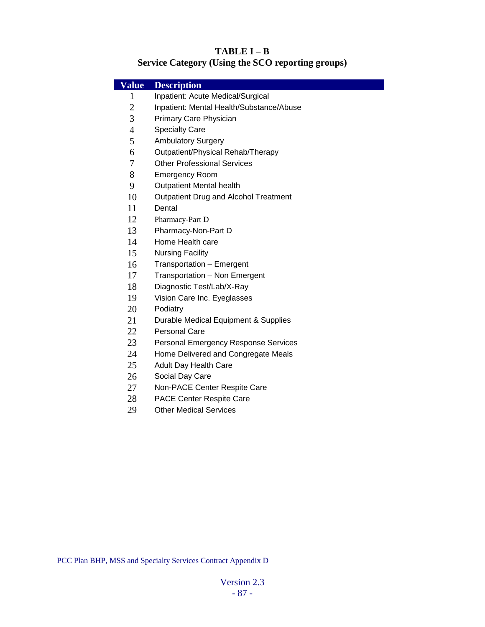#### **TABLE I – B**

# **Service Category (Using the SCO reporting groups)**

| <b>Value</b>   | <b>Description</b>                           |  |
|----------------|----------------------------------------------|--|
| $\mathbf{1}$   | Inpatient: Acute Medical/Surgical            |  |
| $\mathbf{2}$   | Inpatient: Mental Health/Substance/Abuse     |  |
| 3              | Primary Care Physician                       |  |
| $\overline{4}$ | <b>Specialty Care</b>                        |  |
| 5              | <b>Ambulatory Surgery</b>                    |  |
| 6              | Outpatient/Physical Rehab/Therapy            |  |
| 7              | <b>Other Professional Services</b>           |  |
| 8              | <b>Emergency Room</b>                        |  |
| 9              | <b>Outpatient Mental health</b>              |  |
| 10             | <b>Outpatient Drug and Alcohol Treatment</b> |  |
| 11             | Dental                                       |  |
| 12             | Pharmacy-Part D                              |  |
| 13             | Pharmacy-Non-Part D                          |  |
| 14             | Home Health care                             |  |
| 15             | <b>Nursing Facility</b>                      |  |
| 16             | Transportation - Emergent                    |  |
| 17             | Transportation - Non Emergent                |  |
| 18             | Diagnostic Test/Lab/X-Ray                    |  |
| 19             | Vision Care Inc. Eyeglasses                  |  |
| 20             | Podiatry                                     |  |
| 21             | Durable Medical Equipment & Supplies         |  |
| 22             | <b>Personal Care</b>                         |  |
| 23             | Personal Emergency Response Services         |  |
| 24             | Home Delivered and Congregate Meals          |  |
| 25             | <b>Adult Day Health Care</b>                 |  |
| 26             | Social Day Care                              |  |
| 27             | Non-PACE Center Respite Care                 |  |
| 28             | PACE Center Respite Care                     |  |
| 29             | <b>Other Medical Services</b>                |  |
|                |                                              |  |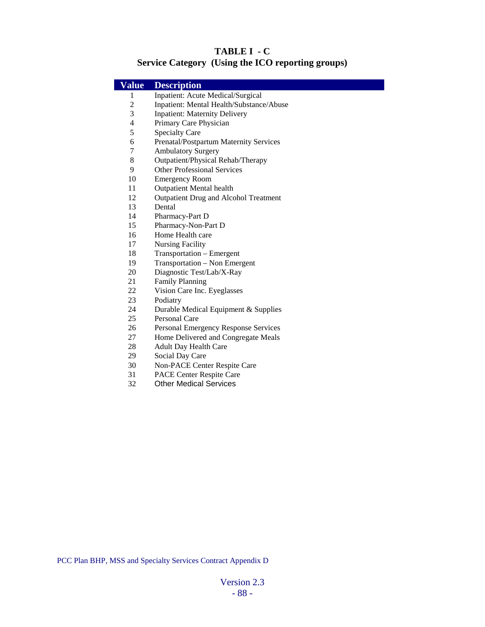### **TABLE I - C Service Category (Using the ICO reporting groups)**

| <b>Value</b>             | <b>Description</b>                           |  |
|--------------------------|----------------------------------------------|--|
| 1                        | Inpatient: Acute Medical/Surgical            |  |
| $\overline{c}$           | Inpatient: Mental Health/Substance/Abuse     |  |
| 3                        | <b>Inpatient: Maternity Delivery</b>         |  |
| $\overline{\mathcal{L}}$ | Primary Care Physician                       |  |
| 5                        | <b>Specialty Care</b>                        |  |
| 6                        | Prenatal/Postpartum Maternity Services       |  |
| $\overline{7}$           | <b>Ambulatory Surgery</b>                    |  |
| 8                        | Outpatient/Physical Rehab/Therapy            |  |
| 9                        | <b>Other Professional Services</b>           |  |
| 10                       | <b>Emergency Room</b>                        |  |
| 11                       | <b>Outpatient Mental health</b>              |  |
| 12                       | <b>Outpatient Drug and Alcohol Treatment</b> |  |
| 13                       | Dental                                       |  |
| 14                       | Pharmacy-Part D                              |  |
| 15                       | Pharmacy-Non-Part D                          |  |
| 16                       | Home Health care                             |  |
| 17                       | <b>Nursing Facility</b>                      |  |
| 18                       | Transportation - Emergent                    |  |
| 19                       | Transportation - Non Emergent                |  |
| 20                       | Diagnostic Test/Lab/X-Ray                    |  |
| 21                       | <b>Family Planning</b>                       |  |
| 22                       | Vision Care Inc. Eyeglasses                  |  |
| 23                       | Podiatry                                     |  |
| 24                       | Durable Medical Equipment & Supplies         |  |
| 25                       | Personal Care                                |  |
| 26                       | Personal Emergency Response Services         |  |
| 27                       | Home Delivered and Congregate Meals          |  |
| 28                       | <b>Adult Day Health Care</b>                 |  |
| 29                       | Social Day Care                              |  |
| 30                       | <b>Non-PACE Center Respite Care</b>          |  |
| 31                       | <b>PACE Center Respite Care</b>              |  |
| 32                       | <b>Other Medical Services</b>                |  |
|                          |                                              |  |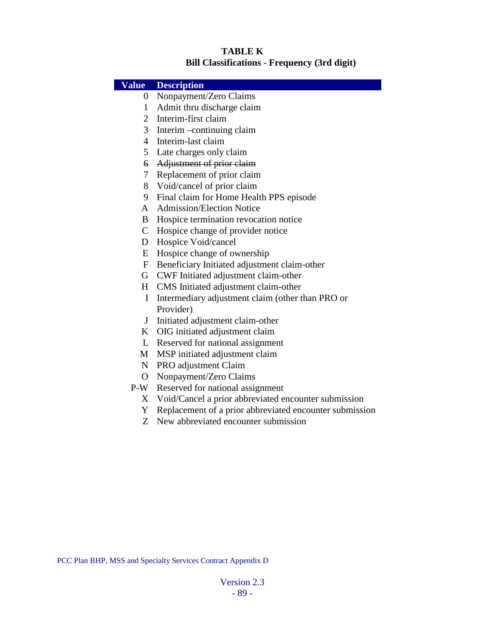#### **TABLE K Bill Classifications - Frequency (3rd digit)**

#### **Value Description** 0 Nonpayment/Zero Claims 1 Admit thru discharge claim 2 Interim-first claim 3 Interim –continuing claim 4 Interim-last claim 5 Late charges only claim 6 Adjustment of prior claim 7 Replacement of prior claim 8 Void/cancel of prior claim 9 Final claim for Home Health PPS episode A Admission/Election Notice B Hospice termination revocation notice C Hospice change of provider notice D Hospice Void/cancel E Hospice change of ownership F Beneficiary Initiated adjustment claim-other

- G CWF Initiated adjustment claim-other
- H CMS Initiated adjustment claim-other
- I Intermediary adjustment claim (other than PRO or Provider)
- J Initiated adjustment claim-other
- K OIG initiated adjustment claim
- L Reserved for national assignment
- M MSP initiated adjustment claim
- N PRO adjustment Claim
- O Nonpayment/Zero Claims
- P-W Reserved for national assignment
	- X Void/Cancel a prior abbreviated encounter submission
	- Y Replacement of a prior abbreviated encounter submission
	- Z New abbreviated encounter submission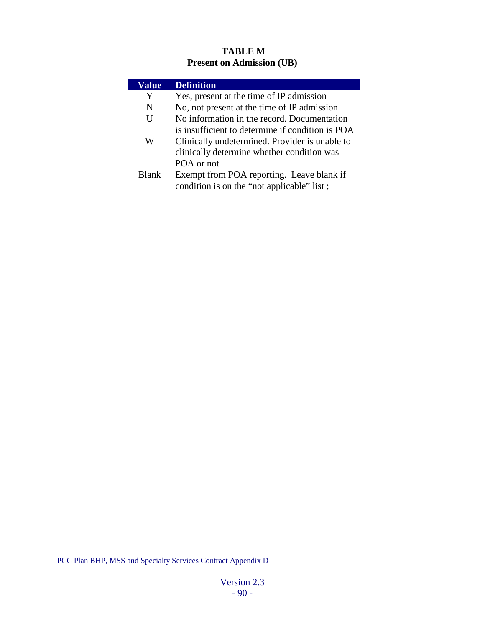### **TABLE M Present on Admission (UB)**

| <b>Value</b> | <b>Definition</b>                                |
|--------------|--------------------------------------------------|
| Y            | Yes, present at the time of IP admission         |
| N            | No, not present at the time of IP admission      |
| U            | No information in the record. Documentation      |
|              | is insufficient to determine if condition is POA |
| W            | Clinically undetermined. Provider is unable to   |
|              | clinically determine whether condition was       |
|              | POA or not                                       |
| <b>Blank</b> | Exempt from POA reporting. Leave blank if        |
|              | condition is on the "not applicable" list;       |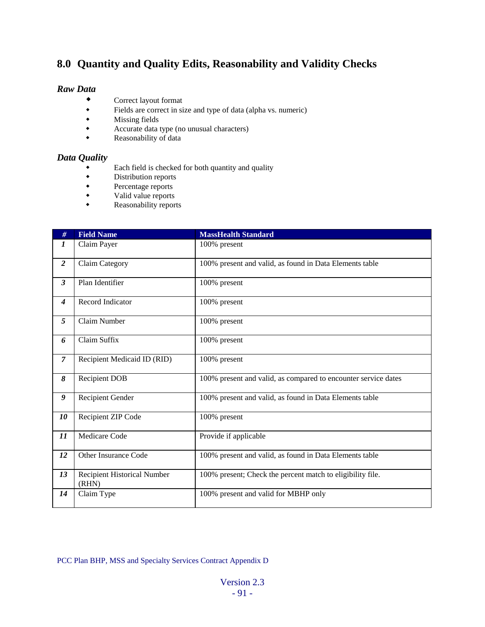# **8.0 Quantity and Quality Edits, Reasonability and Validity Checks**

#### *Raw Data*

- Correct layout format<br>• Fields are correct in si
- Fields are correct in size and type of data (alpha vs. numeric)<br>Missing fields
- Missing fields<br>• Accurate data
- ◆ Accurate data type (no unusual characters)<br>◆ Reasonability of data
- Reasonability of data

#### *Data Quality*

- Each field is checked for both quantity and quality
- Distribution reports<br>• Percentage reports
- Percentage reports<br>• Valid value reports
- Valid value reports<br>• Reasonability repor
- Reasonability reports

| #                       | <b>Field Name</b>                    | <b>MassHealth Standard</b>                                     |
|-------------------------|--------------------------------------|----------------------------------------------------------------|
| $\boldsymbol{l}$        | Claim Payer                          | 100% present                                                   |
| $\overline{2}$          | Claim Category                       | 100% present and valid, as found in Data Elements table        |
| $\overline{\mathbf{3}}$ | Plan Identifier                      | 100% present                                                   |
| $\boldsymbol{4}$        | Record Indicator                     | 100% present                                                   |
| 5                       | Claim Number                         | 100% present                                                   |
| 6                       | Claim Suffix                         | 100% present                                                   |
| $\overline{7}$          | Recipient Medicaid ID (RID)          | 100% present                                                   |
| 8                       | <b>Recipient DOB</b>                 | 100% present and valid, as compared to encounter service dates |
| 9                       | Recipient Gender                     | 100% present and valid, as found in Data Elements table        |
| 10                      | Recipient ZIP Code                   | 100% present                                                   |
| 11                      | Medicare Code                        | Provide if applicable                                          |
| 12                      | Other Insurance Code                 | 100% present and valid, as found in Data Elements table        |
| 13                      | Recipient Historical Number<br>(RHN) | 100% present; Check the percent match to eligibility file.     |
| 14                      | Claim Type                           | 100% present and valid for MBHP only                           |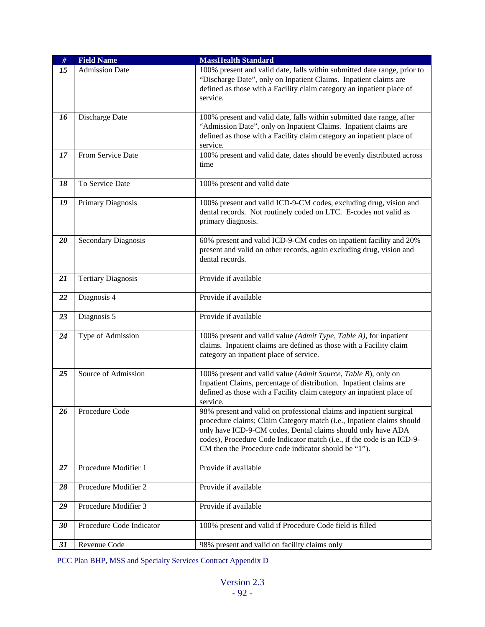| $\#$ | <b>Field Name</b>          | <b>MassHealth Standard</b>                                                                                                                                                                                                                                                                                                                     |
|------|----------------------------|------------------------------------------------------------------------------------------------------------------------------------------------------------------------------------------------------------------------------------------------------------------------------------------------------------------------------------------------|
| 15   | <b>Admission Date</b>      | 100% present and valid date, falls within submitted date range, prior to<br>"Discharge Date", only on Inpatient Claims. Inpatient claims are<br>defined as those with a Facility claim category an inpatient place of<br>service.                                                                                                              |
| 16   | Discharge Date             | 100% present and valid date, falls within submitted date range, after<br>"Admission Date", only on Inpatient Claims. Inpatient claims are<br>defined as those with a Facility claim category an inpatient place of<br>service.                                                                                                                 |
| 17   | From Service Date          | 100% present and valid date, dates should be evenly distributed across<br>time                                                                                                                                                                                                                                                                 |
| 18   | To Service Date            | 100% present and valid date                                                                                                                                                                                                                                                                                                                    |
| 19   | Primary Diagnosis          | 100% present and valid ICD-9-CM codes, excluding drug, vision and<br>dental records. Not routinely coded on LTC. E-codes not valid as<br>primary diagnosis.                                                                                                                                                                                    |
| 20   | <b>Secondary Diagnosis</b> | 60% present and valid ICD-9-CM codes on inpatient facility and 20%<br>present and valid on other records, again excluding drug, vision and<br>dental records.                                                                                                                                                                                  |
| 21   | <b>Tertiary Diagnosis</b>  | Provide if available                                                                                                                                                                                                                                                                                                                           |
| 22   | Diagnosis 4                | Provide if available                                                                                                                                                                                                                                                                                                                           |
| 23   | Diagnosis 5                | Provide if available                                                                                                                                                                                                                                                                                                                           |
| 24   | Type of Admission          | 100% present and valid value (Admit Type, Table A), for inpatient<br>claims. Inpatient claims are defined as those with a Facility claim<br>category an inpatient place of service.                                                                                                                                                            |
| 25   | Source of Admission        | 100% present and valid value (Admit Source, Table B), only on<br>Inpatient Claims, percentage of distribution. Inpatient claims are<br>defined as those with a Facility claim category an inpatient place of<br>service.                                                                                                                       |
| 26   | Procedure Code             | 98% present and valid on professional claims and inpatient surgical<br>procedure claims; Claim Category match (i.e., Inpatient claims should<br>only have ICD-9-CM codes, Dental claims should only have ADA<br>codes), Procedure Code Indicator match (i.e., if the code is an ICD-9-<br>CM then the Procedure code indicator should be "1"). |
| 27   | Procedure Modifier 1       | Provide if available                                                                                                                                                                                                                                                                                                                           |
| 28   | Procedure Modifier 2       | Provide if available                                                                                                                                                                                                                                                                                                                           |
| 29   | Procedure Modifier 3       | Provide if available                                                                                                                                                                                                                                                                                                                           |
| 30   | Procedure Code Indicator   | 100% present and valid if Procedure Code field is filled                                                                                                                                                                                                                                                                                       |
| 31   | Revenue Code               | 98% present and valid on facility claims only                                                                                                                                                                                                                                                                                                  |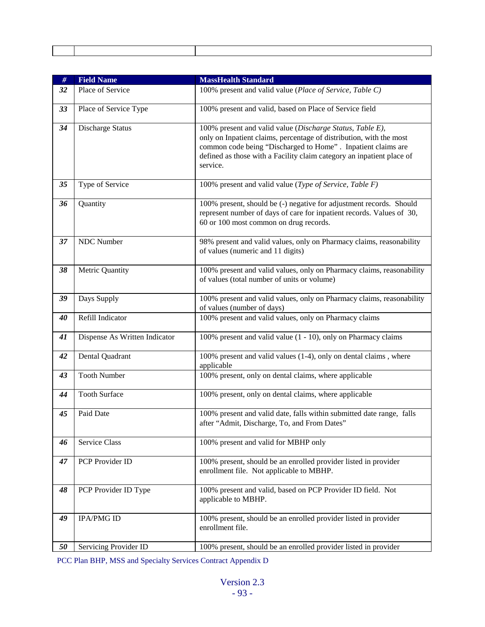| $\#$ | <b>Field Name</b>             | <b>MassHealth Standard</b>                                                                                                                                                                                                                                                            |
|------|-------------------------------|---------------------------------------------------------------------------------------------------------------------------------------------------------------------------------------------------------------------------------------------------------------------------------------|
| 32   | Place of Service              | 100% present and valid value (Place of Service, Table C)                                                                                                                                                                                                                              |
| 33   | Place of Service Type         | 100% present and valid, based on Place of Service field                                                                                                                                                                                                                               |
| 34   | Discharge Status              | 100% present and valid value (Discharge Status, Table E),<br>only on Inpatient claims, percentage of distribution, with the most<br>common code being "Discharged to Home". Inpatient claims are<br>defined as those with a Facility claim category an inpatient place of<br>service. |
| 35   | Type of Service               | 100% present and valid value (Type of Service, Table F)                                                                                                                                                                                                                               |
| 36   | Quantity                      | 100% present, should be (-) negative for adjustment records. Should<br>represent number of days of care for inpatient records. Values of 30,<br>60 or 100 most common on drug records.                                                                                                |
| 37   | <b>NDC</b> Number             | 98% present and valid values, only on Pharmacy claims, reasonability<br>of values (numeric and 11 digits)                                                                                                                                                                             |
| 38   | Metric Quantity               | 100% present and valid values, only on Pharmacy claims, reasonability<br>of values (total number of units or volume)                                                                                                                                                                  |
| 39   | Days Supply                   | 100% present and valid values, only on Pharmacy claims, reasonability<br>of values (number of days)                                                                                                                                                                                   |
| 40   | Refill Indicator              | 100% present and valid values, only on Pharmacy claims                                                                                                                                                                                                                                |
| 41   | Dispense As Written Indicator | 100% present and valid value (1 - 10), only on Pharmacy claims                                                                                                                                                                                                                        |
| 42   | Dental Quadrant               | 100% present and valid values (1-4), only on dental claims, where<br>applicable                                                                                                                                                                                                       |
| 43   | <b>Tooth Number</b>           | 100% present, only on dental claims, where applicable                                                                                                                                                                                                                                 |
| 44   | <b>Tooth Surface</b>          | 100% present, only on dental claims, where applicable                                                                                                                                                                                                                                 |
| 45   | Paid Date                     | 100% present and valid date, falls within submitted date range, falls<br>after "Admit, Discharge, To, and From Dates"                                                                                                                                                                 |
| 46   | Service Class                 | 100% present and valid for MBHP only                                                                                                                                                                                                                                                  |
| 47   | PCP Provider ID               | 100% present, should be an enrolled provider listed in provider<br>enrollment file. Not applicable to MBHP.                                                                                                                                                                           |
| 48   | PCP Provider ID Type          | 100% present and valid, based on PCP Provider ID field. Not<br>applicable to MBHP.                                                                                                                                                                                                    |
| 49   | <b>IPA/PMG ID</b>             | 100% present, should be an enrolled provider listed in provider<br>enrollment file.                                                                                                                                                                                                   |
| 50   | Servicing Provider ID         | 100% present, should be an enrolled provider listed in provider                                                                                                                                                                                                                       |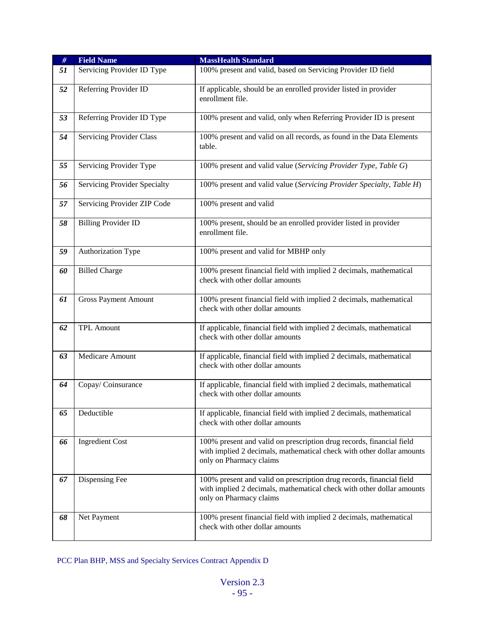| $\#$ | <b>Field Name</b>               | <b>MassHealth Standard</b>                                                                                                                                               |
|------|---------------------------------|--------------------------------------------------------------------------------------------------------------------------------------------------------------------------|
| 51   | Servicing Provider ID Type      | 100% present and valid, based on Servicing Provider ID field                                                                                                             |
| 52   | Referring Provider ID           | If applicable, should be an enrolled provider listed in provider<br>enrollment file.                                                                                     |
| 53   | Referring Provider ID Type      | 100% present and valid, only when Referring Provider ID is present                                                                                                       |
| 54   | <b>Servicing Provider Class</b> | 100% present and valid on all records, as found in the Data Elements<br>table.                                                                                           |
| 55   | Servicing Provider Type         | 100% present and valid value (Servicing Provider Type, Table G)                                                                                                          |
| 56   | Servicing Provider Specialty    | 100% present and valid value (Servicing Provider Specialty, Table H)                                                                                                     |
| 57   | Servicing Provider ZIP Code     | 100% present and valid                                                                                                                                                   |
| 58   | <b>Billing Provider ID</b>      | 100% present, should be an enrolled provider listed in provider<br>enrollment file.                                                                                      |
| 59   | Authorization Type              | 100% present and valid for MBHP only                                                                                                                                     |
| 60   | <b>Billed Charge</b>            | 100% present financial field with implied 2 decimals, mathematical<br>check with other dollar amounts                                                                    |
| 61   | <b>Gross Payment Amount</b>     | 100% present financial field with implied 2 decimals, mathematical<br>check with other dollar amounts                                                                    |
| 62   | <b>TPL Amount</b>               | If applicable, financial field with implied 2 decimals, mathematical<br>check with other dollar amounts                                                                  |
| 63   | Medicare Amount                 | If applicable, financial field with implied 2 decimals, mathematical<br>check with other dollar amounts                                                                  |
| 64   | Copay/Coinsurance               | If applicable, financial field with implied 2 decimals, mathematical<br>check with other dollar amounts                                                                  |
| 65   | Deductible                      | If applicable, financial field with implied 2 decimals, mathematical<br>check with other dollar amounts                                                                  |
| 66   | <b>Ingredient Cost</b>          | 100% present and valid on prescription drug records, financial field<br>with implied 2 decimals, mathematical check with other dollar amounts<br>only on Pharmacy claims |
| 67   | Dispensing Fee                  | 100% present and valid on prescription drug records, financial field<br>with implied 2 decimals, mathematical check with other dollar amounts<br>only on Pharmacy claims |
| 68   | Net Payment                     | 100% present financial field with implied 2 decimals, mathematical<br>check with other dollar amounts                                                                    |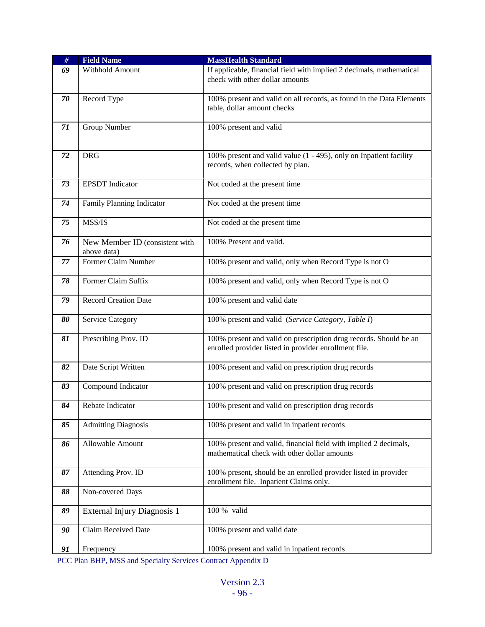| $\#$ | <b>Field Name</b>                             | <b>MassHealth Standard</b>                                                                                                 |
|------|-----------------------------------------------|----------------------------------------------------------------------------------------------------------------------------|
| 69   | Withhold Amount                               | If applicable, financial field with implied 2 decimals, mathematical<br>check with other dollar amounts                    |
| 70   | Record Type                                   | 100% present and valid on all records, as found in the Data Elements<br>table, dollar amount checks                        |
| 71   | Group Number                                  | 100% present and valid                                                                                                     |
| 72   | <b>DRG</b>                                    | 100% present and valid value (1 - 495), only on Inpatient facility<br>records, when collected by plan.                     |
| 73   | <b>EPSDT</b> Indicator                        | Not coded at the present time                                                                                              |
| 74   | Family Planning Indicator                     | Not coded at the present time                                                                                              |
| 75   | MSS/IS                                        | Not coded at the present time                                                                                              |
| 76   | New Member ID (consistent with<br>above data) | 100% Present and valid.                                                                                                    |
| 77   | Former Claim Number                           | 100% present and valid, only when Record Type is not O                                                                     |
| 78   | Former Claim Suffix                           | 100% present and valid, only when Record Type is not O                                                                     |
| 79   | <b>Record Creation Date</b>                   | 100% present and valid date                                                                                                |
| 80   | <b>Service Category</b>                       | 100% present and valid (Service Category, Table I)                                                                         |
| 81   | Prescribing Prov. ID                          | 100% present and valid on prescription drug records. Should be an<br>enrolled provider listed in provider enrollment file. |
| 82   | Date Script Written                           | 100% present and valid on prescription drug records                                                                        |
| 83   | Compound Indicator                            | 100% present and valid on prescription drug records                                                                        |
| 84   | Rebate Indicator                              | 100% present and valid on prescription drug records                                                                        |
| 85   | <b>Admitting Diagnosis</b>                    | 100% present and valid in inpatient records                                                                                |
| 86   | Allowable Amount                              | 100% present and valid, financial field with implied 2 decimals,<br>mathematical check with other dollar amounts           |
| 87   | Attending Prov. ID                            | 100% present, should be an enrolled provider listed in provider<br>enrollment file. Inpatient Claims only.                 |
| 88   | Non-covered Days                              |                                                                                                                            |
| 89   | External Injury Diagnosis 1                   | 100 % valid                                                                                                                |
| 90   | Claim Received Date                           | 100% present and valid date                                                                                                |
| 91   | Frequency                                     | 100% present and valid in inpatient records                                                                                |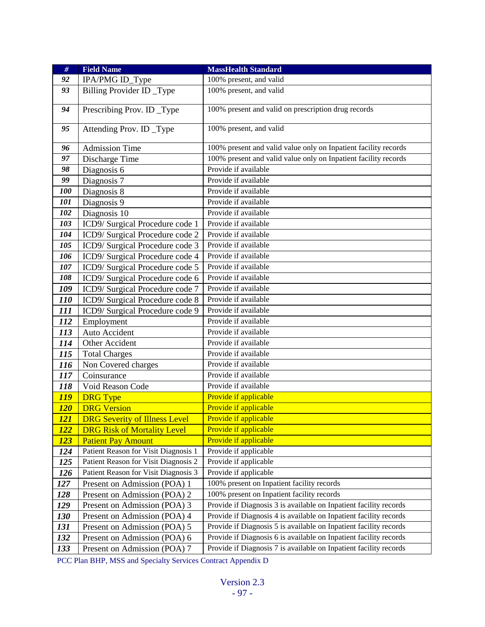| $#$         | <b>Field Name</b>                    | <b>MassHealth Standard</b>                                        |
|-------------|--------------------------------------|-------------------------------------------------------------------|
| 92          | IPA/PMG ID_Type                      | 100% present, and valid                                           |
| 93          | Billing Provider ID_Type             | 100% present, and valid                                           |
| 94          | Prescribing Prov. ID_Type            | 100% present and valid on prescription drug records               |
| 95          | Attending Prov. ID_Type              | 100% present, and valid                                           |
| 96          | <b>Admission Time</b>                | 100% present and valid value only on Inpatient facility records   |
| 97          | Discharge Time                       | 100% present and valid value only on Inpatient facility records   |
| 98          | Diagnosis 6                          | Provide if available                                              |
| 99          | Diagnosis 7                          | Provide if available                                              |
| 100         | Diagnosis 8                          | Provide if available                                              |
| 101         | Diagnosis 9                          | Provide if available                                              |
| 102         | Diagnosis 10                         | Provide if available                                              |
| 103         | ICD9/ Surgical Procedure code 1      | Provide if available                                              |
| 104         | ICD9/Surgical Procedure code 2       | Provide if available                                              |
| 105         | ICD9/Surgical Procedure code 3       | Provide if available                                              |
| 106         | ICD9/ Surgical Procedure code 4      | Provide if available                                              |
| 107         | ICD9/Surgical Procedure code 5       | Provide if available                                              |
| 108         | ICD9/Surgical Procedure code 6       | Provide if available                                              |
| 109         | ICD9/Surgical Procedure code 7       | Provide if available                                              |
| <i>110</i>  | ICD9/Surgical Procedure code 8       | Provide if available                                              |
| 111         | ICD9/ Surgical Procedure code 9      | Provide if available                                              |
| 112         | Employment                           | Provide if available                                              |
| 113         | Auto Accident                        | Provide if available                                              |
| 114         | Other Accident                       | Provide if available                                              |
| 115         | <b>Total Charges</b>                 | Provide if available                                              |
| 116         | Non Covered charges                  | Provide if available                                              |
| 117         | Coinsurance                          | Provide if available                                              |
| 118         | Void Reason Code                     | Provide if available                                              |
| <b>119</b>  | <b>DRG</b> Type                      | Provide if applicable                                             |
| <u>120</u>  | <b>DRG Version</b>                   | Provide if applicable                                             |
| <u>121</u>  | <b>DRG Severity of Illness Level</b> | Provide if applicable                                             |
| <u> 122</u> | <b>DRG Risk of Mortality Level</b>   | Provide if applicable                                             |
| <u>123</u>  | <b>Patient Pay Amount</b>            | Provide if applicable                                             |
| 124         | Patient Reason for Visit Diagnosis 1 | Provide if applicable                                             |
| 125         | Patient Reason for Visit Diagnosis 2 | Provide if applicable                                             |
| 126         | Patient Reason for Visit Diagnosis 3 | Provide if applicable                                             |
| 127         | Present on Admission (POA) 1         | 100% present on Inpatient facility records                        |
| 128         | Present on Admission (POA) 2         | 100% present on Inpatient facility records                        |
| 129         | Present on Admission (POA) 3         | Provide if Diagnosis 3 is available on Inpatient facility records |
| <b>130</b>  | Present on Admission (POA) 4         | Provide if Diagnosis 4 is available on Inpatient facility records |
| 131         | Present on Admission (POA) 5         | Provide if Diagnosis 5 is available on Inpatient facility records |
| 132         | Present on Admission (POA) 6         | Provide if Diagnosis 6 is available on Inpatient facility records |
| 133         | Present on Admission (POA) 7         | Provide if Diagnosis 7 is available on Inpatient facility records |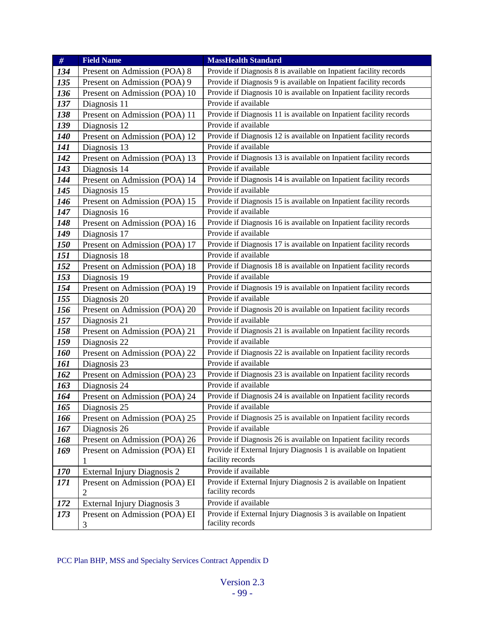| #          | <b>Field Name</b>             | <b>MassHealth Standard</b>                                                           |
|------------|-------------------------------|--------------------------------------------------------------------------------------|
| 134        | Present on Admission (POA) 8  | Provide if Diagnosis 8 is available on Inpatient facility records                    |
| 135        | Present on Admission (POA) 9  | Provide if Diagnosis 9 is available on Inpatient facility records                    |
| 136        | Present on Admission (POA) 10 | Provide if Diagnosis 10 is available on Inpatient facility records                   |
| 137        | Diagnosis 11                  | Provide if available                                                                 |
| 138        | Present on Admission (POA) 11 | Provide if Diagnosis 11 is available on Inpatient facility records                   |
| 139        | Diagnosis 12                  | Provide if available                                                                 |
| <b>140</b> | Present on Admission (POA) 12 | Provide if Diagnosis 12 is available on Inpatient facility records                   |
| 141        | Diagnosis 13                  | Provide if available                                                                 |
| 142        | Present on Admission (POA) 13 | Provide if Diagnosis 13 is available on Inpatient facility records                   |
| 143        | Diagnosis 14                  | Provide if available                                                                 |
| 144        | Present on Admission (POA) 14 | Provide if Diagnosis 14 is available on Inpatient facility records                   |
| 145        | Diagnosis 15                  | Provide if available                                                                 |
| 146        | Present on Admission (POA) 15 | Provide if Diagnosis 15 is available on Inpatient facility records                   |
| 147        | Diagnosis 16                  | Provide if available                                                                 |
| 148        | Present on Admission (POA) 16 | Provide if Diagnosis 16 is available on Inpatient facility records                   |
| 149        | Diagnosis 17                  | Provide if available                                                                 |
| <b>150</b> | Present on Admission (POA) 17 | Provide if Diagnosis 17 is available on Inpatient facility records                   |
| 151        | Diagnosis 18                  | Provide if available                                                                 |
| 152        | Present on Admission (POA) 18 | Provide if Diagnosis 18 is available on Inpatient facility records                   |
| 153        | Diagnosis 19                  | Provide if available                                                                 |
| 154        | Present on Admission (POA) 19 | Provide if Diagnosis 19 is available on Inpatient facility records                   |
| 155        | Diagnosis 20                  | Provide if available                                                                 |
| 156        | Present on Admission (POA) 20 | Provide if Diagnosis 20 is available on Inpatient facility records                   |
| 157        | Diagnosis 21                  | Provide if available                                                                 |
| 158        | Present on Admission (POA) 21 | Provide if Diagnosis 21 is available on Inpatient facility records                   |
| 159        | Diagnosis 22                  | Provide if available                                                                 |
| <b>160</b> | Present on Admission (POA) 22 | Provide if Diagnosis 22 is available on Inpatient facility records                   |
| 161        | Diagnosis 23                  | Provide if available                                                                 |
| 162        | Present on Admission (POA) 23 | Provide if Diagnosis 23 is available on Inpatient facility records                   |
| 163        | Diagnosis 24                  | Provide if available                                                                 |
| 164        | Present on Admission (POA) 24 | Provide if Diagnosis 24 is available on Inpatient facility records                   |
| 165        | Diagnosis 25                  | Provide if available                                                                 |
| 166        | Present on Admission (POA) 25 | Provide if Diagnosis 25 is available on Inpatient facility records                   |
| 167        | Diagnosis 26                  | Provide if available                                                                 |
| 168        | Present on Admission (POA) 26 | Provide if Diagnosis 26 is available on Inpatient facility records                   |
| 169        | Present on Admission (POA) EI | Provide if External Injury Diagnosis 1 is available on Inpatient                     |
|            | 1                             | facility records                                                                     |
| <b>170</b> | External Injury Diagnosis 2   | Provide if available                                                                 |
| 171        | Present on Admission (POA) EI | Provide if External Injury Diagnosis 2 is available on Inpatient                     |
|            | 2                             | facility records                                                                     |
| 172        | External Injury Diagnosis 3   | Provide if available                                                                 |
| 173        | Present on Admission (POA) EI | Provide if External Injury Diagnosis 3 is available on Inpatient<br>facility records |
|            | 3                             |                                                                                      |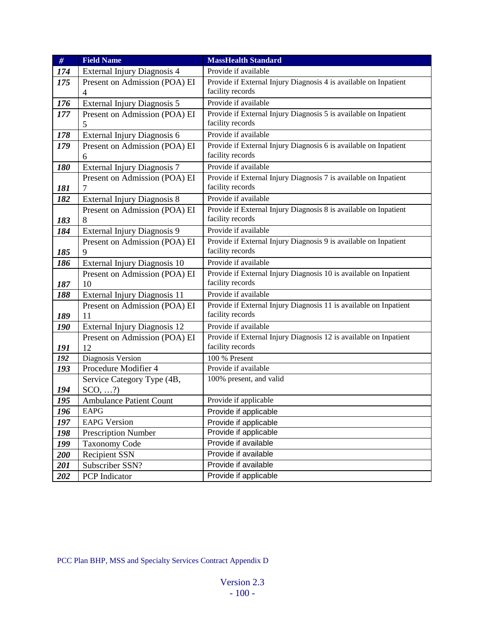| #          | <b>Field Name</b>                         | <b>MassHealth Standard</b>                                                            |
|------------|-------------------------------------------|---------------------------------------------------------------------------------------|
| 174        | External Injury Diagnosis 4               | Provide if available                                                                  |
| 175        | Present on Admission (POA) EI             | Provide if External Injury Diagnosis 4 is available on Inpatient                      |
|            | 4                                         | facility records                                                                      |
| 176        | External Injury Diagnosis 5               | Provide if available                                                                  |
| 177        | Present on Admission (POA) EI             | Provide if External Injury Diagnosis 5 is available on Inpatient                      |
|            | 5                                         | facility records                                                                      |
| 178        | External Injury Diagnosis 6               | Provide if available                                                                  |
| 179        | Present on Admission (POA) EI             | Provide if External Injury Diagnosis 6 is available on Inpatient                      |
|            | 6                                         | facility records                                                                      |
| 180        | <b>External Injury Diagnosis 7</b>        | Provide if available                                                                  |
|            | Present on Admission (POA) EI             | Provide if External Injury Diagnosis 7 is available on Inpatient                      |
| 181        | 7                                         | facility records                                                                      |
| 182        | <b>External Injury Diagnosis 8</b>        | Provide if available                                                                  |
|            | Present on Admission (POA) EI             | Provide if External Injury Diagnosis 8 is available on Inpatient                      |
| 183        | 8                                         | facility records                                                                      |
| 184        | External Injury Diagnosis 9               | Provide if available                                                                  |
|            | Present on Admission (POA) EI             | Provide if External Injury Diagnosis 9 is available on Inpatient                      |
| 185        | 9                                         | facility records                                                                      |
| 186        | External Injury Diagnosis 10              | Provide if available                                                                  |
|            | Present on Admission (POA) EI             | Provide if External Injury Diagnosis 10 is available on Inpatient                     |
| 187        | 10                                        | facility records                                                                      |
| 188        | External Injury Diagnosis 11              | Provide if available                                                                  |
|            | Present on Admission (POA) EI             | Provide if External Injury Diagnosis 11 is available on Inpatient                     |
| 189        | 11                                        | facility records                                                                      |
| 190        | External Injury Diagnosis 12              | Provide if available                                                                  |
|            | Present on Admission (POA) EI             | Provide if External Injury Diagnosis 12 is available on Inpatient<br>facility records |
| 191        | 12                                        |                                                                                       |
| 192<br>193 | Diagnosis Version<br>Procedure Modifier 4 | 100 % Present<br>Provide if available                                                 |
|            | Service Category Type (4B,                | 100% present, and valid                                                               |
| 194        | $SCO, \ldots$ ?                           |                                                                                       |
| 195        | <b>Ambulance Patient Count</b>            | Provide if applicable                                                                 |
| 196        | EAPG                                      |                                                                                       |
| 197        | <b>EAPG Version</b>                       | Provide if applicable                                                                 |
| 198        | <b>Prescription Number</b>                | Provide if applicable<br>Provide if applicable                                        |
| 199        | <b>Taxonomy Code</b>                      | Provide if available                                                                  |
| 200        | <b>Recipient SSN</b>                      | Provide if available                                                                  |
|            |                                           |                                                                                       |
|            |                                           |                                                                                       |
| 201<br>202 | Subscriber SSN?<br>PCP Indicator          | Provide if available<br>Provide if applicable                                         |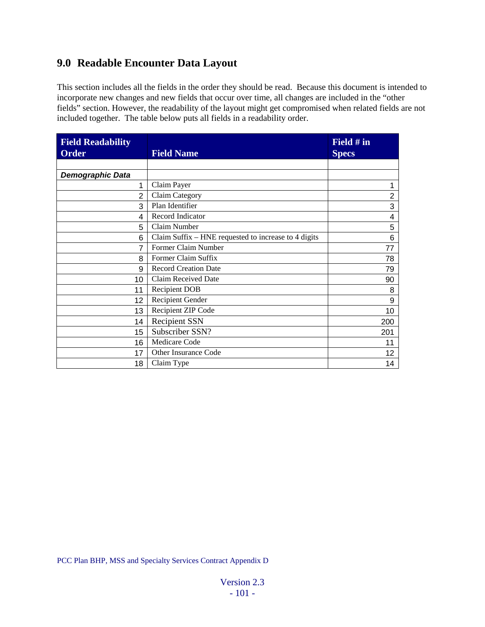# **9.0 Readable Encounter Data Layout**

This section includes all the fields in the order they should be read. Because this document is intended to incorporate new changes and new fields that occur over time, all changes are included in the "other fields" section. However, the readability of the layout might get compromised when related fields are not included together. The table below puts all fields in a readability order.

| <b>Field Readability</b><br><b>Order</b> | <b>Field Name</b>                                    | Field # in<br><b>Specs</b> |
|------------------------------------------|------------------------------------------------------|----------------------------|
|                                          |                                                      |                            |
| Demographic Data                         |                                                      |                            |
| 1                                        | Claim Payer                                          | 1                          |
| $\overline{2}$                           | Claim Category                                       | 2                          |
| 3                                        | Plan Identifier                                      | 3                          |
| 4                                        | Record Indicator                                     | 4                          |
| 5                                        | Claim Number                                         | 5                          |
| 6                                        | Claim Suffix – HNE requested to increase to 4 digits | 6                          |
| 7                                        | Former Claim Number                                  | 77                         |
| 8                                        | Former Claim Suffix                                  | 78                         |
| 9                                        | <b>Record Creation Date</b>                          | 79                         |
| 10                                       | Claim Received Date                                  | 90                         |
| 11                                       | <b>Recipient DOB</b>                                 | 8                          |
| 12                                       | Recipient Gender                                     | 9                          |
| 13                                       | Recipient ZIP Code                                   | 10                         |
| 14                                       | <b>Recipient SSN</b>                                 | 200                        |
| 15                                       | Subscriber SSN?                                      | 201                        |
| 16                                       | Medicare Code                                        | 11                         |
| 17                                       | Other Insurance Code                                 | 12                         |
| 18                                       | Claim Type                                           | 14                         |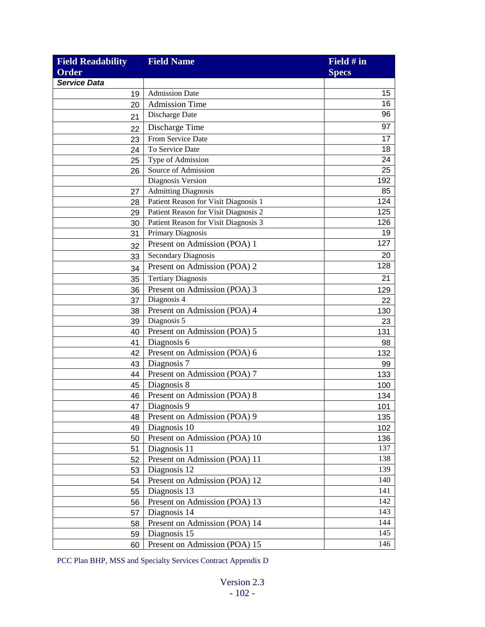| <b>Field Readability</b> | <b>Field Name</b>                    | Field # in   |
|--------------------------|--------------------------------------|--------------|
| Order                    |                                      | <b>Specs</b> |
| <b>Service Data</b>      |                                      |              |
| 19                       | <b>Admission Date</b>                | 15           |
| 20                       | <b>Admission Time</b>                | 16           |
| 21                       | Discharge Date                       | 96           |
| 22                       | Discharge Time                       | 97           |
| 23                       | From Service Date                    | 17           |
| 24                       | To Service Date                      | 18           |
| 25                       | Type of Admission                    | 24           |
| 26                       | Source of Admission                  | 25           |
|                          | Diagnosis Version                    | 192          |
| 27                       | <b>Admitting Diagnosis</b>           | 85           |
| 28                       | Patient Reason for Visit Diagnosis 1 | 124          |
| 29                       | Patient Reason for Visit Diagnosis 2 | 125          |
| 30                       | Patient Reason for Visit Diagnosis 3 | 126          |
| 31                       | Primary Diagnosis                    | 19           |
| 32                       | Present on Admission (POA) 1         | 127          |
| 33                       | <b>Secondary Diagnosis</b>           | 20           |
| 34                       | Present on Admission (POA) 2         | 128          |
| 35                       | <b>Tertiary Diagnosis</b>            | 21           |
| 36                       | Present on Admission (POA) 3         | 129          |
| 37                       | Diagnosis 4                          | 22           |
| 38                       | Present on Admission (POA) 4         | 130          |
| 39                       | Diagnosis 5                          | 23           |
| 40                       | Present on Admission (POA) 5         | 131          |
| 41                       | Diagnosis 6                          | 98           |
| 42                       | Present on Admission (POA) 6         | 132          |
| 43                       | Diagnosis 7                          | 99           |
| 44                       | Present on Admission (POA) 7         | 133          |
| 45                       | Diagnosis 8                          | 100          |
| 46                       | Present on Admission (POA) 8         | 134          |
| 47                       | Diagnosis 9                          | 101          |
| 48                       | Present on Admission (POA) 9         | 135          |
| 49                       | Diagnosis 10                         | 102          |
| 50                       | Present on Admission (POA) 10        | 136          |
| 51                       | Diagnosis 11                         | 137          |
| 52                       | Present on Admission (POA) 11        | 138          |
| 53                       | Diagnosis 12                         | 139          |
| 54                       | Present on Admission (POA) 12        | 140          |
| 55                       | Diagnosis 13                         | 141          |
| 56                       | Present on Admission (POA) 13        | 142          |
| 57                       | Diagnosis 14                         | 143          |
| 58                       | Present on Admission (POA) 14        | 144          |
| 59                       | Diagnosis 15                         | 145          |
| 60                       | Present on Admission (POA) 15        | 146          |
|                          |                                      |              |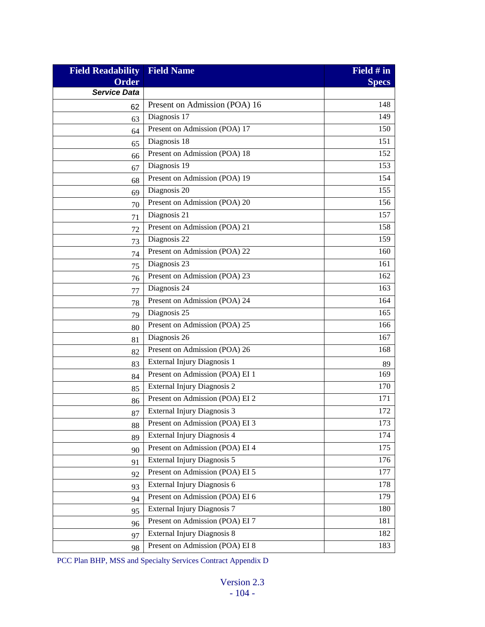| <b>Field Readability</b> | <b>Field Name</b>                  | Field # in   |
|--------------------------|------------------------------------|--------------|
| <b>Order</b>             |                                    | <b>Specs</b> |
| <b>Service Data</b>      |                                    |              |
| 62                       | Present on Admission (POA) 16      | 148          |
| 63                       | Diagnosis 17                       | 149          |
| 64                       | Present on Admission (POA) 17      | 150          |
| 65                       | Diagnosis 18                       | 151          |
| 66                       | Present on Admission (POA) 18      | 152          |
| 67                       | Diagnosis 19                       | 153          |
| 68                       | Present on Admission (POA) 19      | 154          |
| 69                       | Diagnosis 20                       | 155          |
| 70                       | Present on Admission (POA) 20      | 156          |
| 71                       | Diagnosis 21                       | 157          |
| 72                       | Present on Admission (POA) 21      | 158          |
| 73                       | Diagnosis 22                       | 159          |
| 74                       | Present on Admission (POA) 22      | 160          |
| 75                       | Diagnosis 23                       | 161          |
| 76                       | Present on Admission (POA) 23      | 162          |
| 77                       | Diagnosis 24                       | 163          |
| 78                       | Present on Admission (POA) 24      | 164          |
| 79                       | Diagnosis 25                       | 165          |
| 80                       | Present on Admission (POA) 25      | 166          |
| 81                       | Diagnosis 26                       | 167          |
| 82                       | Present on Admission (POA) 26      | 168          |
| 83                       | External Injury Diagnosis 1        | 89           |
| 84                       | Present on Admission (POA) EI 1    | 169          |
| 85                       | External Injury Diagnosis 2        | 170          |
| 86                       | Present on Admission (POA) EI 2    | 171          |
| 87                       | External Injury Diagnosis 3        | 172          |
| 88                       | Present on Admission (POA) EI 3    | 173          |
| 89                       | <b>External Injury Diagnosis 4</b> | 174          |
| 90                       | Present on Admission (POA) EI 4    | 175          |
| 91                       | External Injury Diagnosis 5        | 176          |
| 92                       | Present on Admission (POA) EI 5    | 177          |
| 93                       | External Injury Diagnosis 6        | 178          |
| 94                       | Present on Admission (POA) EI 6    | 179          |
| 95                       | External Injury Diagnosis 7        | 180          |
| 96                       | Present on Admission (POA) EI 7    | 181          |
| 97                       | External Injury Diagnosis 8        | 182          |
| 98                       | Present on Admission (POA) EI 8    | 183          |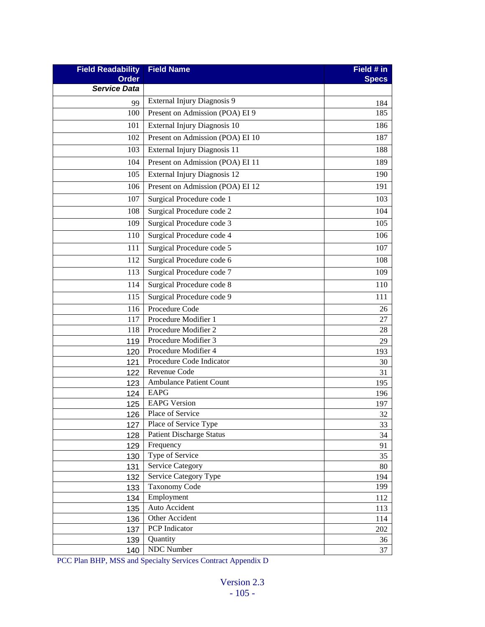| <b>Field Readability</b> | <b>Field Name</b>                | Field # in   |
|--------------------------|----------------------------------|--------------|
| <b>Order</b>             |                                  | <b>Specs</b> |
| <b>Service Data</b>      |                                  |              |
| 99                       | External Injury Diagnosis 9      | 184          |
| 100                      | Present on Admission (POA) EI 9  | 185          |
| 101                      | External Injury Diagnosis 10     | 186          |
| 102                      | Present on Admission (POA) EI 10 | 187          |
| 103                      | External Injury Diagnosis 11     | 188          |
| 104                      | Present on Admission (POA) EI 11 | 189          |
| 105                      | External Injury Diagnosis 12     | 190          |
| 106                      | Present on Admission (POA) EI 12 | 191          |
| 107                      | Surgical Procedure code 1        | 103          |
| 108                      | Surgical Procedure code 2        | 104          |
| 109                      | Surgical Procedure code 3        | 105          |
| 110                      | Surgical Procedure code 4        | 106          |
| 111                      | Surgical Procedure code 5        | 107          |
| 112                      | Surgical Procedure code 6        | 108          |
| 113                      | Surgical Procedure code 7        | 109          |
| 114                      | Surgical Procedure code 8        | 110          |
| 115                      | Surgical Procedure code 9        | 111          |
| 116                      | Procedure Code                   | 26           |
| 117                      | Procedure Modifier 1             | 27           |
| 118                      | Procedure Modifier 2             | 28           |
| 119                      | Procedure Modifier 3             | 29           |
| 120                      | Procedure Modifier 4             | 193          |
| 121                      | Procedure Code Indicator         | 30           |
| 122                      | Revenue Code                     | 31           |
| 123                      | <b>Ambulance Patient Count</b>   | 195          |
| 124                      | <b>EAPG</b>                      | 196          |
| 125                      | <b>EAPG</b> Version              | 197          |
| 126                      | Place of Service                 | 32           |
| 127                      | Place of Service Type            | 33           |
| 128                      | <b>Patient Discharge Status</b>  | 34           |
| 129                      | Frequency                        | 91           |
| 130                      | Type of Service                  | 35           |
| 131                      | <b>Service Category</b>          | 80           |
| 132                      | Service Category Type            | 194          |
| 133                      | <b>Taxonomy Code</b>             | 199          |
| 134                      | Employment                       | 112          |
| 135                      | Auto Accident                    | 113          |
| 136                      | Other Accident                   | 114          |
| 137                      | PCP Indicator                    | 202          |
| 139                      | Quantity                         | 36           |
| 140                      | NDC Number                       | 37           |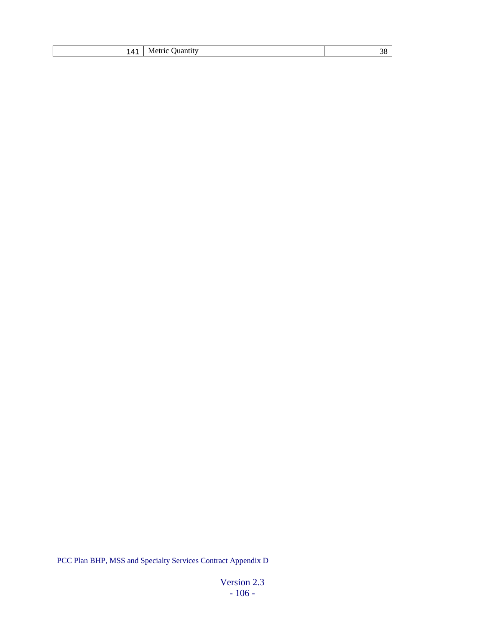|  | 141   Metric Quantity |  |
|--|-----------------------|--|
|--|-----------------------|--|

Version 2.3 - 106 -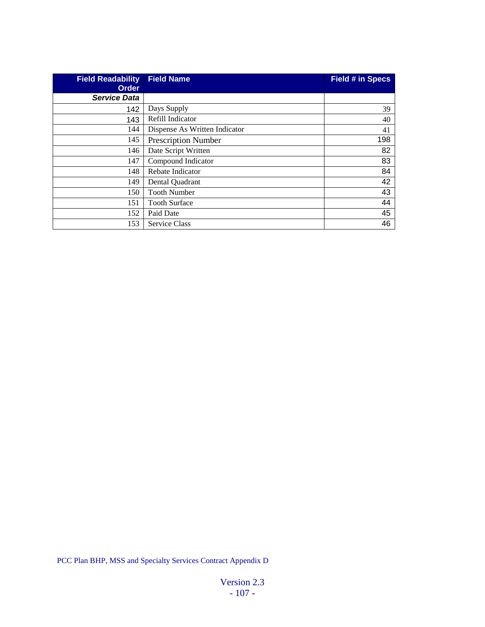| <b>Field Readability</b><br><b>Order</b> | <b>Field Name</b>             | <b>Field # in Specs</b> |
|------------------------------------------|-------------------------------|-------------------------|
| <b>Service Data</b>                      |                               |                         |
| 142                                      | Days Supply                   | 39                      |
| 143                                      | Refill Indicator              | 40                      |
| 144                                      | Dispense As Written Indicator | 41                      |
| 145                                      | <b>Prescription Number</b>    | 198                     |
| 146                                      | Date Script Written           | 82                      |
| 147                                      | Compound Indicator            | 83                      |
| 148                                      | Rebate Indicator              | 84                      |
| 149                                      | Dental Quadrant               | 42                      |
| 150                                      | <b>Tooth Number</b>           | 43                      |
| 151                                      | <b>Tooth Surface</b>          | 44                      |
| 152                                      | Paid Date                     | 45                      |
| 153                                      | <b>Service Class</b>          | 46                      |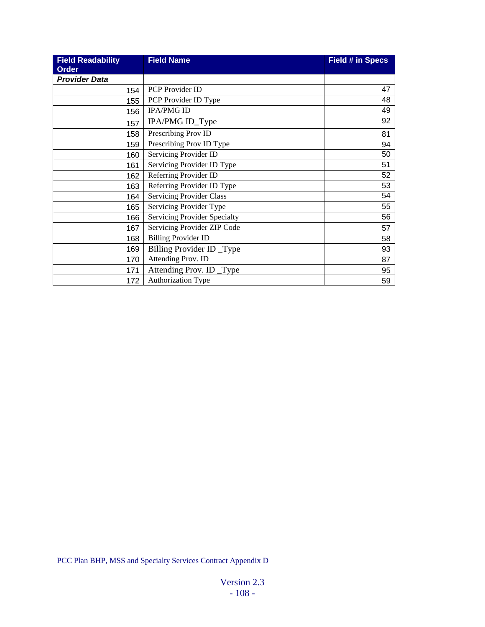| <b>Field Readability</b> | <b>Field Name</b>               | <b>Field # in Specs</b> |
|--------------------------|---------------------------------|-------------------------|
| <b>Order</b>             |                                 |                         |
| <b>Provider Data</b>     |                                 |                         |
| 154                      | <b>PCP</b> Provider ID          | 47                      |
| 155                      | PCP Provider ID Type            | 48                      |
| 156                      | <b>IPA/PMG ID</b>               | 49                      |
| 157                      | IPA/PMG ID_Type                 | 92                      |
| 158                      | Prescribing Prov ID             | 81                      |
| 159                      | Prescribing Prov ID Type        | 94                      |
| 160                      | Servicing Provider ID           | 50                      |
| 161                      | Servicing Provider ID Type      | 51                      |
| 162                      | Referring Provider ID           | 52                      |
| 163                      | Referring Provider ID Type      | 53                      |
| 164                      | <b>Servicing Provider Class</b> | 54                      |
| 165                      | Servicing Provider Type         | 55                      |
| 166                      | Servicing Provider Specialty    | 56                      |
| 167                      | Servicing Provider ZIP Code     | 57                      |
| 168                      | <b>Billing Provider ID</b>      | 58                      |
| 169                      | Billing Provider ID _Type       | 93                      |
| 170                      | Attending Prov. ID              | 87                      |
| 171                      | Attending Prov. ID _Type        | 95                      |
| 172                      | Authorization Type              | 59                      |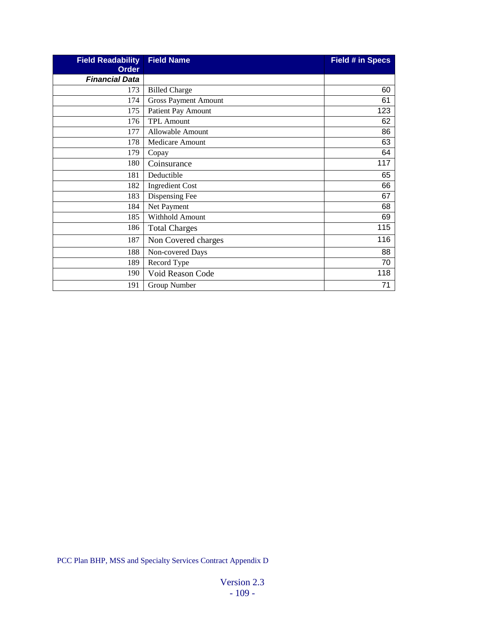| <b>Field Readability</b> | <b>Field Name</b>           | <b>Field # in Specs</b> |
|--------------------------|-----------------------------|-------------------------|
| <b>Order</b>             |                             |                         |
| <b>Financial Data</b>    |                             |                         |
| 173                      | <b>Billed Charge</b>        | 60                      |
| 174                      | <b>Gross Payment Amount</b> | 61                      |
| 175                      | <b>Patient Pay Amount</b>   | 123                     |
| 176                      | <b>TPL Amount</b>           | 62                      |
| 177                      | Allowable Amount            | 86                      |
| 178                      | Medicare Amount             | 63                      |
| 179                      | Copay                       | 64                      |
| 180                      | Coinsurance                 | 117                     |
| 181                      | Deductible                  | 65                      |
| 182                      | <b>Ingredient Cost</b>      | 66                      |
| 183                      | Dispensing Fee              | 67                      |
| 184                      | Net Payment                 | 68                      |
| 185                      | Withhold Amount             | 69                      |
| 186                      | <b>Total Charges</b>        | 115                     |
| 187                      | Non Covered charges         | 116                     |
| 188                      | Non-covered Days            | 88                      |
| 189                      | Record Type                 | 70                      |
| 190                      | Void Reason Code            | 118                     |
| 191                      | Group Number                | 71                      |